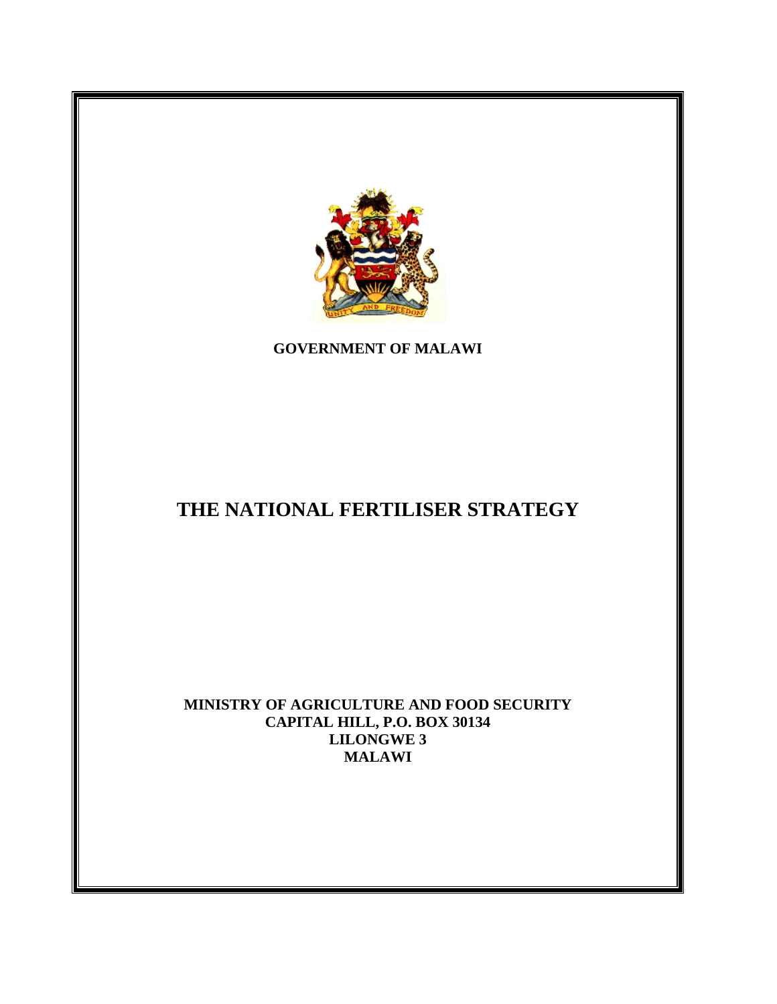

**GOVERNMENT OF MALAWI** 

# **THE NATIONAL FERTILISER STRATEGY**

**MINISTRY OF AGRICULTURE AND FOOD SECURITY CAPITAL HILL, P.O. BOX 30134 LILONGWE 3 MALAWI**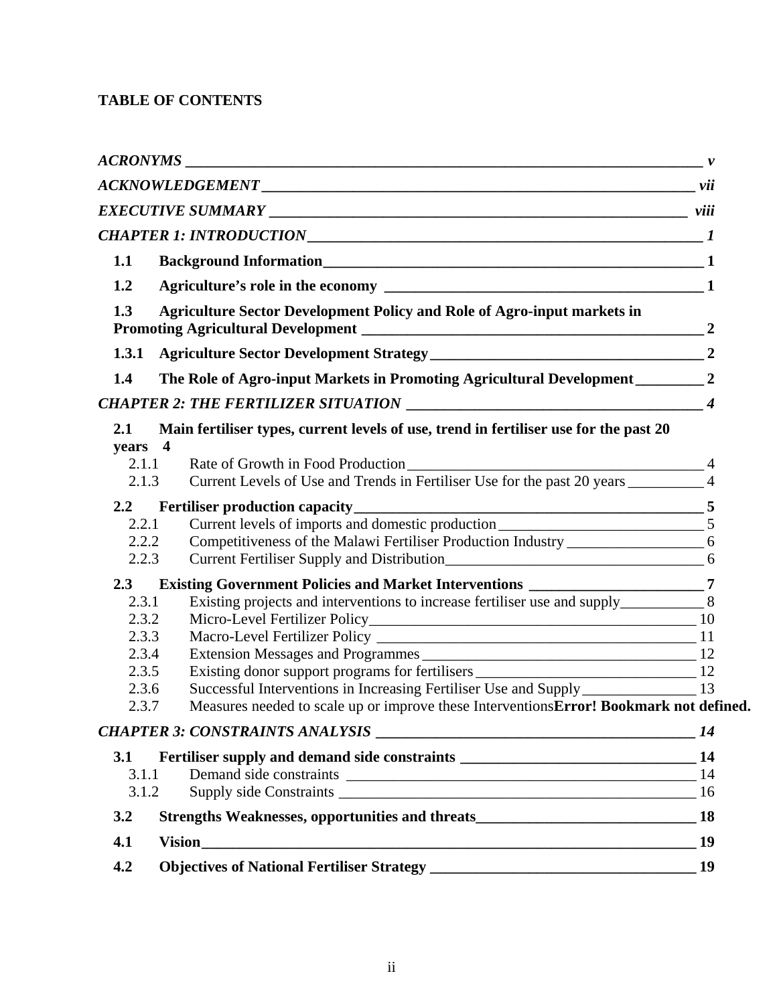# **TABLE OF CONTENTS**

| 1.1                                                |                                                                                                                                                                               |                |
|----------------------------------------------------|-------------------------------------------------------------------------------------------------------------------------------------------------------------------------------|----------------|
| 1.2                                                |                                                                                                                                                                               |                |
| 1.3                                                | <b>Agriculture Sector Development Policy and Role of Agro-input markets in</b>                                                                                                |                |
| 1.3.1                                              |                                                                                                                                                                               |                |
| 1.4                                                |                                                                                                                                                                               |                |
|                                                    |                                                                                                                                                                               |                |
| 2.1<br>years 4<br>2.1.1<br>2.1.3                   | Main fertiliser types, current levels of use, trend in fertiliser use for the past 20<br>Current Levels of Use and Trends in Fertiliser Use for the past 20 years ___________ | $\overline{4}$ |
|                                                    |                                                                                                                                                                               |                |
| $2.2\phantom{0}$<br>2.2.1<br>2.2.2<br>2.2.3        | Competitiveness of the Malawi Fertiliser Production Industry ____________________ 6                                                                                           |                |
| 2.3                                                | Existing Government Policies and Market Interventions _________________________7                                                                                              |                |
| 2.3.1<br>2.3.2<br>2.3.3<br>2.3.4<br>2.3.5<br>2.3.6 | Successful Interventions in Increasing Fertiliser Use and Supply ________________ 13                                                                                          |                |
| 2.3.7                                              | Measures needed to scale up or improve these InterventionsError! Bookmark not defined.                                                                                        |                |
|                                                    |                                                                                                                                                                               |                |
| 3.1<br>3.1.1<br>3.1.2                              | Fertiliser supply and demand side constraints __________________________________<br>Demand side constraints                                                                   | 14<br>14       |
| 3.2                                                | Strengths Weaknesses, opportunities and threats<br>18                                                                                                                         |                |
| 4.1                                                |                                                                                                                                                                               | 19             |
| 4.2                                                |                                                                                                                                                                               | 19             |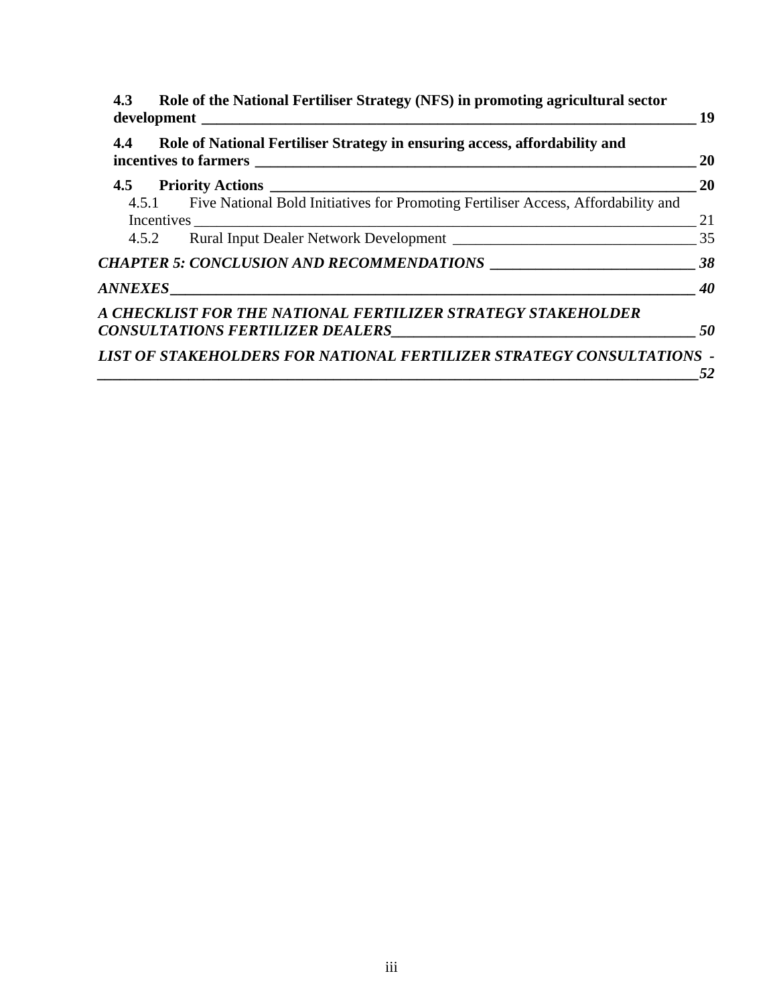| 4.4 | Role of National Fertiliser Strategy in ensuring access, affordability and              | <b>20</b>       |
|-----|-----------------------------------------------------------------------------------------|-----------------|
|     |                                                                                         | 20              |
|     | 4.5.1 Five National Bold Initiatives for Promoting Fertiliser Access, Affordability and | 21              |
|     |                                                                                         |                 |
|     |                                                                                         |                 |
|     |                                                                                         | $\overline{40}$ |
|     | A CHECKLIST FOR THE NATIONAL FERTILIZER STRATEGY STAKEHOLDER                            | 50              |
|     | LIST OF STAKEHOLDERS FOR NATIONAL FERTILIZER STRATEGY CONSULTATIONS -                   | 52              |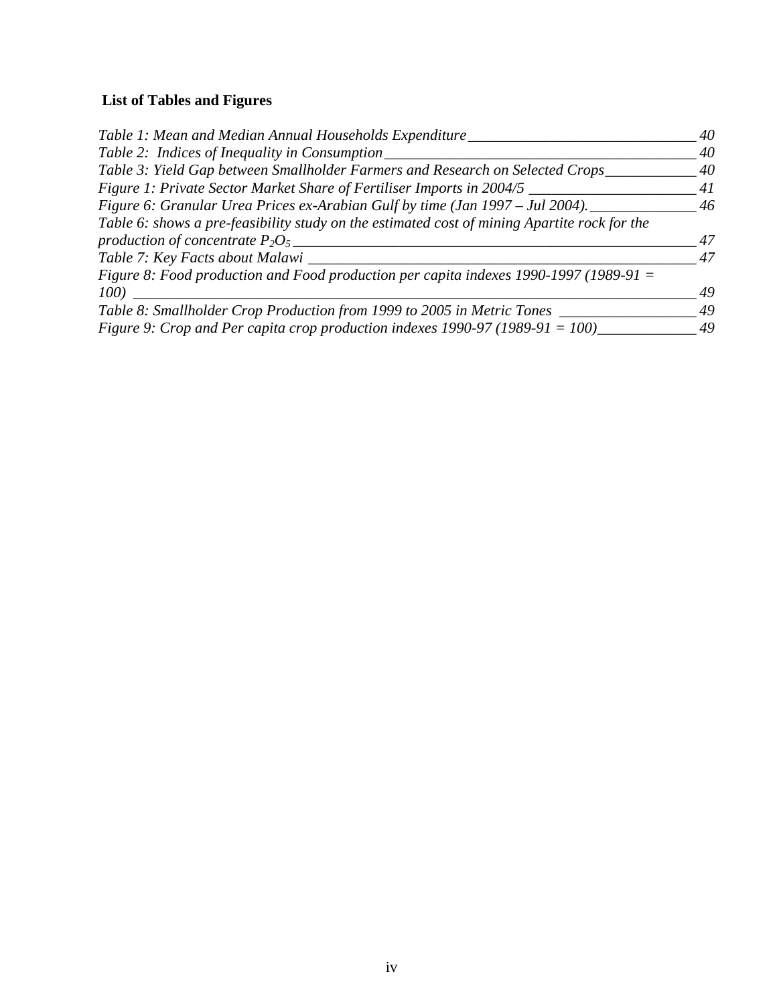# **List of Tables and Figures**

| Table 1: Mean and Median Annual Households Expenditure                                       | 40 |
|----------------------------------------------------------------------------------------------|----|
| Table 2: Indices of Inequality in Consumption                                                | 40 |
| Table 3: Yield Gap between Smallholder Farmers and Research on Selected Crops                | 40 |
| Figure 1: Private Sector Market Share of Fertiliser Imports in 2004/5                        | 41 |
| Figure 6: Granular Urea Prices ex-Arabian Gulf by time (Jan 1997 – Jul 2004).                | 46 |
| Table 6: shows a pre-feasibility study on the estimated cost of mining Apartite rock for the |    |
| production of concentrate $P_2O_5$                                                           | 47 |
| Table 7: Key Facts about Malawi                                                              | 47 |
| Figure 8: Food production and Food production per capita indexes 1990-1997 (1989-91 $=$      |    |
| <i>100</i> )                                                                                 | 49 |
| Table 8: Smallholder Crop Production from 1999 to 2005 in Metric Tones                       | 49 |
| Figure 9: Crop and Per capita crop production indexes 1990-97 (1989-91 = 100)                | 49 |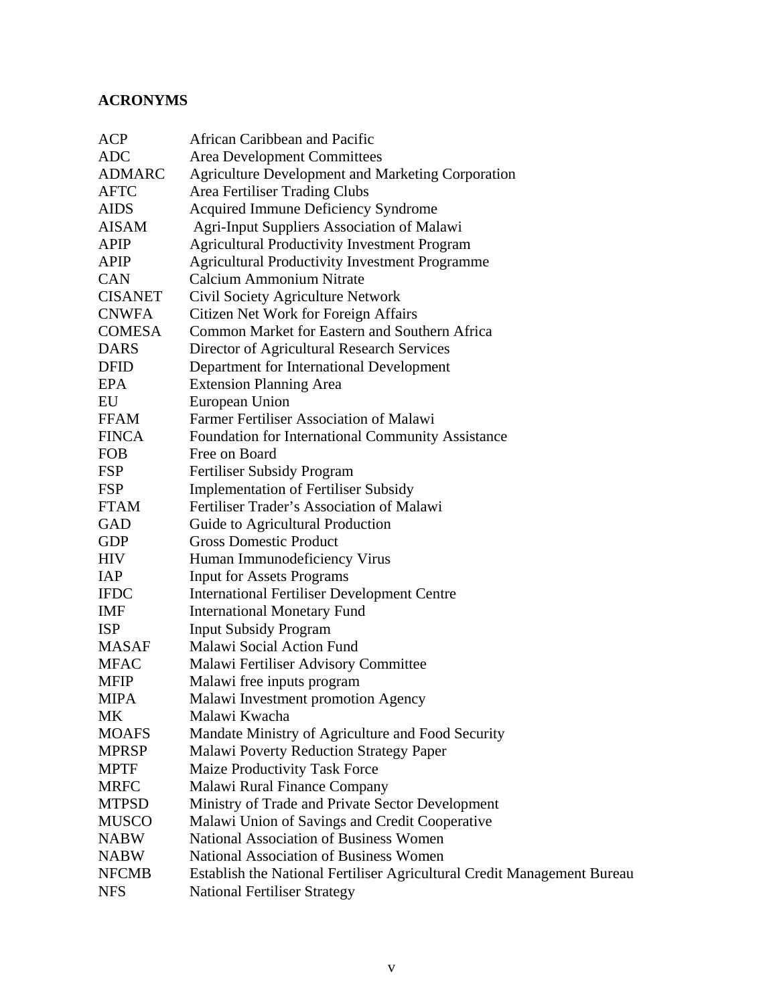# **ACRONYMS**

| ACP            | African Caribbean and Pacific                                           |
|----------------|-------------------------------------------------------------------------|
| <b>ADC</b>     | <b>Area Development Committees</b>                                      |
| <b>ADMARC</b>  | <b>Agriculture Development and Marketing Corporation</b>                |
| <b>AFTC</b>    | Area Fertiliser Trading Clubs                                           |
| <b>AIDS</b>    | <b>Acquired Immune Deficiency Syndrome</b>                              |
| AISAM          | <b>Agri-Input Suppliers Association of Malawi</b>                       |
| <b>APIP</b>    | <b>Agricultural Productivity Investment Program</b>                     |
| APIP           | <b>Agricultural Productivity Investment Programme</b>                   |
| <b>CAN</b>     | Calcium Ammonium Nitrate                                                |
| <b>CISANET</b> | Civil Society Agriculture Network                                       |
| <b>CNWFA</b>   | Citizen Net Work for Foreign Affairs                                    |
| <b>COMESA</b>  | Common Market for Eastern and Southern Africa                           |
| <b>DARS</b>    | Director of Agricultural Research Services                              |
| <b>DFID</b>    | Department for International Development                                |
| <b>EPA</b>     | <b>Extension Planning Area</b>                                          |
| EU             | European Union                                                          |
| <b>FFAM</b>    | Farmer Fertiliser Association of Malawi                                 |
| <b>FINCA</b>   | Foundation for International Community Assistance                       |
| <b>FOB</b>     | Free on Board                                                           |
| <b>FSP</b>     | Fertiliser Subsidy Program                                              |
| <b>FSP</b>     | <b>Implementation of Fertiliser Subsidy</b>                             |
| <b>FTAM</b>    | Fertiliser Trader's Association of Malawi                               |
| GAD            | Guide to Agricultural Production                                        |
| <b>GDP</b>     | <b>Gross Domestic Product</b>                                           |
| <b>HIV</b>     | Human Immunodeficiency Virus                                            |
| <b>IAP</b>     | <b>Input for Assets Programs</b>                                        |
| <b>IFDC</b>    | <b>International Fertiliser Development Centre</b>                      |
| <b>IMF</b>     | <b>International Monetary Fund</b>                                      |
| <b>ISP</b>     | <b>Input Subsidy Program</b>                                            |
| <b>MASAF</b>   | Malawi Social Action Fund                                               |
| <b>MFAC</b>    | Malawi Fertiliser Advisory Committee                                    |
| <b>MFIP</b>    | Malawi free inputs program                                              |
| MIPA           | <b>Malawi Investment promotion Agency</b>                               |
| МK             | Malawi Kwacha                                                           |
| <b>MOAFS</b>   | Mandate Ministry of Agriculture and Food Security                       |
| <b>MPRSP</b>   | Malawi Poverty Reduction Strategy Paper                                 |
| <b>MPTF</b>    | Maize Productivity Task Force                                           |
| <b>MRFC</b>    | Malawi Rural Finance Company                                            |
| <b>MTPSD</b>   | Ministry of Trade and Private Sector Development                        |
| <b>MUSCO</b>   | Malawi Union of Savings and Credit Cooperative                          |
| <b>NABW</b>    | National Association of Business Women                                  |
| <b>NABW</b>    | <b>National Association of Business Women</b>                           |
| <b>NFCMB</b>   | Establish the National Fertiliser Agricultural Credit Management Bureau |
| <b>NFS</b>     | <b>National Fertiliser Strategy</b>                                     |
|                |                                                                         |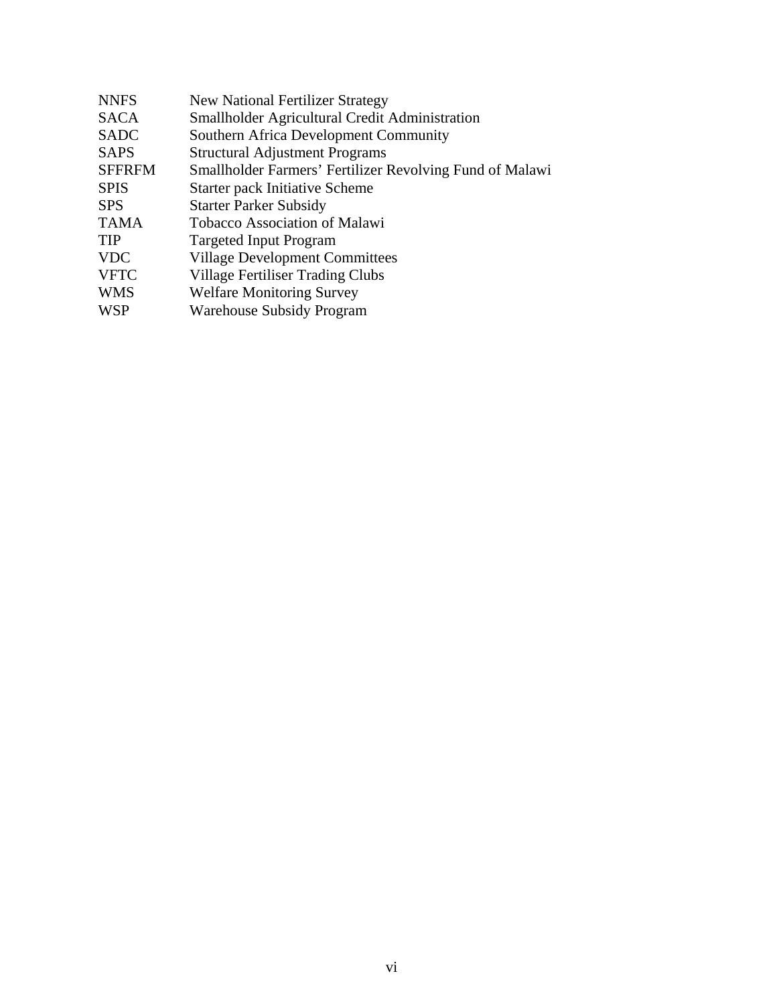| Smallholder Agricultural Credit Administration<br><b>SACA</b>             |  |
|---------------------------------------------------------------------------|--|
|                                                                           |  |
| <b>Southern Africa Development Community</b><br><b>SADC</b>               |  |
| <b>SAPS</b><br><b>Structural Adjustment Programs</b>                      |  |
| <b>SFFRFM</b><br>Smallholder Farmers' Fertilizer Revolving Fund of Malawi |  |
| <b>SPIS</b><br><b>Starter pack Initiative Scheme</b>                      |  |
| <b>Starter Parker Subsidy</b><br><b>SPS</b>                               |  |
| <b>Tobacco Association of Malawi</b><br><b>TAMA</b>                       |  |
| <b>TIP</b><br><b>Targeted Input Program</b>                               |  |
| <b>VDC</b><br><b>Village Development Committees</b>                       |  |
| <b>VFTC</b><br>Village Fertiliser Trading Clubs                           |  |
| <b>WMS</b><br><b>Welfare Monitoring Survey</b>                            |  |
| <b>WSP</b><br>Warehouse Subsidy Program                                   |  |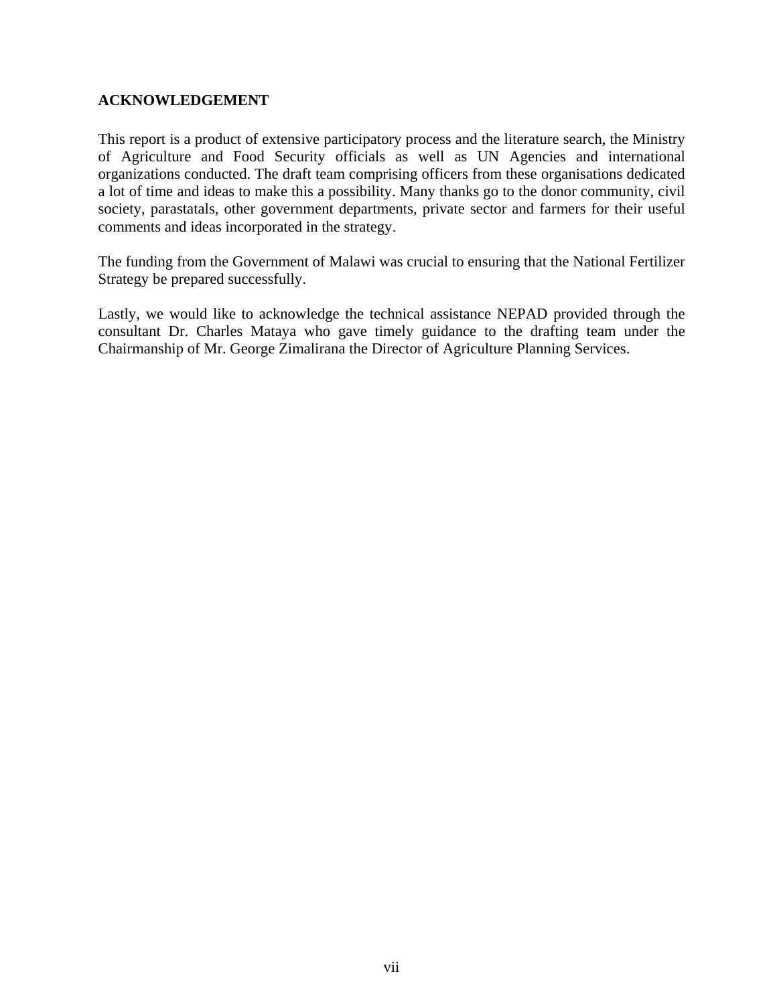#### **ACKNOWLEDGEMENT**

This report is a product of extensive participatory process and the literature search, the Ministry of Agriculture and Food Security officials as well as UN Agencies and international organizations conducted. The draft team comprising officers from these organisations dedicated a lot of time and ideas to make this a possibility. Many thanks go to the donor community, civil society, parastatals, other government departments, private sector and farmers for their useful comments and ideas incorporated in the strategy.

The funding from the Government of Malawi was crucial to ensuring that the National Fertilizer Strategy be prepared successfully.

Lastly, we would like to acknowledge the technical assistance NEPAD provided through the consultant Dr. Charles Mataya who gave timely guidance to the drafting team under the Chairmanship of Mr. George Zimalirana the Director of Agriculture Planning Services.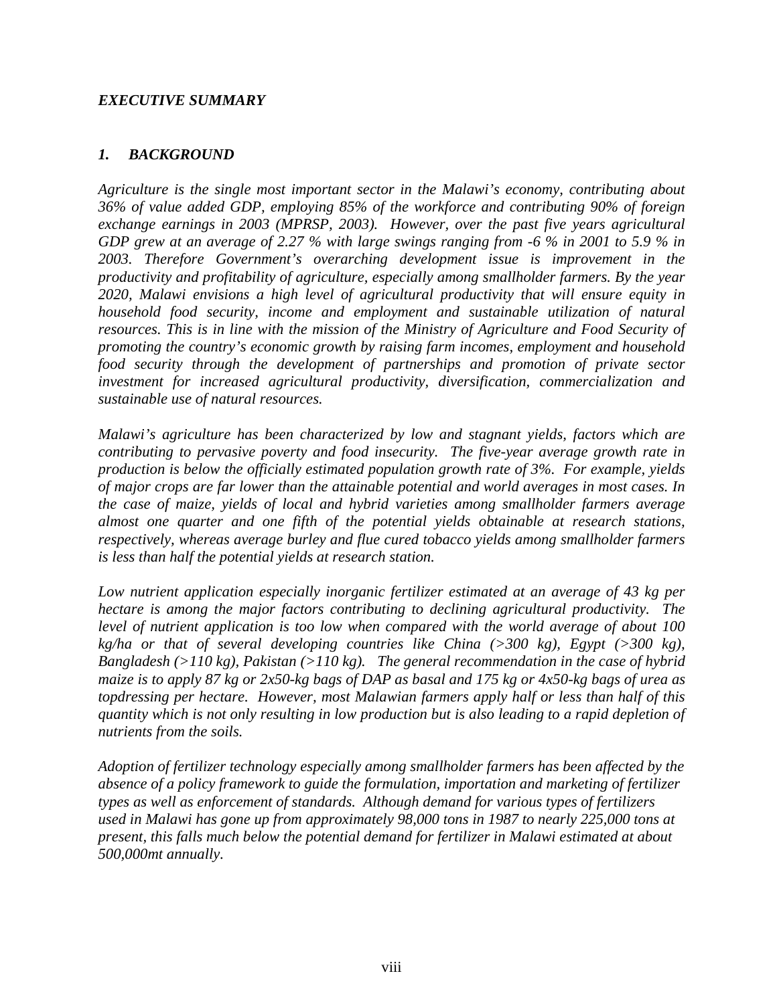### *EXECUTIVE SUMMARY*

#### *1. BACKGROUND*

*Agriculture is the single most important sector in the Malawi's economy, contributing about 36% of value added GDP, employing 85% of the workforce and contributing 90% of foreign exchange earnings in 2003 (MPRSP, 2003). However, over the past five years agricultural GDP grew at an average of 2.27 % with large swings ranging from -6 % in 2001 to 5.9 % in 2003. Therefore Government's overarching development issue is improvement in the productivity and profitability of agriculture, especially among smallholder farmers. By the year 2020, Malawi envisions a high level of agricultural productivity that will ensure equity in household food security, income and employment and sustainable utilization of natural resources. This is in line with the mission of the Ministry of Agriculture and Food Security of promoting the country's economic growth by raising farm incomes, employment and household food security through the development of partnerships and promotion of private sector investment for increased agricultural productivity, diversification, commercialization and sustainable use of natural resources.* 

*Malawi's agriculture has been characterized by low and stagnant yields, factors which are contributing to pervasive poverty and food insecurity. The five-year average growth rate in production is below the officially estimated population growth rate of 3%. For example, yields of major crops are far lower than the attainable potential and world averages in most cases. In the case of maize, yields of local and hybrid varieties among smallholder farmers average almost one quarter and one fifth of the potential yields obtainable at research stations, respectively, whereas average burley and flue cured tobacco yields among smallholder farmers is less than half the potential yields at research station.* 

*Low nutrient application especially inorganic fertilizer estimated at an average of 43 kg per hectare is among the major factors contributing to declining agricultural productivity. The level of nutrient application is too low when compared with the world average of about 100 kg/ha or that of several developing countries like China (>300 kg), Egypt (>300 kg), Bangladesh (>110 kg), Pakistan (>110 kg). The general recommendation in the case of hybrid maize is to apply 87 kg or 2x50-kg bags of DAP as basal and 175 kg or 4x50-kg bags of urea as topdressing per hectare. However, most Malawian farmers apply half or less than half of this quantity which is not only resulting in low production but is also leading to a rapid depletion of nutrients from the soils.*

*Adoption of fertilizer technology especially among smallholder farmers has been affected by the absence of a policy framework to guide the formulation, importation and marketing of fertilizer types as well as enforcement of standards. Although demand for various types of fertilizers used in Malawi has gone up from approximately 98,000 tons in 1987 to nearly 225,000 tons at present, this falls much below the potential demand for fertilizer in Malawi estimated at about 500,000mt annually.*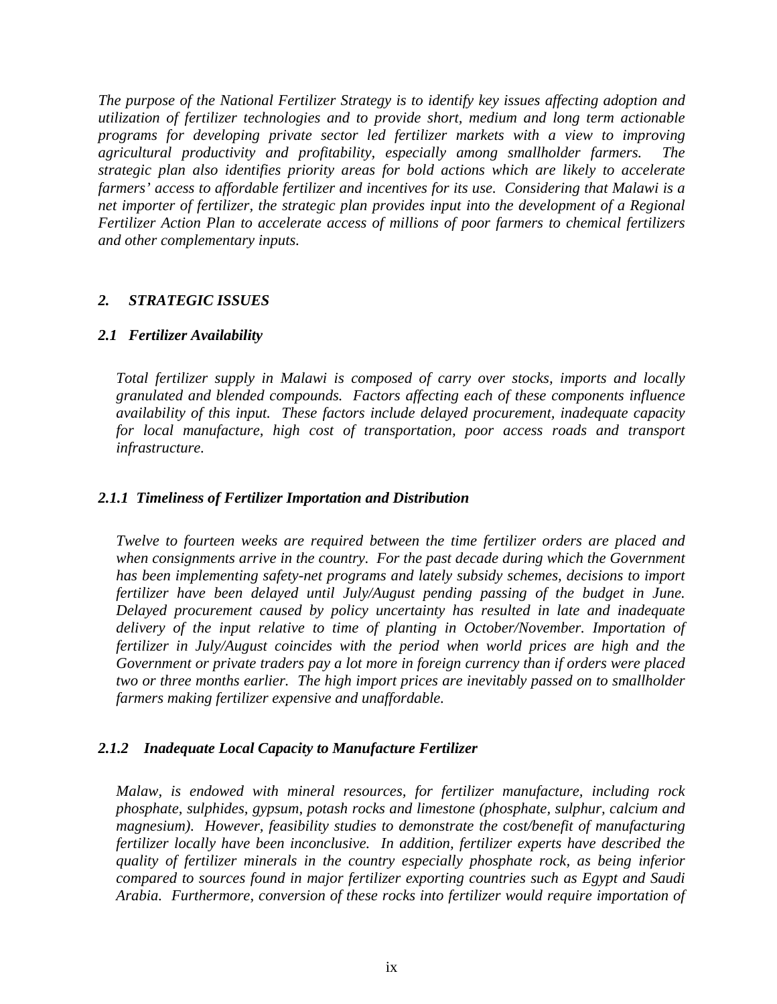*The purpose of the National Fertilizer Strategy is to identify key issues affecting adoption and utilization of fertilizer technologies and to provide short, medium and long term actionable programs for developing private sector led fertilizer markets with a view to improving agricultural productivity and profitability, especially among smallholder farmers. The strategic plan also identifies priority areas for bold actions which are likely to accelerate farmers' access to affordable fertilizer and incentives for its use. Considering that Malawi is a net importer of fertilizer, the strategic plan provides input into the development of a Regional Fertilizer Action Plan to accelerate access of millions of poor farmers to chemical fertilizers and other complementary inputs.* 

#### *2. STRATEGIC ISSUES*

#### *2.1 Fertilizer Availability*

*Total fertilizer supply in Malawi is composed of carry over stocks, imports and locally granulated and blended compounds. Factors affecting each of these components influence availability of this input. These factors include delayed procurement, inadequate capacity*  for local manufacture, high cost of transportation, poor access roads and transport *infrastructure.* 

#### *2.1.1 Timeliness of Fertilizer Importation and Distribution*

*Twelve to fourteen weeks are required between the time fertilizer orders are placed and when consignments arrive in the country. For the past decade during which the Government has been implementing safety-net programs and lately subsidy schemes, decisions to import fertilizer have been delayed until July/August pending passing of the budget in June. Delayed procurement caused by policy uncertainty has resulted in late and inadequate delivery of the input relative to time of planting in October/November. Importation of fertilizer in July/August coincides with the period when world prices are high and the Government or private traders pay a lot more in foreign currency than if orders were placed two or three months earlier. The high import prices are inevitably passed on to smallholder farmers making fertilizer expensive and unaffordable.* 

#### *2.1.2 Inadequate Local Capacity to Manufacture Fertilizer*

*Malaw, is endowed with mineral resources, for fertilizer manufacture, including rock phosphate, sulphides, gypsum, potash rocks and limestone (phosphate, sulphur, calcium and magnesium). However, feasibility studies to demonstrate the cost/benefit of manufacturing fertilizer locally have been inconclusive. In addition, fertilizer experts have described the quality of fertilizer minerals in the country especially phosphate rock, as being inferior compared to sources found in major fertilizer exporting countries such as Egypt and Saudi Arabia. Furthermore, conversion of these rocks into fertilizer would require importation of*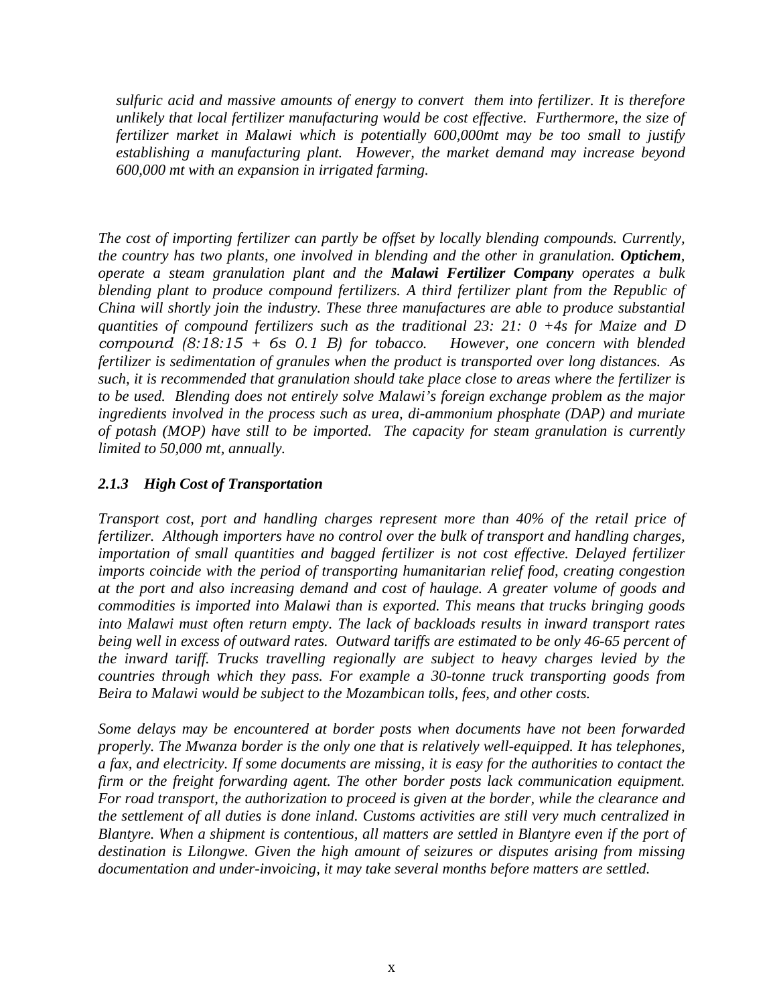*sulfuric acid and massive amounts of energy to convert them into fertilizer. It is therefore unlikely that local fertilizer manufacturing would be cost effective. Furthermore, the size of fertilizer market in Malawi which is potentially 600,000mt may be too small to justify establishing a manufacturing plant. However, the market demand may increase beyond 600,000 mt with an expansion in irrigated farming.* 

*The cost of importing fertilizer can partly be offset by locally blending compounds. Currently, the country has two plants, one involved in blending and the other in granulation. Optichem, operate a steam granulation plant and the Malawi Fertilizer Company operates a bulk blending plant to produce compound fertilizers. A third fertilizer plant from the Republic of China will shortly join the industry. These three manufactures are able to produce substantial quantities of compound fertilizers such as the traditional 23: 21: 0 +4s for Maize and D compound (8:18:15 + 6s 0.1 B) for tobacco. However, one concern with blended fertilizer is sedimentation of granules when the product is transported over long distances. As such, it is recommended that granulation should take place close to areas where the fertilizer is to be used. Blending does not entirely solve Malawi's foreign exchange problem as the major ingredients involved in the process such as urea, di-ammonium phosphate (DAP) and muriate of potash (MOP) have still to be imported. The capacity for steam granulation is currently limited to 50,000 mt, annually.* 

#### *2.1.3 High Cost of Transportation*

*Transport cost, port and handling charges represent more than 40% of the retail price of fertilizer. Although importers have no control over the bulk of transport and handling charges, importation of small quantities and bagged fertilizer is not cost effective. Delayed fertilizer imports coincide with the period of transporting humanitarian relief food, creating congestion at the port and also increasing demand and cost of haulage. A greater volume of goods and commodities is imported into Malawi than is exported. This means that trucks bringing goods into Malawi must often return empty. The lack of backloads results in inward transport rates being well in excess of outward rates. Outward tariffs are estimated to be only 46-65 percent of the inward tariff. Trucks travelling regionally are subject to heavy charges levied by the countries through which they pass. For example a 30-tonne truck transporting goods from Beira to Malawi would be subject to the Mozambican tolls, fees, and other costs.* 

*Some delays may be encountered at border posts when documents have not been forwarded properly. The Mwanza border is the only one that is relatively well-equipped. It has telephones, a fax, and electricity. If some documents are missing, it is easy for the authorities to contact the firm or the freight forwarding agent. The other border posts lack communication equipment. For road transport, the authorization to proceed is given at the border, while the clearance and the settlement of all duties is done inland. Customs activities are still very much centralized in Blantyre. When a shipment is contentious, all matters are settled in Blantyre even if the port of destination is Lilongwe. Given the high amount of seizures or disputes arising from missing documentation and under-invoicing, it may take several months before matters are settled.*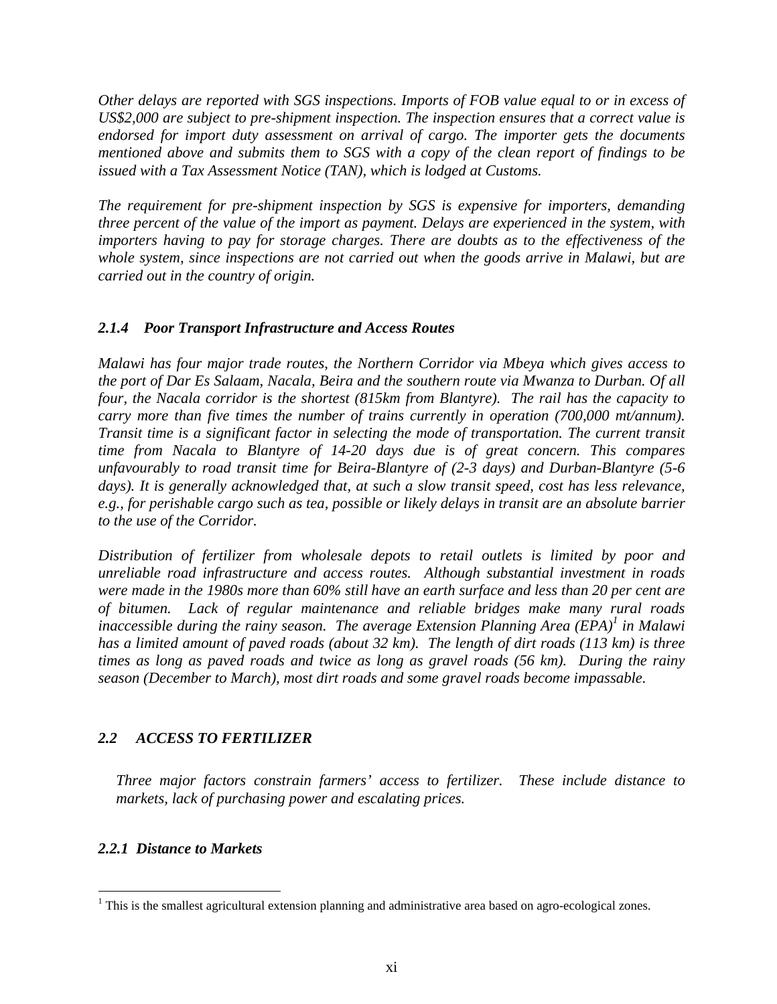*Other delays are reported with SGS inspections. Imports of FOB value equal to or in excess of US\$2,000 are subject to pre-shipment inspection. The inspection ensures that a correct value is endorsed for import duty assessment on arrival of cargo. The importer gets the documents mentioned above and submits them to SGS with a copy of the clean report of findings to be issued with a Tax Assessment Notice (TAN), which is lodged at Customs.* 

*The requirement for pre-shipment inspection by SGS is expensive for importers, demanding three percent of the value of the import as payment. Delays are experienced in the system, with importers having to pay for storage charges. There are doubts as to the effectiveness of the whole system, since inspections are not carried out when the goods arrive in Malawi, but are carried out in the country of origin.* 

#### *2.1.4 Poor Transport Infrastructure and Access Routes*

*Malawi has four major trade routes, the Northern Corridor via Mbeya which gives access to the port of Dar Es Salaam, Nacala, Beira and the southern route via Mwanza to Durban. Of all four, the Nacala corridor is the shortest (815km from Blantyre). The rail has the capacity to carry more than five times the number of trains currently in operation (700,000 mt/annum). Transit time is a significant factor in selecting the mode of transportation. The current transit time from Nacala to Blantyre of 14-20 days due is of great concern. This compares unfavourably to road transit time for Beira-Blantyre of (2-3 days) and Durban-Blantyre (5-6 days). It is generally acknowledged that, at such a slow transit speed, cost has less relevance, e.g., for perishable cargo such as tea, possible or likely delays in transit are an absolute barrier to the use of the Corridor.* 

*Distribution of fertilizer from wholesale depots to retail outlets is limited by poor and unreliable road infrastructure and access routes. Although substantial investment in roads were made in the 1980s more than 60% still have an earth surface and less than 20 per cent are of bitumen. Lack of regular maintenance and reliable bridges make many rural roads inaccessible during the rainy season. The average Extension Planning Area (EPA)<sup>1</sup> in Malawi has a limited amount of paved roads (about 32 km). The length of dirt roads (113 km) is three times as long as paved roads and twice as long as gravel roads (56 km). During the rainy season (December to March), most dirt roads and some gravel roads become impassable.* 

### *2.2 ACCESS TO FERTILIZER*

*Three major factors constrain farmers' access to fertilizer. These include distance to markets, lack of purchasing power and escalating prices.* 

### *2.2.1 Distance to Markets*

 $\overline{a}$ 

 $<sup>1</sup>$  This is the smallest agricultural extension planning and administrative area based on agro-ecological zones.</sup>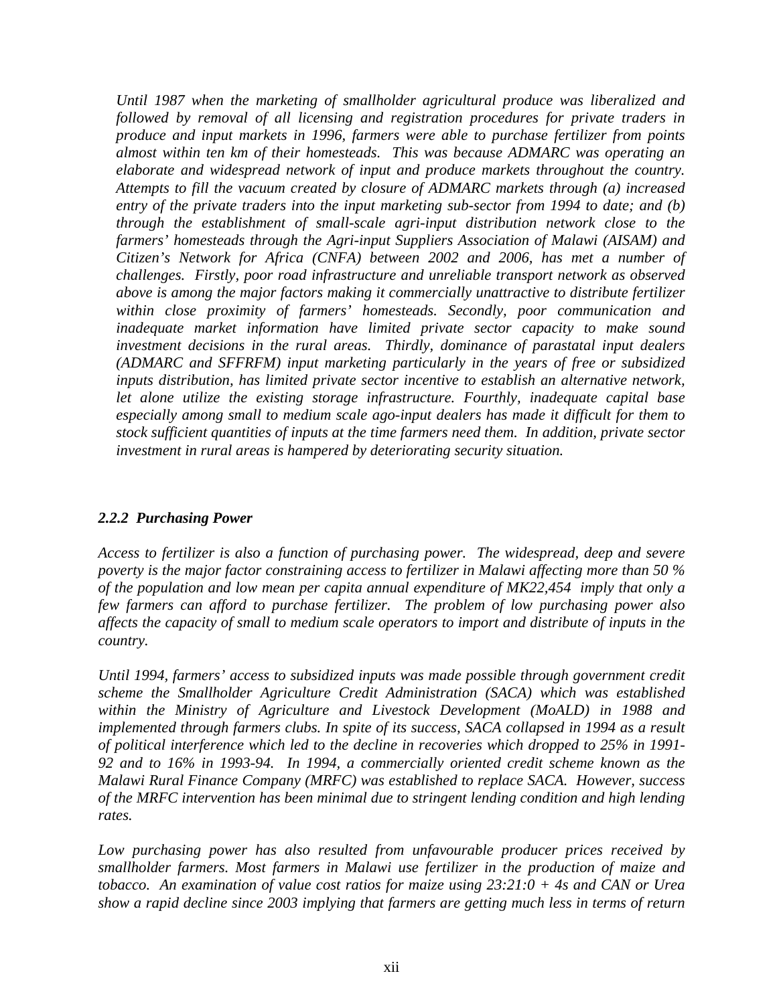*Until 1987 when the marketing of smallholder agricultural produce was liberalized and followed by removal of all licensing and registration procedures for private traders in produce and input markets in 1996, farmers were able to purchase fertilizer from points almost within ten km of their homesteads. This was because ADMARC was operating an elaborate and widespread network of input and produce markets throughout the country. Attempts to fill the vacuum created by closure of ADMARC markets through (a) increased entry of the private traders into the input marketing sub-sector from 1994 to date; and (b) through the establishment of small-scale agri-input distribution network close to the farmers' homesteads through the Agri-input Suppliers Association of Malawi (AISAM) and Citizen's Network for Africa (CNFA) between 2002 and 2006, has met a number of challenges. Firstly, poor road infrastructure and unreliable transport network as observed above is among the major factors making it commercially unattractive to distribute fertilizer within close proximity of farmers' homesteads. Secondly, poor communication and inadequate market information have limited private sector capacity to make sound investment decisions in the rural areas. Thirdly, dominance of parastatal input dealers (ADMARC and SFFRFM) input marketing particularly in the years of free or subsidized inputs distribution, has limited private sector incentive to establish an alternative network, let alone utilize the existing storage infrastructure. Fourthly, inadequate capital base especially among small to medium scale ago-input dealers has made it difficult for them to stock sufficient quantities of inputs at the time farmers need them. In addition, private sector investment in rural areas is hampered by deteriorating security situation.* 

#### *2.2.2 Purchasing Power*

*Access to fertilizer is also a function of purchasing power. The widespread, deep and severe poverty is the major factor constraining access to fertilizer in Malawi affecting more than 50 % of the population and low mean per capita annual expenditure of MK22,454 imply that only a few farmers can afford to purchase fertilizer. The problem of low purchasing power also affects the capacity of small to medium scale operators to import and distribute of inputs in the country.* 

*Until 1994, farmers' access to subsidized inputs was made possible through government credit scheme the Smallholder Agriculture Credit Administration (SACA) which was established within the Ministry of Agriculture and Livestock Development (MoALD) in 1988 and implemented through farmers clubs. In spite of its success, SACA collapsed in 1994 as a result of political interference which led to the decline in recoveries which dropped to 25% in 1991- 92 and to 16% in 1993-94. In 1994, a commercially oriented credit scheme known as the Malawi Rural Finance Company (MRFC) was established to replace SACA. However, success of the MRFC intervention has been minimal due to stringent lending condition and high lending rates.* 

*Low purchasing power has also resulted from unfavourable producer prices received by smallholder farmers. Most farmers in Malawi use fertilizer in the production of maize and tobacco. An examination of value cost ratios for maize using 23:21:0 + 4s and CAN or Urea show a rapid decline since 2003 implying that farmers are getting much less in terms of return*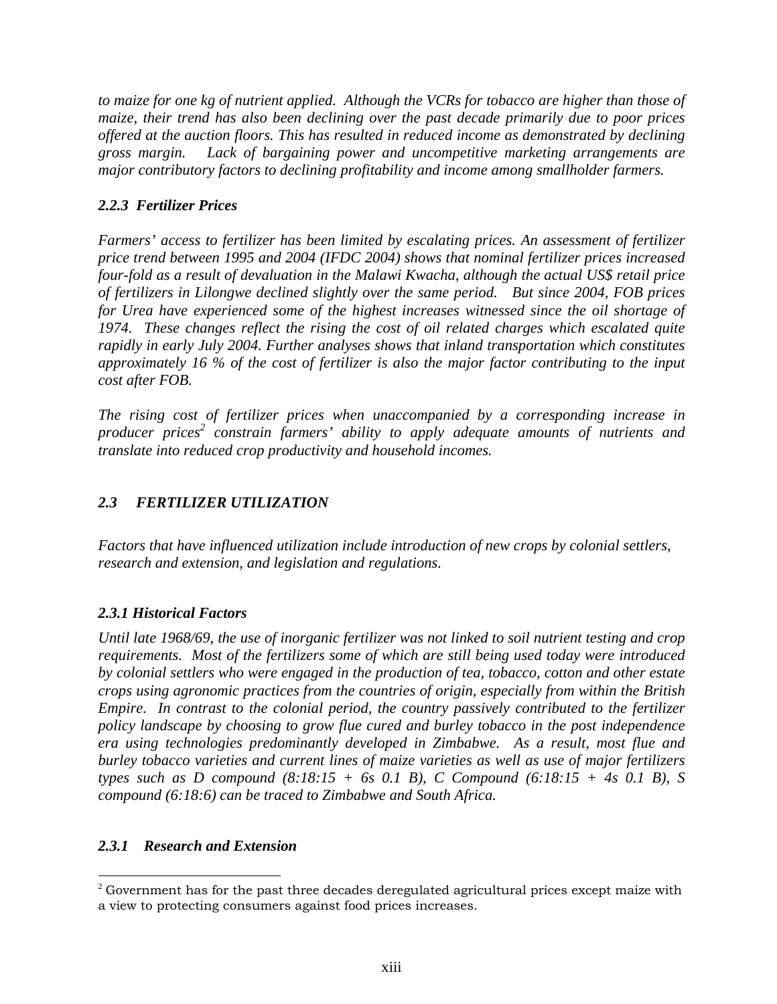*to maize for one kg of nutrient applied. Although the VCRs for tobacco are higher than those of maize, their trend has also been declining over the past decade primarily due to poor prices offered at the auction floors. This has resulted in reduced income as demonstrated by declining gross margin. Lack of bargaining power and uncompetitive marketing arrangements are major contributory factors to declining profitability and income among smallholder farmers.* 

### *2.2.3 Fertilizer Prices*

*Farmers' access to fertilizer has been limited by escalating prices. An assessment of fertilizer price trend between 1995 and 2004 (IFDC 2004) shows that nominal fertilizer prices increased four-fold as a result of devaluation in the Malawi Kwacha, although the actual US\$ retail price of fertilizers in Lilongwe declined slightly over the same period. But since 2004, FOB prices for Urea have experienced some of the highest increases witnessed since the oil shortage of 1974. These changes reflect the rising the cost of oil related charges which escalated quite rapidly in early July 2004. Further analyses shows that inland transportation which constitutes approximately 16 % of the cost of fertilizer is also the major factor contributing to the input cost after FOB.* 

*The rising cost of fertilizer prices when unaccompanied by a corresponding increase in*  producer prices<sup>2</sup> constrain farmers' ability to apply adequate amounts of nutrients and *translate into reduced crop productivity and household incomes.* 

# *2.3 FERTILIZER UTILIZATION*

*Factors that have influenced utilization include introduction of new crops by colonial settlers, research and extension, and legislation and regulations.* 

## *2.3.1 Historical Factors*

*Until late 1968/69, the use of inorganic fertilizer was not linked to soil nutrient testing and crop requirements. Most of the fertilizers some of which are still being used today were introduced by colonial settlers who were engaged in the production of tea, tobacco, cotton and other estate crops using agronomic practices from the countries of origin, especially from within the British Empire. In contrast to the colonial period, the country passively contributed to the fertilizer policy landscape by choosing to grow flue cured and burley tobacco in the post independence era using technologies predominantly developed in Zimbabwe. As a result, most flue and burley tobacco varieties and current lines of maize varieties as well as use of major fertilizers types such as D compound (8:18:15 + 6s 0.1 B), C Compound (6:18:15 + 4s 0.1 B), S compound (6:18:6) can be traced to Zimbabwe and South Africa.* 

### *2.3.1 Research and Extension*

 $\overline{a}$  $^2$  Government has for the past three decades deregulated agricultural prices except maize with a view to protecting consumers against food prices increases.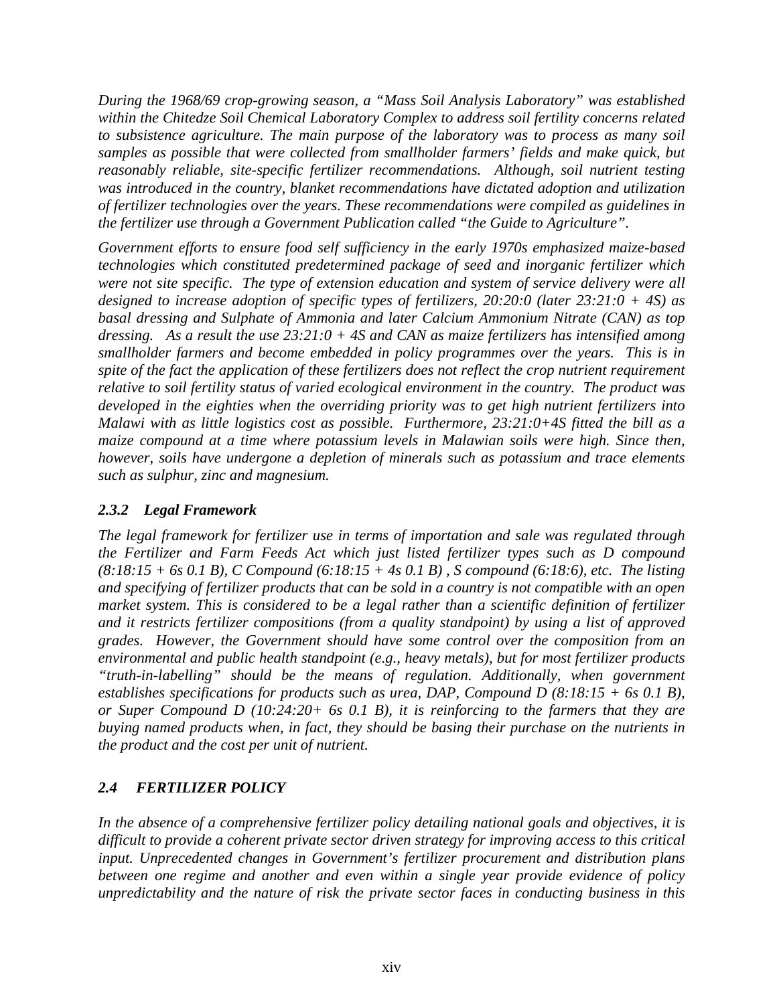*During the 1968/69 crop-growing season, a "Mass Soil Analysis Laboratory" was established within the Chitedze Soil Chemical Laboratory Complex to address soil fertility concerns related to subsistence agriculture. The main purpose of the laboratory was to process as many soil*  samples as possible that were collected from smallholder farmers' fields and make quick, but *reasonably reliable, site-specific fertilizer recommendations. Although, soil nutrient testing was introduced in the country, blanket recommendations have dictated adoption and utilization of fertilizer technologies over the years. These recommendations were compiled as guidelines in the fertilizer use through a Government Publication called "the Guide to Agriculture".* 

*Government efforts to ensure food self sufficiency in the early 1970s emphasized maize-based technologies which constituted predetermined package of seed and inorganic fertilizer which were not site specific. The type of extension education and system of service delivery were all designed to increase adoption of specific types of fertilizers, 20:20:0 (later 23:21:0 + 4S) as basal dressing and Sulphate of Ammonia and later Calcium Ammonium Nitrate (CAN) as top dressing. As a result the use 23:21:0 + 4S and CAN as maize fertilizers has intensified among smallholder farmers and become embedded in policy programmes over the years. This is in spite of the fact the application of these fertilizers does not reflect the crop nutrient requirement relative to soil fertility status of varied ecological environment in the country. The product was developed in the eighties when the overriding priority was to get high nutrient fertilizers into Malawi with as little logistics cost as possible. Furthermore, 23:21:0+4S fitted the bill as a maize compound at a time where potassium levels in Malawian soils were high. Since then, however, soils have undergone a depletion of minerals such as potassium and trace elements such as sulphur, zinc and magnesium.* 

### *2.3.2 Legal Framework*

*The legal framework for fertilizer use in terms of importation and sale was regulated through the Fertilizer and Farm Feeds Act which just listed fertilizer types such as D compound (8:18:15 + 6s 0.1 B), C Compound (6:18:15 + 4s 0.1 B) , S compound (6:18:6), etc. The listing and specifying of fertilizer products that can be sold in a country is not compatible with an open market system. This is considered to be a legal rather than a scientific definition of fertilizer and it restricts fertilizer compositions (from a quality standpoint) by using a list of approved grades. However, the Government should have some control over the composition from an environmental and public health standpoint (e.g., heavy metals), but for most fertilizer products "truth-in-labelling" should be the means of regulation. Additionally, when government establishes specifications for products such as urea, DAP, Compound D (8:18:15 + 6s 0.1 B), or Super Compound D (10:24:20+ 6s 0.1 B), it is reinforcing to the farmers that they are buying named products when, in fact, they should be basing their purchase on the nutrients in the product and the cost per unit of nutrient.* 

## *2.4 FERTILIZER POLICY*

*In the absence of a comprehensive fertilizer policy detailing national goals and objectives, it is difficult to provide a coherent private sector driven strategy for improving access to this critical input. Unprecedented changes in Government's fertilizer procurement and distribution plans between one regime and another and even within a single year provide evidence of policy unpredictability and the nature of risk the private sector faces in conducting business in this*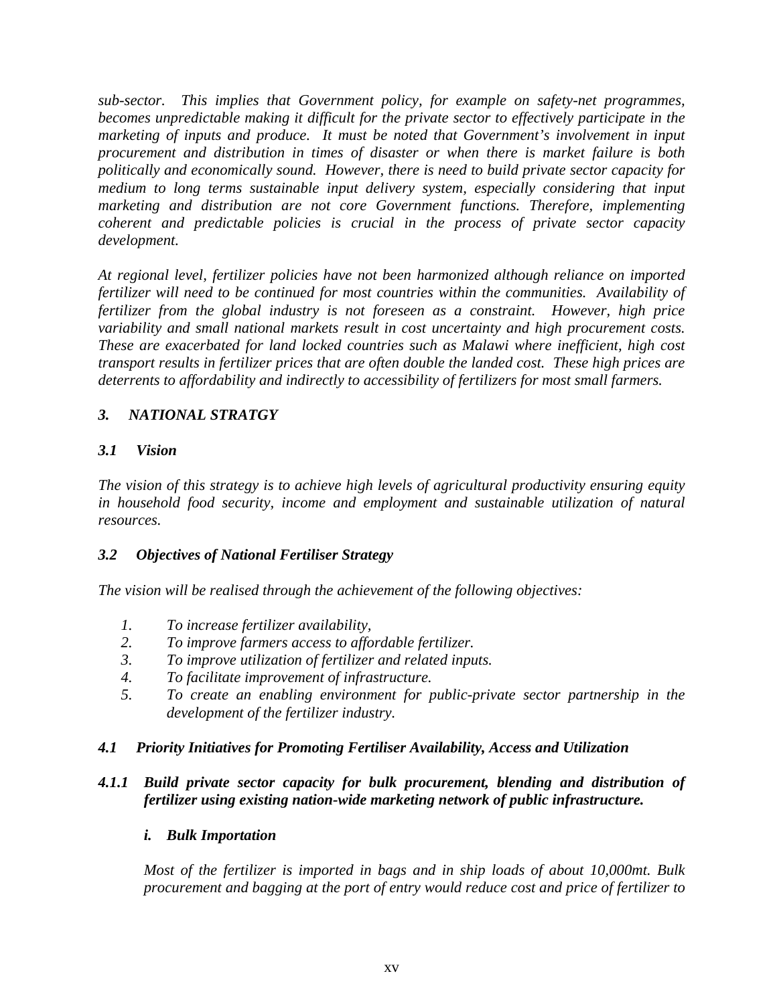*sub-sector. This implies that Government policy, for example on safety-net programmes, becomes unpredictable making it difficult for the private sector to effectively participate in the marketing of inputs and produce. It must be noted that Government's involvement in input procurement and distribution in times of disaster or when there is market failure is both politically and economically sound. However, there is need to build private sector capacity for medium to long terms sustainable input delivery system, especially considering that input marketing and distribution are not core Government functions. Therefore, implementing coherent and predictable policies is crucial in the process of private sector capacity development.* 

*At regional level, fertilizer policies have not been harmonized although reliance on imported fertilizer will need to be continued for most countries within the communities. Availability of fertilizer from the global industry is not foreseen as a constraint. However, high price variability and small national markets result in cost uncertainty and high procurement costs. These are exacerbated for land locked countries such as Malawi where inefficient, high cost transport results in fertilizer prices that are often double the landed cost. These high prices are deterrents to affordability and indirectly to accessibility of fertilizers for most small farmers.* 

### *3. NATIONAL STRATGY*

### *3.1 Vision*

*The vision of this strategy is to achieve high levels of agricultural productivity ensuring equity in household food security, income and employment and sustainable utilization of natural resources.* 

### *3.2 Objectives of National Fertiliser Strategy*

*The vision will be realised through the achievement of the following objectives:* 

- *1. To increase fertilizer availability,*
- *2. To improve farmers access to affordable fertilizer.*
- *3. To improve utilization of fertilizer and related inputs.*
- *4. To facilitate improvement of infrastructure.*
- *5. To create an enabling environment for public-private sector partnership in the development of the fertilizer industry.*

### *4.1 Priority Initiatives for Promoting Fertiliser Availability, Access and Utilization*

### *4.1.1 Build private sector capacity for bulk procurement, blending and distribution of fertilizer using existing nation-wide marketing network of public infrastructure.*

### *i. Bulk Importation*

*Most of the fertilizer is imported in bags and in ship loads of about 10,000mt. Bulk procurement and bagging at the port of entry would reduce cost and price of fertilizer to*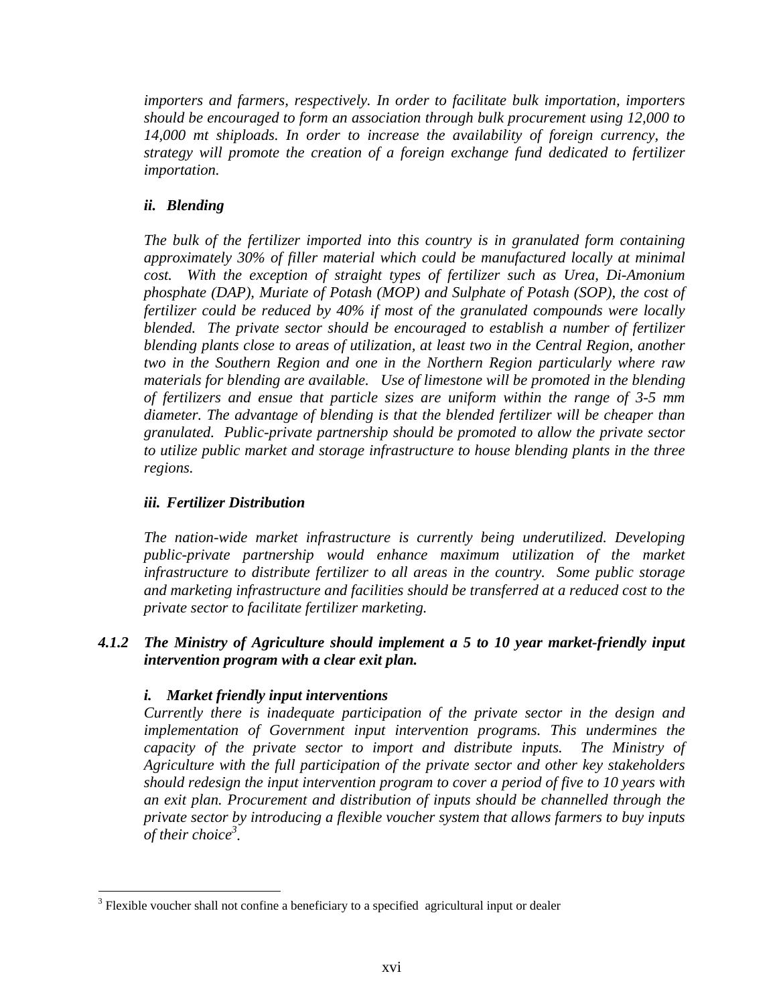*importers and farmers, respectively. In order to facilitate bulk importation, importers should be encouraged to form an association through bulk procurement using 12,000 to 14,000 mt shiploads. In order to increase the availability of foreign currency, the strategy will promote the creation of a foreign exchange fund dedicated to fertilizer importation.* 

### *ii. Blending*

*The bulk of the fertilizer imported into this country is in granulated form containing approximately 30% of filler material which could be manufactured locally at minimal cost. With the exception of straight types of fertilizer such as Urea, Di-Amonium phosphate (DAP), Muriate of Potash (MOP) and Sulphate of Potash (SOP), the cost of fertilizer could be reduced by 40% if most of the granulated compounds were locally blended. The private sector should be encouraged to establish a number of fertilizer blending plants close to areas of utilization, at least two in the Central Region, another two in the Southern Region and one in the Northern Region particularly where raw materials for blending are available. Use of limestone will be promoted in the blending of fertilizers and ensue that particle sizes are uniform within the range of 3-5 mm diameter. The advantage of blending is that the blended fertilizer will be cheaper than granulated. Public-private partnership should be promoted to allow the private sector to utilize public market and storage infrastructure to house blending plants in the three regions.* 

### *iii. Fertilizer Distribution*

 $\overline{a}$ 

*The nation-wide market infrastructure is currently being underutilized. Developing public-private partnership would enhance maximum utilization of the market infrastructure to distribute fertilizer to all areas in the country. Some public storage and marketing infrastructure and facilities should be transferred at a reduced cost to the private sector to facilitate fertilizer marketing.* 

### *4.1.2 The Ministry of Agriculture should implement a 5 to 10 year market-friendly input intervention program with a clear exit plan.*

#### *i. Market friendly input interventions*

*Currently there is inadequate participation of the private sector in the design and implementation of Government input intervention programs. This undermines the capacity of the private sector to import and distribute inputs. The Ministry of Agriculture with the full participation of the private sector and other key stakeholders should redesign the input intervention program to cover a period of five to 10 years with an exit plan. Procurement and distribution of inputs should be channelled through the private sector by introducing a flexible voucher system that allows farmers to buy inputs of their choice3 .* 

 $3$  Flexible voucher shall not confine a beneficiary to a specified agricultural input or dealer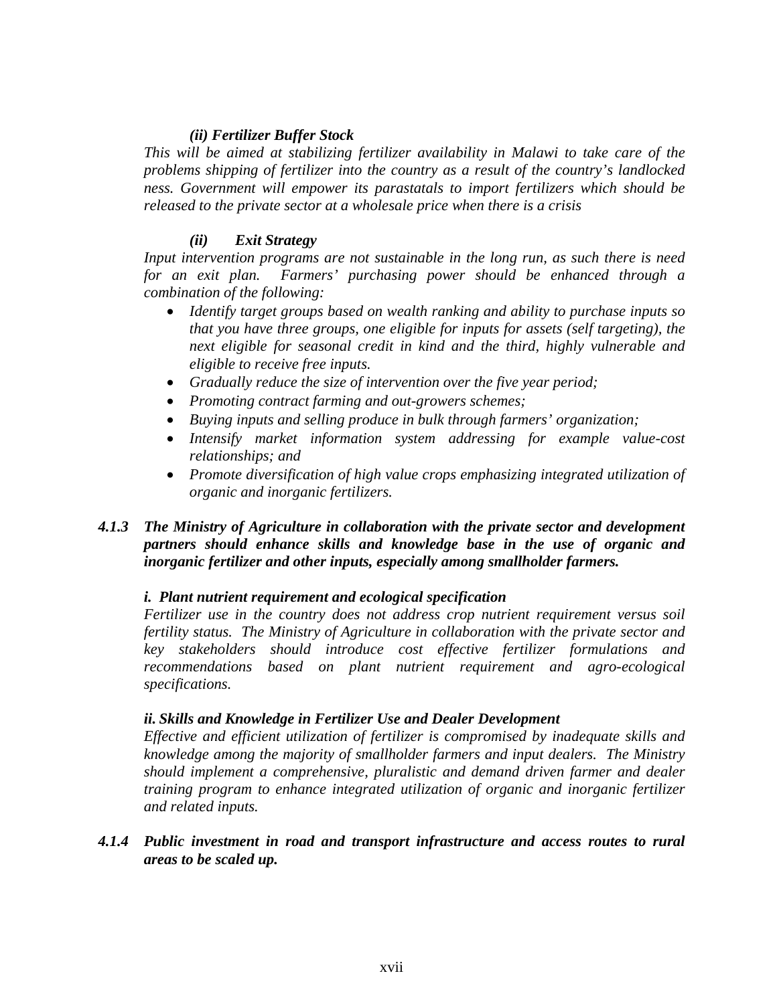#### *(ii) Fertilizer Buffer Stock*

*This will be aimed at stabilizing fertilizer availability in Malawi to take care of the problems shipping of fertilizer into the country as a result of the country's landlocked ness. Government will empower its parastatals to import fertilizers which should be released to the private sector at a wholesale price when there is a crisis* 

#### *(ii) Exit Strategy*

*Input intervention programs are not sustainable in the long run, as such there is need for an exit plan. Farmers' purchasing power should be enhanced through a combination of the following:* 

- *Identify target groups based on wealth ranking and ability to purchase inputs so that you have three groups, one eligible for inputs for assets (self targeting), the next eligible for seasonal credit in kind and the third, highly vulnerable and eligible to receive free inputs.*
- *Gradually reduce the size of intervention over the five year period;*
- *Promoting contract farming and out-growers schemes;*
- *Buying inputs and selling produce in bulk through farmers' organization;*
- *Intensify market information system addressing for example value-cost relationships; and*
- *Promote diversification of high value crops emphasizing integrated utilization of organic and inorganic fertilizers.*

#### *4.1.3 The Ministry of Agriculture in collaboration with the private sector and development partners should enhance skills and knowledge base in the use of organic and inorganic fertilizer and other inputs, especially among smallholder farmers.*

#### *i. Plant nutrient requirement and ecological specification*

*Fertilizer use in the country does not address crop nutrient requirement versus soil fertility status. The Ministry of Agriculture in collaboration with the private sector and key stakeholders should introduce cost effective fertilizer formulations and recommendations based on plant nutrient requirement and agro-ecological specifications.* 

#### *ii. Skills and Knowledge in Fertilizer Use and Dealer Development*

*Effective and efficient utilization of fertilizer is compromised by inadequate skills and knowledge among the majority of smallholder farmers and input dealers. The Ministry should implement a comprehensive, pluralistic and demand driven farmer and dealer training program to enhance integrated utilization of organic and inorganic fertilizer and related inputs.* 

*4.1.4 Public investment in road and transport infrastructure and access routes to rural areas to be scaled up.*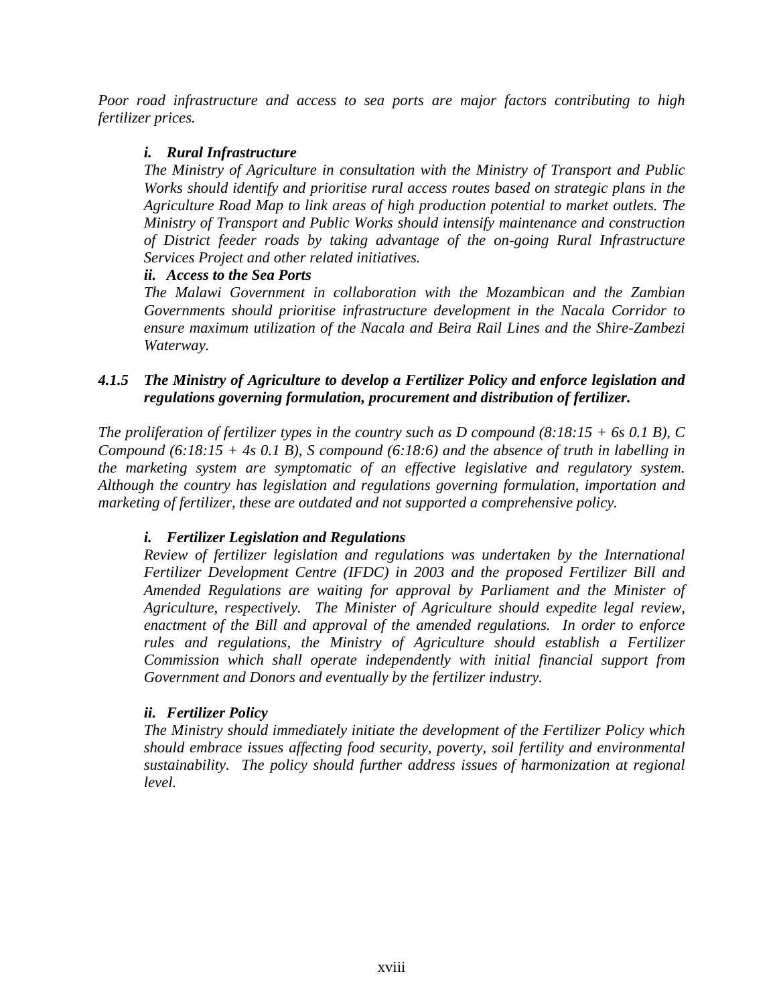*Poor road infrastructure and access to sea ports are major factors contributing to high fertilizer prices.* 

### *i. Rural Infrastructure*

*The Ministry of Agriculture in consultation with the Ministry of Transport and Public Works should identify and prioritise rural access routes based on strategic plans in the Agriculture Road Map to link areas of high production potential to market outlets. The Ministry of Transport and Public Works should intensify maintenance and construction of District feeder roads by taking advantage of the on-going Rural Infrastructure Services Project and other related initiatives.* 

#### *ii. Access to the Sea Ports*

*The Malawi Government in collaboration with the Mozambican and the Zambian Governments should prioritise infrastructure development in the Nacala Corridor to ensure maximum utilization of the Nacala and Beira Rail Lines and the Shire-Zambezi Waterway.* 

### *4.1.5 The Ministry of Agriculture to develop a Fertilizer Policy and enforce legislation and regulations governing formulation, procurement and distribution of fertilizer.*

*The proliferation of fertilizer types in the country such as D compound (8:18:15 + 6s 0.1 B), C Compound (6:18:15 + 4s 0.1 B), S compound (6:18:6) and the absence of truth in labelling in the marketing system are symptomatic of an effective legislative and regulatory system. Although the country has legislation and regulations governing formulation, importation and marketing of fertilizer, these are outdated and not supported a comprehensive policy.* 

### *i. Fertilizer Legislation and Regulations*

*Review of fertilizer legislation and regulations was undertaken by the International Fertilizer Development Centre (IFDC) in 2003 and the proposed Fertilizer Bill and Amended Regulations are waiting for approval by Parliament and the Minister of Agriculture, respectively. The Minister of Agriculture should expedite legal review, enactment of the Bill and approval of the amended regulations. In order to enforce rules and regulations, the Ministry of Agriculture should establish a Fertilizer Commission which shall operate independently with initial financial support from Government and Donors and eventually by the fertilizer industry.* 

### *ii. Fertilizer Policy*

*The Ministry should immediately initiate the development of the Fertilizer Policy which should embrace issues affecting food security, poverty, soil fertility and environmental sustainability. The policy should further address issues of harmonization at regional level.*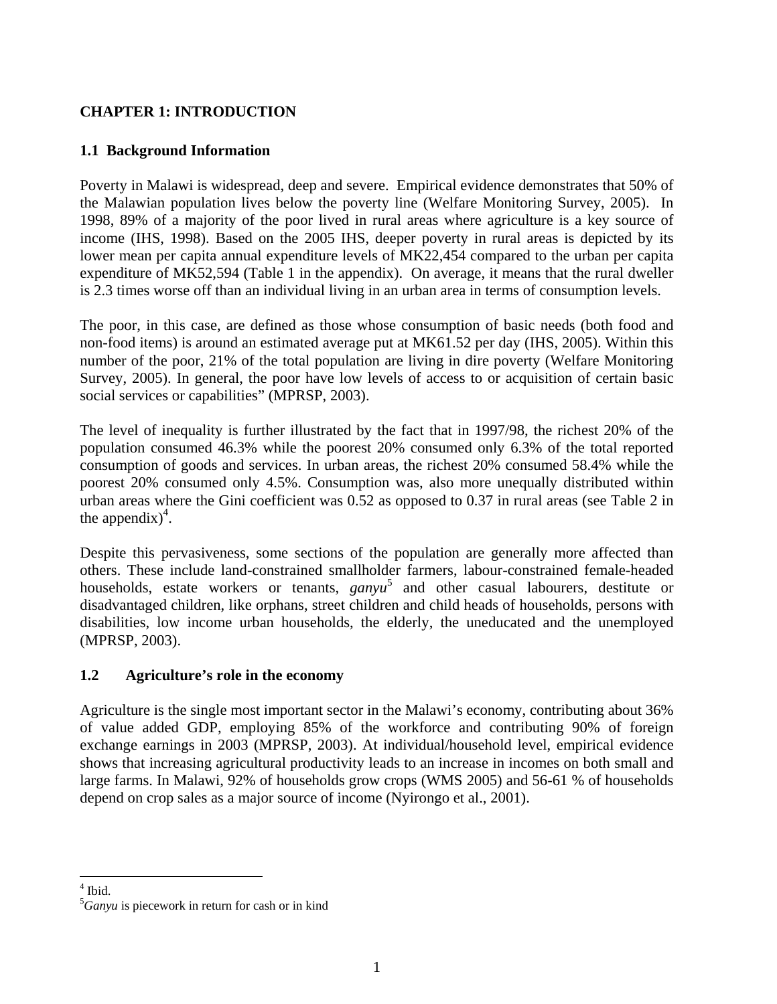### **CHAPTER 1: INTRODUCTION**

### **1.1 Background Information**

Poverty in Malawi is widespread, deep and severe. Empirical evidence demonstrates that 50% of the Malawian population lives below the poverty line (Welfare Monitoring Survey, 2005). In 1998, 89% of a majority of the poor lived in rural areas where agriculture is a key source of income (IHS, 1998). Based on the 2005 IHS, deeper poverty in rural areas is depicted by its lower mean per capita annual expenditure levels of MK22,454 compared to the urban per capita expenditure of MK52,594 (Table 1 in the appendix). On average, it means that the rural dweller is 2.3 times worse off than an individual living in an urban area in terms of consumption levels.

The poor, in this case, are defined as those whose consumption of basic needs (both food and non-food items) is around an estimated average put at MK61.52 per day (IHS, 2005). Within this number of the poor, 21% of the total population are living in dire poverty (Welfare Monitoring Survey, 2005). In general, the poor have low levels of access to or acquisition of certain basic social services or capabilities" (MPRSP, 2003).

The level of inequality is further illustrated by the fact that in 1997/98, the richest 20% of the population consumed 46.3% while the poorest 20% consumed only 6.3% of the total reported consumption of goods and services. In urban areas, the richest 20% consumed 58.4% while the poorest 20% consumed only 4.5%. Consumption was, also more unequally distributed within urban areas where the Gini coefficient was 0.52 as opposed to 0.37 in rural areas (see Table 2 in the appendix)<sup>4</sup>.

Despite this pervasiveness, some sections of the population are generally more affected than others. These include land-constrained smallholder farmers, labour-constrained female-headed households, estate workers or tenants, *ganyu* <sup>5</sup> and other casual labourers, destitute or disadvantaged children, like orphans, street children and child heads of households, persons with disabilities, low income urban households, the elderly, the uneducated and the unemployed (MPRSP, 2003).

### **1.2 Agriculture's role in the economy**

Agriculture is the single most important sector in the Malawi's economy, contributing about 36% of value added GDP, employing 85% of the workforce and contributing 90% of foreign exchange earnings in 2003 (MPRSP, 2003). At individual/household level, empirical evidence shows that increasing agricultural productivity leads to an increase in incomes on both small and large farms. In Malawi, 92% of households grow crops (WMS 2005) and 56-61 % of households depend on crop sales as a major source of income (Nyirongo et al., 2001).

 $4$  Ibid.

<sup>5</sup> *Ganyu* is piecework in return for cash or in kind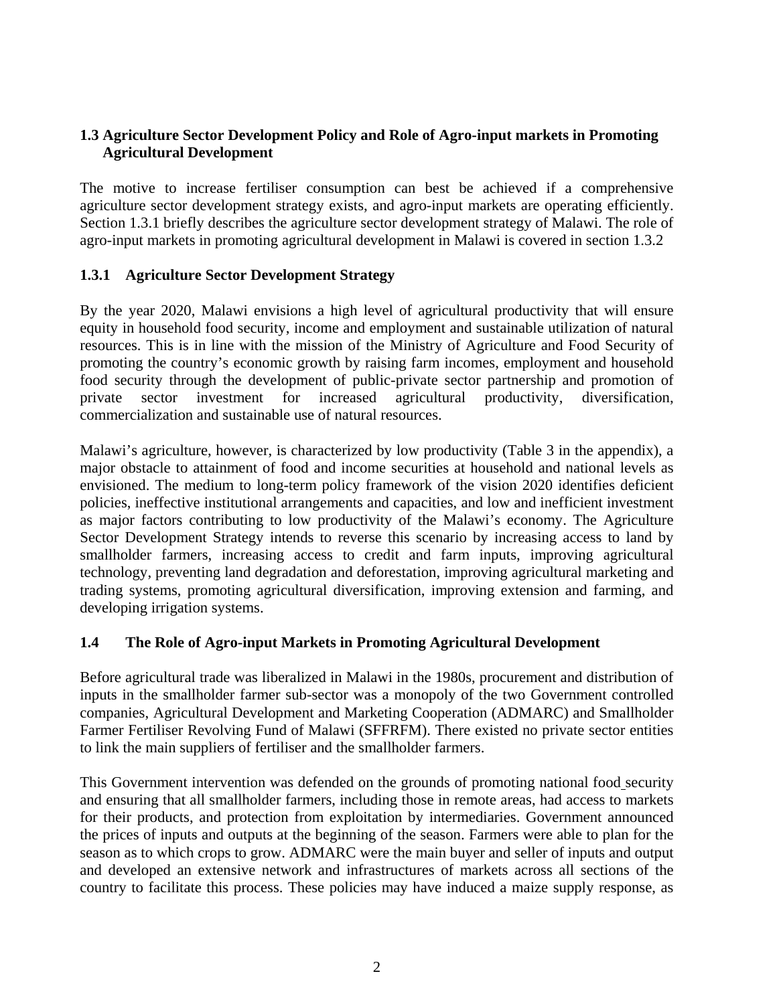### **1.3 Agriculture Sector Development Policy and Role of Agro-input markets in Promoting Agricultural Development**

The motive to increase fertiliser consumption can best be achieved if a comprehensive agriculture sector development strategy exists, and agro-input markets are operating efficiently. Section 1.3.1 briefly describes the agriculture sector development strategy of Malawi. The role of agro-input markets in promoting agricultural development in Malawi is covered in section 1.3.2

#### **1.3.1 Agriculture Sector Development Strategy**

By the year 2020, Malawi envisions a high level of agricultural productivity that will ensure equity in household food security, income and employment and sustainable utilization of natural resources. This is in line with the mission of the Ministry of Agriculture and Food Security of promoting the country's economic growth by raising farm incomes, employment and household food security through the development of public-private sector partnership and promotion of private sector investment for increased agricultural productivity, diversification, commercialization and sustainable use of natural resources.

Malawi's agriculture, however, is characterized by low productivity (Table 3 in the appendix), a major obstacle to attainment of food and income securities at household and national levels as envisioned. The medium to long-term policy framework of the vision 2020 identifies deficient policies, ineffective institutional arrangements and capacities, and low and inefficient investment as major factors contributing to low productivity of the Malawi's economy. The Agriculture Sector Development Strategy intends to reverse this scenario by increasing access to land by smallholder farmers, increasing access to credit and farm inputs, improving agricultural technology, preventing land degradation and deforestation, improving agricultural marketing and trading systems, promoting agricultural diversification, improving extension and farming, and developing irrigation systems.

### **1.4 The Role of Agro-input Markets in Promoting Agricultural Development**

Before agricultural trade was liberalized in Malawi in the 1980s, procurement and distribution of inputs in the smallholder farmer sub-sector was a monopoly of the two Government controlled companies, Agricultural Development and Marketing Cooperation (ADMARC) and Smallholder Farmer Fertiliser Revolving Fund of Malawi (SFFRFM). There existed no private sector entities to link the main suppliers of fertiliser and the smallholder farmers.

This Government intervention was defended on the grounds of promoting national food security and ensuring that all smallholder farmers, including those in remote areas, had access to markets for their products, and protection from exploitation by intermediaries. Government announced the prices of inputs and outputs at the beginning of the season. Farmers were able to plan for the season as to which crops to grow. ADMARC were the main buyer and seller of inputs and output and developed an extensive network and infrastructures of markets across all sections of the country to facilitate this process. These policies may have induced a maize supply response, as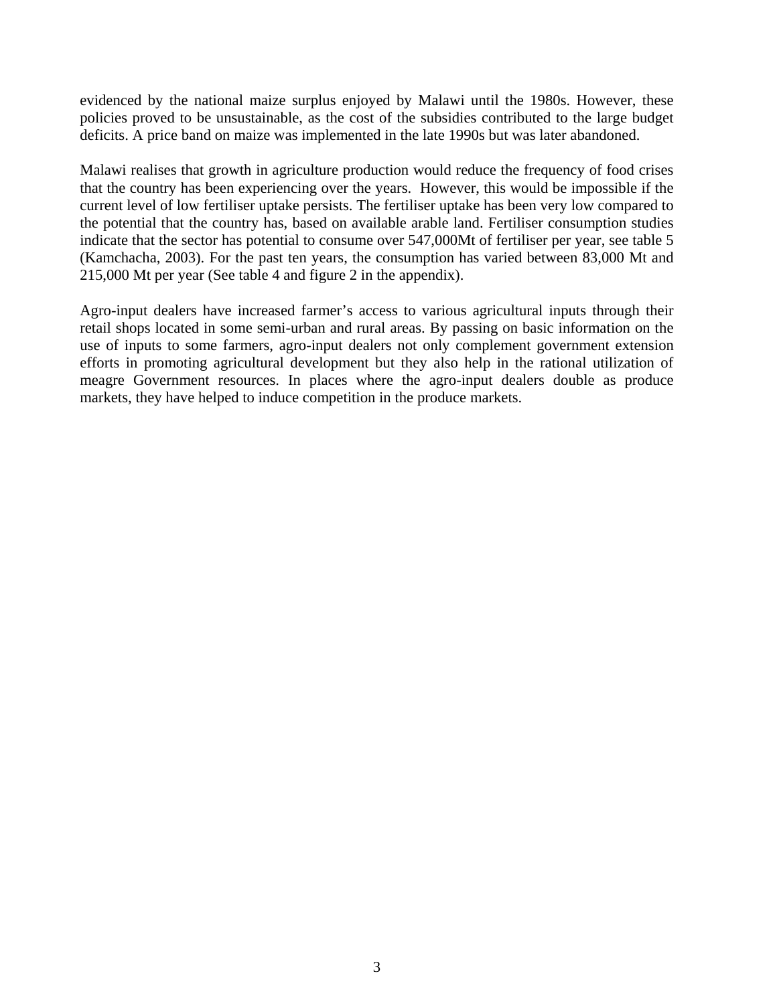evidenced by the national maize surplus enjoyed by Malawi until the 1980s. However, these policies proved to be unsustainable, as the cost of the subsidies contributed to the large budget deficits. A price band on maize was implemented in the late 1990s but was later abandoned.

Malawi realises that growth in agriculture production would reduce the frequency of food crises that the country has been experiencing over the years. However, this would be impossible if the current level of low fertiliser uptake persists. The fertiliser uptake has been very low compared to the potential that the country has, based on available arable land. Fertiliser consumption studies indicate that the sector has potential to consume over 547,000Mt of fertiliser per year, see table 5 (Kamchacha, 2003). For the past ten years, the consumption has varied between 83,000 Mt and 215,000 Mt per year (See table 4 and figure 2 in the appendix).

Agro-input dealers have increased farmer's access to various agricultural inputs through their retail shops located in some semi-urban and rural areas. By passing on basic information on the use of inputs to some farmers, agro-input dealers not only complement government extension efforts in promoting agricultural development but they also help in the rational utilization of meagre Government resources. In places where the agro-input dealers double as produce markets, they have helped to induce competition in the produce markets.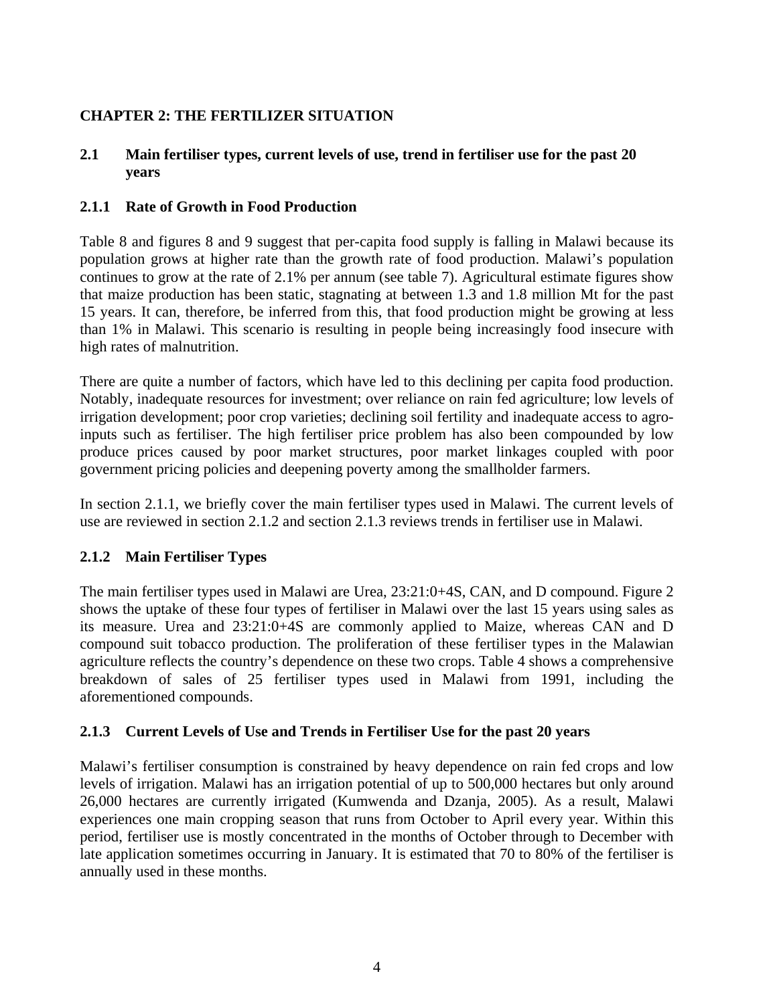## **CHAPTER 2: THE FERTILIZER SITUATION**

### **2.1 Main fertiliser types, current levels of use, trend in fertiliser use for the past 20 years**

### **2.1.1 Rate of Growth in Food Production**

Table 8 and figures 8 and 9 suggest that per-capita food supply is falling in Malawi because its population grows at higher rate than the growth rate of food production. Malawi's population continues to grow at the rate of 2.1% per annum (see table 7). Agricultural estimate figures show that maize production has been static, stagnating at between 1.3 and 1.8 million Mt for the past 15 years. It can, therefore, be inferred from this, that food production might be growing at less than 1% in Malawi. This scenario is resulting in people being increasingly food insecure with high rates of malnutrition.

There are quite a number of factors, which have led to this declining per capita food production. Notably, inadequate resources for investment; over reliance on rain fed agriculture; low levels of irrigation development; poor crop varieties; declining soil fertility and inadequate access to agroinputs such as fertiliser. The high fertiliser price problem has also been compounded by low produce prices caused by poor market structures, poor market linkages coupled with poor government pricing policies and deepening poverty among the smallholder farmers.

In section 2.1.1, we briefly cover the main fertiliser types used in Malawi. The current levels of use are reviewed in section 2.1.2 and section 2.1.3 reviews trends in fertiliser use in Malawi.

### **2.1.2 Main Fertiliser Types**

The main fertiliser types used in Malawi are Urea, 23:21:0+4S, CAN, and D compound. Figure 2 shows the uptake of these four types of fertiliser in Malawi over the last 15 years using sales as its measure. Urea and 23:21:0+4S are commonly applied to Maize, whereas CAN and D compound suit tobacco production. The proliferation of these fertiliser types in the Malawian agriculture reflects the country's dependence on these two crops. Table 4 shows a comprehensive breakdown of sales of 25 fertiliser types used in Malawi from 1991, including the aforementioned compounds.

### **2.1.3 Current Levels of Use and Trends in Fertiliser Use for the past 20 years**

Malawi's fertiliser consumption is constrained by heavy dependence on rain fed crops and low levels of irrigation. Malawi has an irrigation potential of up to 500,000 hectares but only around 26,000 hectares are currently irrigated (Kumwenda and Dzanja, 2005). As a result, Malawi experiences one main cropping season that runs from October to April every year. Within this period, fertiliser use is mostly concentrated in the months of October through to December with late application sometimes occurring in January. It is estimated that 70 to 80% of the fertiliser is annually used in these months.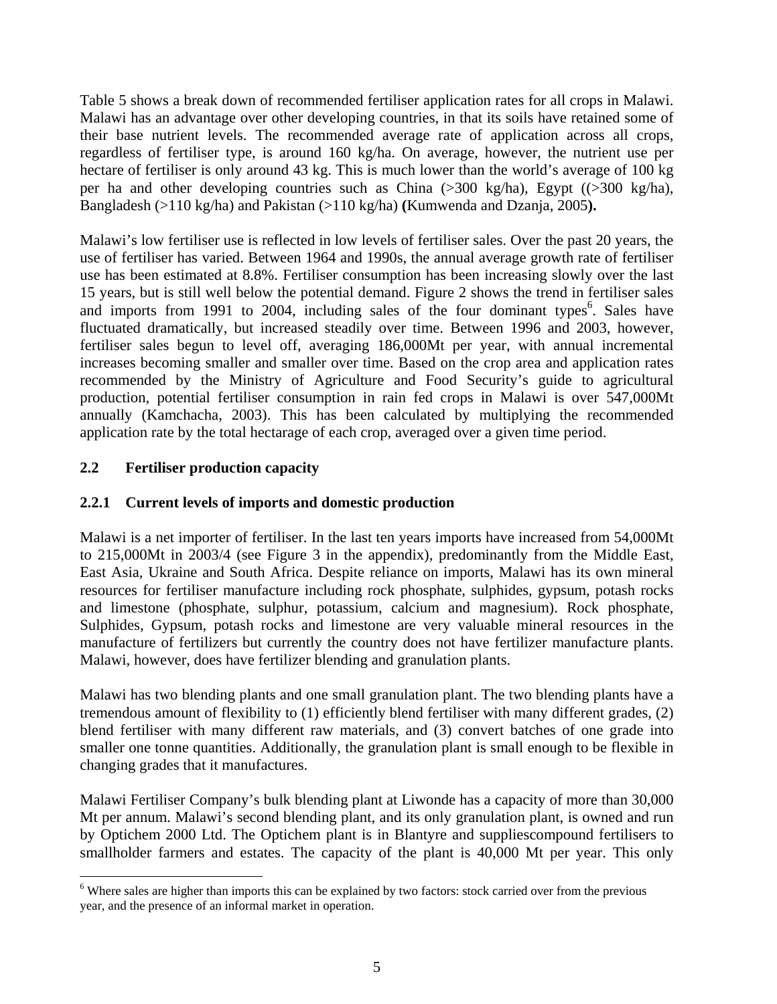Table 5 shows a break down of recommended fertiliser application rates for all crops in Malawi. Malawi has an advantage over other developing countries, in that its soils have retained some of their base nutrient levels. The recommended average rate of application across all crops, regardless of fertiliser type, is around 160 kg/ha. On average, however, the nutrient use per hectare of fertiliser is only around 43 kg. This is much lower than the world's average of 100 kg per ha and other developing countries such as China (>300 kg/ha), Egypt ((>300 kg/ha), Bangladesh (>110 kg/ha) and Pakistan (>110 kg/ha) **(**Kumwenda and Dzanja, 2005**).** 

Malawi's low fertiliser use is reflected in low levels of fertiliser sales. Over the past 20 years, the use of fertiliser has varied. Between 1964 and 1990s, the annual average growth rate of fertiliser use has been estimated at 8.8%. Fertiliser consumption has been increasing slowly over the last 15 years, but is still well below the potential demand. Figure 2 shows the trend in fertiliser sales and imports from 1991 to 2004, including sales of the four dominant types<sup>6</sup>. Sales have fluctuated dramatically, but increased steadily over time. Between 1996 and 2003, however, fertiliser sales begun to level off, averaging 186,000Mt per year, with annual incremental increases becoming smaller and smaller over time. Based on the crop area and application rates recommended by the Ministry of Agriculture and Food Security's guide to agricultural production, potential fertiliser consumption in rain fed crops in Malawi is over 547,000Mt annually (Kamchacha, 2003). This has been calculated by multiplying the recommended application rate by the total hectarage of each crop, averaged over a given time period.

### **2.2 Fertiliser production capacity**

 $\overline{a}$ 

### **2.2.1 Current levels of imports and domestic production**

Malawi is a net importer of fertiliser. In the last ten years imports have increased from 54,000Mt to 215,000Mt in 2003/4 (see Figure 3 in the appendix), predominantly from the Middle East, East Asia, Ukraine and South Africa. Despite reliance on imports, Malawi has its own mineral resources for fertiliser manufacture including rock phosphate, sulphides, gypsum, potash rocks and limestone (phosphate, sulphur, potassium, calcium and magnesium). Rock phosphate, Sulphides, Gypsum, potash rocks and limestone are very valuable mineral resources in the manufacture of fertilizers but currently the country does not have fertilizer manufacture plants. Malawi, however, does have fertilizer blending and granulation plants.

Malawi has two blending plants and one small granulation plant. The two blending plants have a tremendous amount of flexibility to (1) efficiently blend fertiliser with many different grades, (2) blend fertiliser with many different raw materials, and (3) convert batches of one grade into smaller one tonne quantities. Additionally, the granulation plant is small enough to be flexible in changing grades that it manufactures.

Malawi Fertiliser Company's bulk blending plant at Liwonde has a capacity of more than 30,000 Mt per annum. Malawi's second blending plant, and its only granulation plant, is owned and run by Optichem 2000 Ltd. The Optichem plant is in Blantyre and suppliescompound fertilisers to smallholder farmers and estates. The capacity of the plant is 40,000 Mt per year. This only

<sup>&</sup>lt;sup>6</sup> Where sales are higher than imports this can be explained by two factors: stock carried over from the previous year, and the presence of an informal market in operation.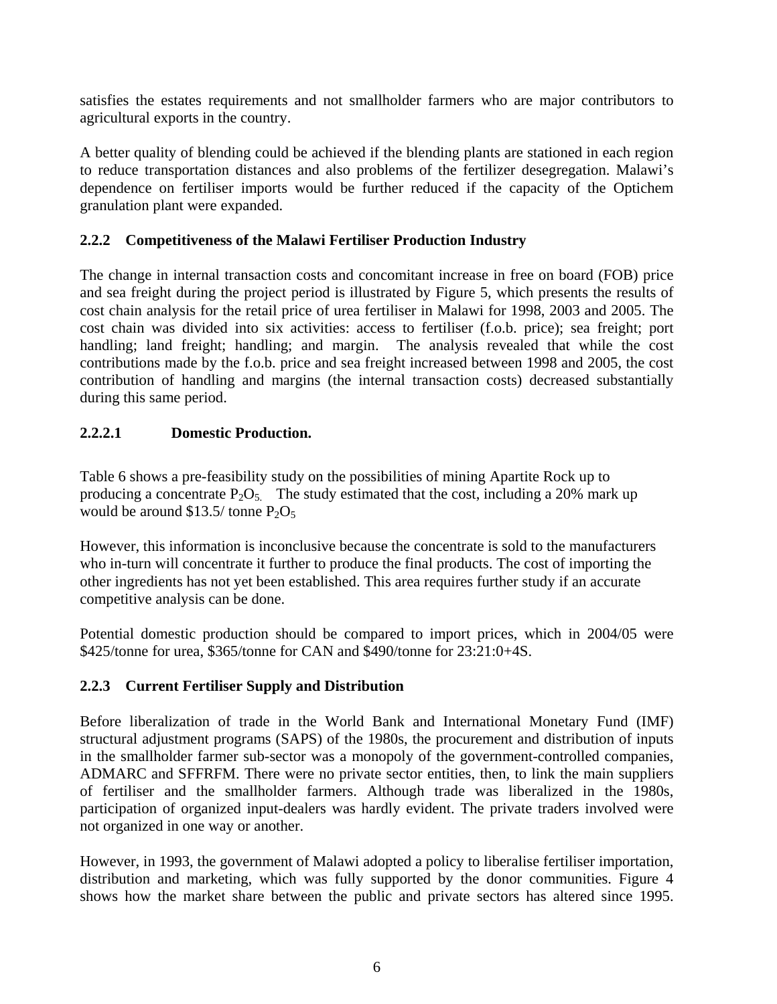satisfies the estates requirements and not smallholder farmers who are major contributors to agricultural exports in the country.

A better quality of blending could be achieved if the blending plants are stationed in each region to reduce transportation distances and also problems of the fertilizer desegregation. Malawi's dependence on fertiliser imports would be further reduced if the capacity of the Optichem granulation plant were expanded.

### **2.2.2 Competitiveness of the Malawi Fertiliser Production Industry**

The change in internal transaction costs and concomitant increase in free on board (FOB) price and sea freight during the project period is illustrated by Figure 5, which presents the results of cost chain analysis for the retail price of urea fertiliser in Malawi for 1998, 2003 and 2005. The cost chain was divided into six activities: access to fertiliser (f.o.b. price); sea freight; port handling; land freight; handling; and margin. The analysis revealed that while the cost contributions made by the f.o.b. price and sea freight increased between 1998 and 2005, the cost contribution of handling and margins (the internal transaction costs) decreased substantially during this same period.

## **2.2.2.1 Domestic Production.**

Table 6 shows a pre-feasibility study on the possibilities of mining Apartite Rock up to producing a concentrate  $P_2O_5$ . The study estimated that the cost, including a 20% mark up would be around  $$13.5/$  tonne  $P_2O_5$ 

However, this information is inconclusive because the concentrate is sold to the manufacturers who in-turn will concentrate it further to produce the final products. The cost of importing the other ingredients has not yet been established. This area requires further study if an accurate competitive analysis can be done.

Potential domestic production should be compared to import prices, which in 2004/05 were \$425/tonne for urea, \$365/tonne for CAN and \$490/tonne for 23:21:0+4S.

## **2.2.3 Current Fertiliser Supply and Distribution**

Before liberalization of trade in the World Bank and International Monetary Fund (IMF) structural adjustment programs (SAPS) of the 1980s, the procurement and distribution of inputs in the smallholder farmer sub-sector was a monopoly of the government-controlled companies, ADMARC and SFFRFM. There were no private sector entities, then, to link the main suppliers of fertiliser and the smallholder farmers. Although trade was liberalized in the 1980s, participation of organized input-dealers was hardly evident. The private traders involved were not organized in one way or another.

However, in 1993, the government of Malawi adopted a policy to liberalise fertiliser importation, distribution and marketing, which was fully supported by the donor communities. Figure 4 shows how the market share between the public and private sectors has altered since 1995.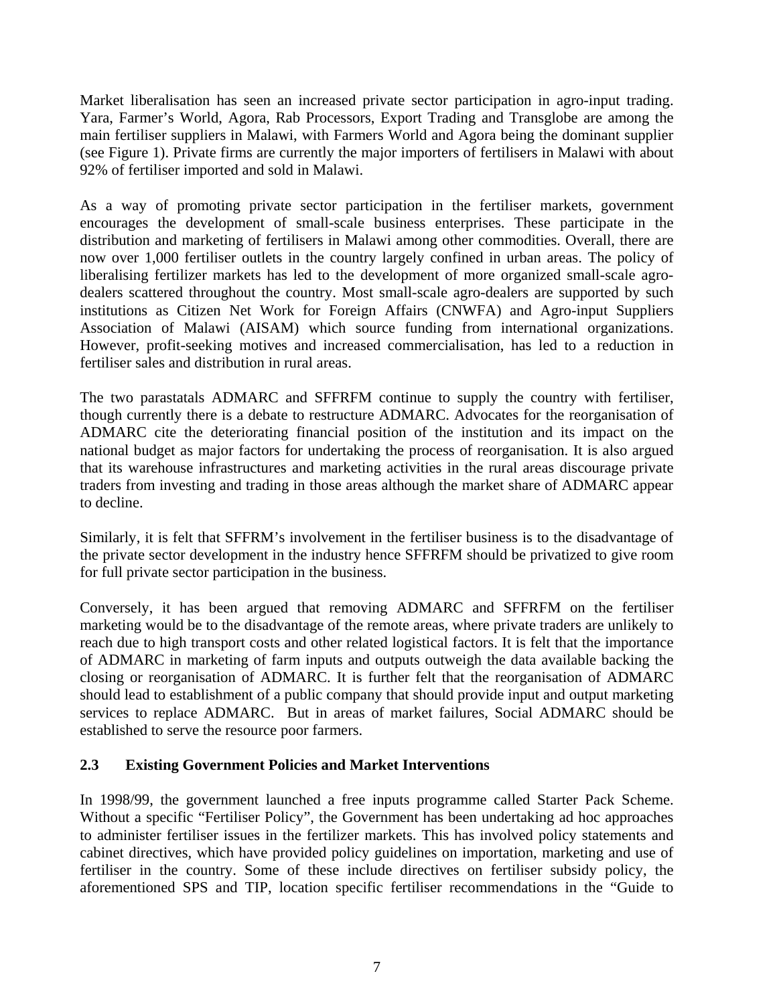Market liberalisation has seen an increased private sector participation in agro-input trading. Yara, Farmer's World, Agora, Rab Processors, Export Trading and Transglobe are among the main fertiliser suppliers in Malawi, with Farmers World and Agora being the dominant supplier (see Figure 1). Private firms are currently the major importers of fertilisers in Malawi with about 92% of fertiliser imported and sold in Malawi.

As a way of promoting private sector participation in the fertiliser markets, government encourages the development of small-scale business enterprises. These participate in the distribution and marketing of fertilisers in Malawi among other commodities. Overall, there are now over 1,000 fertiliser outlets in the country largely confined in urban areas. The policy of liberalising fertilizer markets has led to the development of more organized small-scale agrodealers scattered throughout the country. Most small-scale agro-dealers are supported by such institutions as Citizen Net Work for Foreign Affairs (CNWFA) and Agro-input Suppliers Association of Malawi (AISAM) which source funding from international organizations. However, profit-seeking motives and increased commercialisation, has led to a reduction in fertiliser sales and distribution in rural areas.

The two parastatals ADMARC and SFFRFM continue to supply the country with fertiliser, though currently there is a debate to restructure ADMARC. Advocates for the reorganisation of ADMARC cite the deteriorating financial position of the institution and its impact on the national budget as major factors for undertaking the process of reorganisation. It is also argued that its warehouse infrastructures and marketing activities in the rural areas discourage private traders from investing and trading in those areas although the market share of ADMARC appear to decline.

Similarly, it is felt that SFFRM's involvement in the fertiliser business is to the disadvantage of the private sector development in the industry hence SFFRFM should be privatized to give room for full private sector participation in the business.

Conversely, it has been argued that removing ADMARC and SFFRFM on the fertiliser marketing would be to the disadvantage of the remote areas, where private traders are unlikely to reach due to high transport costs and other related logistical factors. It is felt that the importance of ADMARC in marketing of farm inputs and outputs outweigh the data available backing the closing or reorganisation of ADMARC. It is further felt that the reorganisation of ADMARC should lead to establishment of a public company that should provide input and output marketing services to replace ADMARC. But in areas of market failures, Social ADMARC should be established to serve the resource poor farmers.

### **2.3 Existing Government Policies and Market Interventions**

In 1998/99, the government launched a free inputs programme called Starter Pack Scheme. Without a specific "Fertiliser Policy", the Government has been undertaking ad hoc approaches to administer fertiliser issues in the fertilizer markets. This has involved policy statements and cabinet directives, which have provided policy guidelines on importation, marketing and use of fertiliser in the country. Some of these include directives on fertiliser subsidy policy, the aforementioned SPS and TIP, location specific fertiliser recommendations in the "Guide to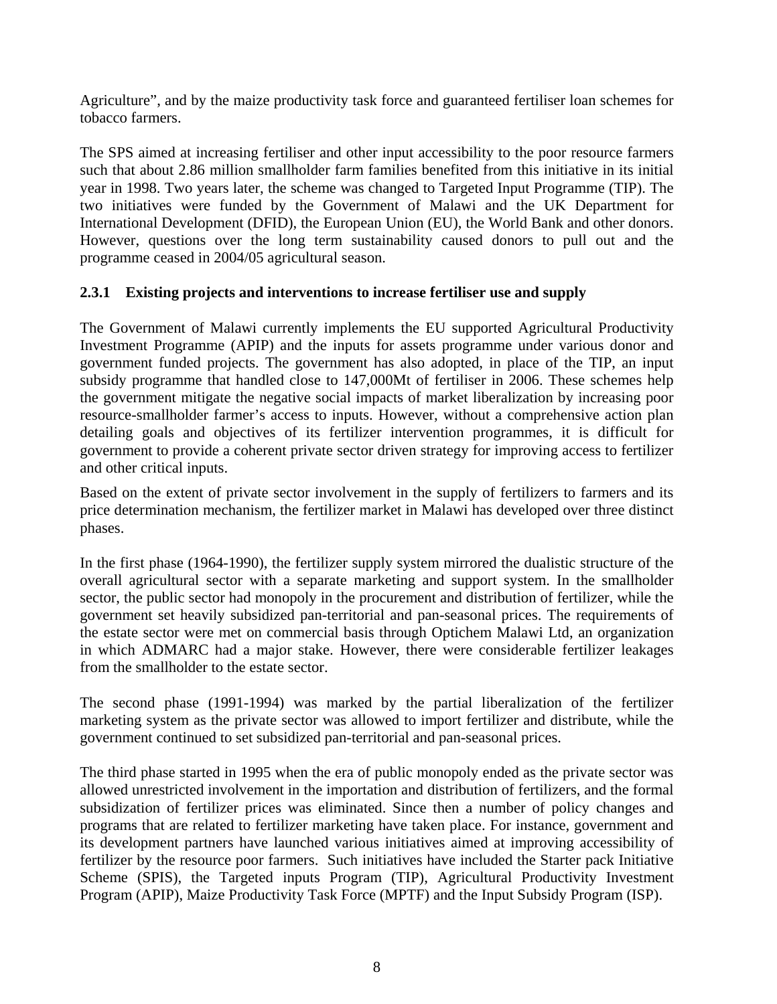Agriculture", and by the maize productivity task force and guaranteed fertiliser loan schemes for tobacco farmers.

The SPS aimed at increasing fertiliser and other input accessibility to the poor resource farmers such that about 2.86 million smallholder farm families benefited from this initiative in its initial year in 1998. Two years later, the scheme was changed to Targeted Input Programme (TIP). The two initiatives were funded by the Government of Malawi and the UK Department for International Development (DFID), the European Union (EU), the World Bank and other donors. However, questions over the long term sustainability caused donors to pull out and the programme ceased in 2004/05 agricultural season.

### **2.3.1 Existing projects and interventions to increase fertiliser use and supply**

The Government of Malawi currently implements the EU supported Agricultural Productivity Investment Programme (APIP) and the inputs for assets programme under various donor and government funded projects. The government has also adopted, in place of the TIP, an input subsidy programme that handled close to 147,000Mt of fertiliser in 2006. These schemes help the government mitigate the negative social impacts of market liberalization by increasing poor resource-smallholder farmer's access to inputs. However, without a comprehensive action plan detailing goals and objectives of its fertilizer intervention programmes, it is difficult for government to provide a coherent private sector driven strategy for improving access to fertilizer and other critical inputs.

Based on the extent of private sector involvement in the supply of fertilizers to farmers and its price determination mechanism, the fertilizer market in Malawi has developed over three distinct phases.

In the first phase (1964-1990), the fertilizer supply system mirrored the dualistic structure of the overall agricultural sector with a separate marketing and support system. In the smallholder sector, the public sector had monopoly in the procurement and distribution of fertilizer, while the government set heavily subsidized pan-territorial and pan-seasonal prices. The requirements of the estate sector were met on commercial basis through Optichem Malawi Ltd, an organization in which ADMARC had a major stake. However, there were considerable fertilizer leakages from the smallholder to the estate sector.

The second phase (1991-1994) was marked by the partial liberalization of the fertilizer marketing system as the private sector was allowed to import fertilizer and distribute, while the government continued to set subsidized pan-territorial and pan-seasonal prices.

The third phase started in 1995 when the era of public monopoly ended as the private sector was allowed unrestricted involvement in the importation and distribution of fertilizers, and the formal subsidization of fertilizer prices was eliminated. Since then a number of policy changes and programs that are related to fertilizer marketing have taken place. For instance, government and its development partners have launched various initiatives aimed at improving accessibility of fertilizer by the resource poor farmers. Such initiatives have included the Starter pack Initiative Scheme (SPIS), the Targeted inputs Program (TIP), Agricultural Productivity Investment Program (APIP), Maize Productivity Task Force (MPTF) and the Input Subsidy Program (ISP).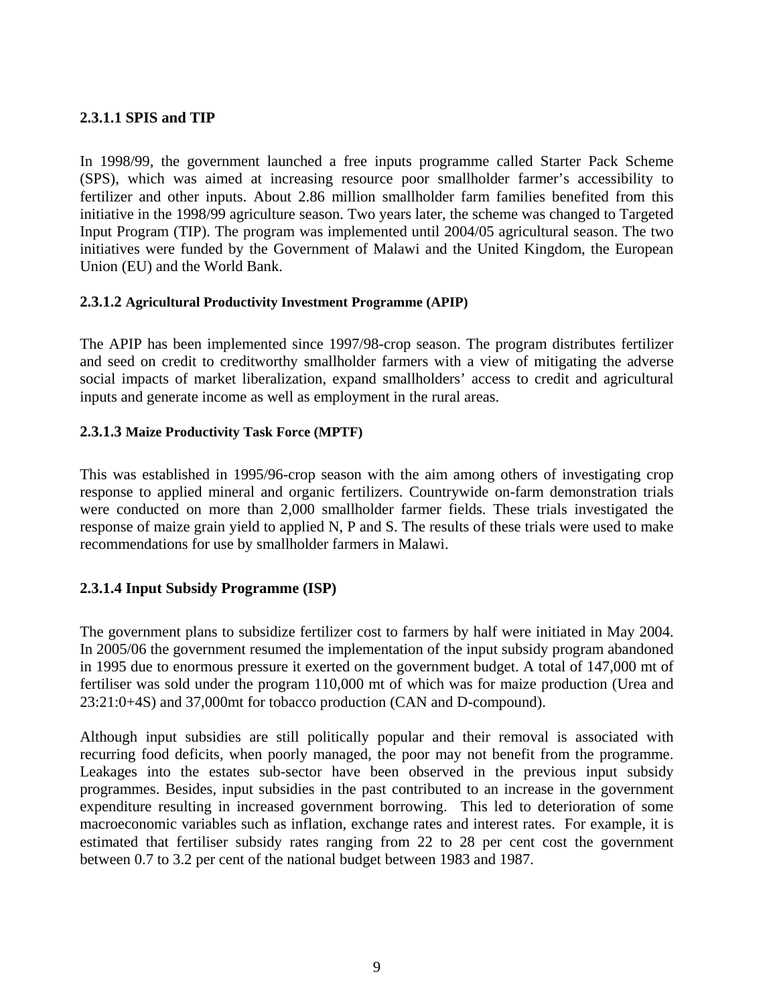### **2.3.1.1 SPIS and TIP**

In 1998/99, the government launched a free inputs programme called Starter Pack Scheme (SPS), which was aimed at increasing resource poor smallholder farmer's accessibility to fertilizer and other inputs. About 2.86 million smallholder farm families benefited from this initiative in the 1998/99 agriculture season. Two years later, the scheme was changed to Targeted Input Program (TIP). The program was implemented until 2004/05 agricultural season. The two initiatives were funded by the Government of Malawi and the United Kingdom, the European Union (EU) and the World Bank.

#### **2.3.1.2 Agricultural Productivity Investment Programme (APIP)**

The APIP has been implemented since 1997/98-crop season. The program distributes fertilizer and seed on credit to creditworthy smallholder farmers with a view of mitigating the adverse social impacts of market liberalization, expand smallholders' access to credit and agricultural inputs and generate income as well as employment in the rural areas.

#### **2.3.1.3 Maize Productivity Task Force (MPTF)**

This was established in 1995/96-crop season with the aim among others of investigating crop response to applied mineral and organic fertilizers. Countrywide on-farm demonstration trials were conducted on more than 2,000 smallholder farmer fields. These trials investigated the response of maize grain yield to applied N, P and S. The results of these trials were used to make recommendations for use by smallholder farmers in Malawi.

#### **2.3.1.4 Input Subsidy Programme (ISP)**

The government plans to subsidize fertilizer cost to farmers by half were initiated in May 2004. In 2005/06 the government resumed the implementation of the input subsidy program abandoned in 1995 due to enormous pressure it exerted on the government budget. A total of 147,000 mt of fertiliser was sold under the program 110,000 mt of which was for maize production (Urea and 23:21:0+4S) and 37,000mt for tobacco production (CAN and D-compound).

Although input subsidies are still politically popular and their removal is associated with recurring food deficits, when poorly managed, the poor may not benefit from the programme. Leakages into the estates sub-sector have been observed in the previous input subsidy programmes. Besides, input subsidies in the past contributed to an increase in the government expenditure resulting in increased government borrowing. This led to deterioration of some macroeconomic variables such as inflation, exchange rates and interest rates. For example, it is estimated that fertiliser subsidy rates ranging from 22 to 28 per cent cost the government between 0.7 to 3.2 per cent of the national budget between 1983 and 1987.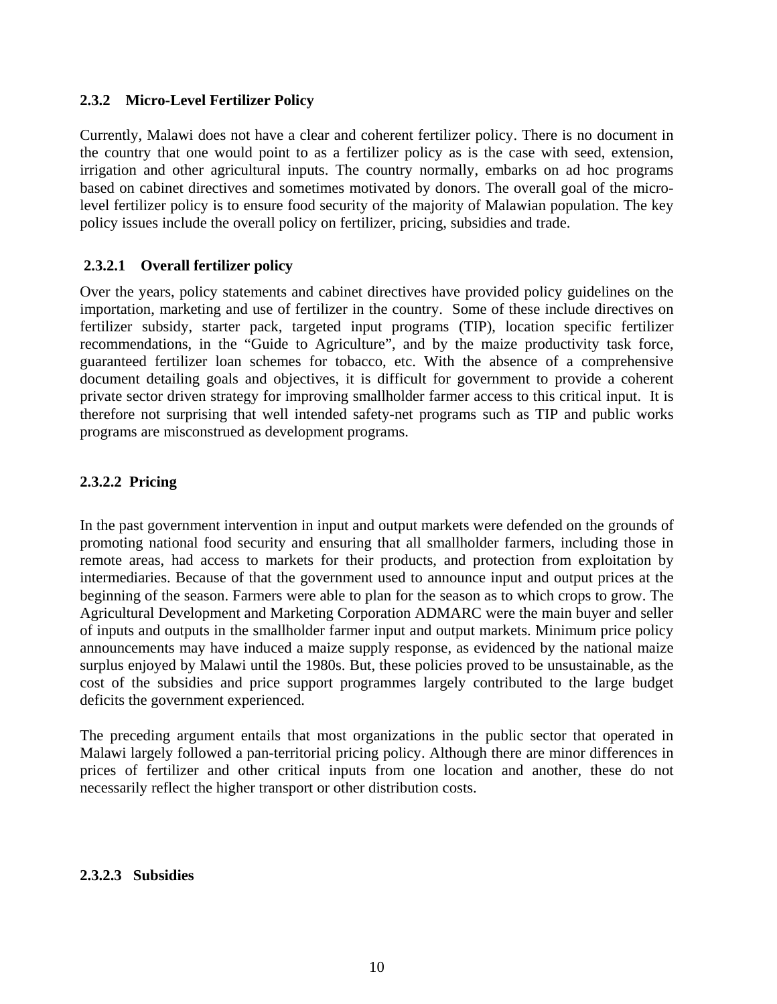#### **2.3.2 Micro-Level Fertilizer Policy**

Currently, Malawi does not have a clear and coherent fertilizer policy. There is no document in the country that one would point to as a fertilizer policy as is the case with seed, extension, irrigation and other agricultural inputs. The country normally, embarks on ad hoc programs based on cabinet directives and sometimes motivated by donors. The overall goal of the microlevel fertilizer policy is to ensure food security of the majority of Malawian population. The key policy issues include the overall policy on fertilizer, pricing, subsidies and trade.

#### **2.3.2.1 Overall fertilizer policy**

Over the years, policy statements and cabinet directives have provided policy guidelines on the importation, marketing and use of fertilizer in the country. Some of these include directives on fertilizer subsidy, starter pack, targeted input programs (TIP), location specific fertilizer recommendations, in the "Guide to Agriculture", and by the maize productivity task force, guaranteed fertilizer loan schemes for tobacco, etc. With the absence of a comprehensive document detailing goals and objectives, it is difficult for government to provide a coherent private sector driven strategy for improving smallholder farmer access to this critical input. It is therefore not surprising that well intended safety-net programs such as TIP and public works programs are misconstrued as development programs.

#### **2.3.2.2 Pricing**

In the past government intervention in input and output markets were defended on the grounds of promoting national food security and ensuring that all smallholder farmers, including those in remote areas, had access to markets for their products, and protection from exploitation by intermediaries. Because of that the government used to announce input and output prices at the beginning of the season. Farmers were able to plan for the season as to which crops to grow. The Agricultural Development and Marketing Corporation ADMARC were the main buyer and seller of inputs and outputs in the smallholder farmer input and output markets. Minimum price policy announcements may have induced a maize supply response, as evidenced by the national maize surplus enjoyed by Malawi until the 1980s. But, these policies proved to be unsustainable, as the cost of the subsidies and price support programmes largely contributed to the large budget deficits the government experienced.

The preceding argument entails that most organizations in the public sector that operated in Malawi largely followed a pan-territorial pricing policy. Although there are minor differences in prices of fertilizer and other critical inputs from one location and another, these do not necessarily reflect the higher transport or other distribution costs.

#### **2.3.2.3 Subsidies**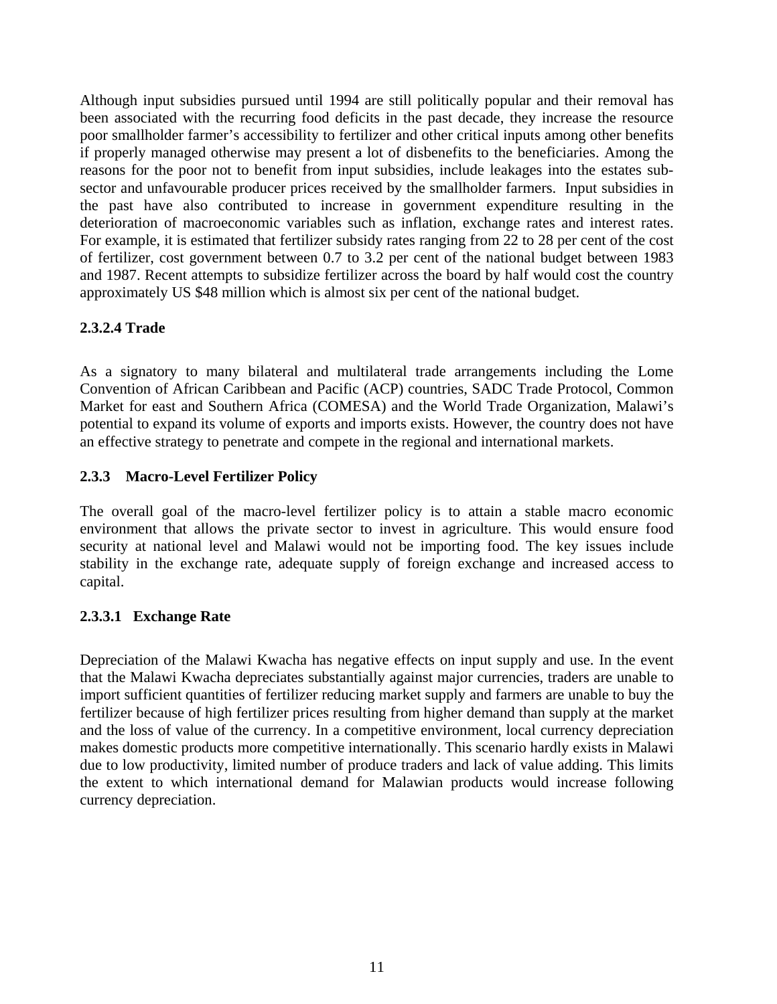Although input subsidies pursued until 1994 are still politically popular and their removal has been associated with the recurring food deficits in the past decade, they increase the resource poor smallholder farmer's accessibility to fertilizer and other critical inputs among other benefits if properly managed otherwise may present a lot of disbenefits to the beneficiaries. Among the reasons for the poor not to benefit from input subsidies, include leakages into the estates subsector and unfavourable producer prices received by the smallholder farmers. Input subsidies in the past have also contributed to increase in government expenditure resulting in the deterioration of macroeconomic variables such as inflation, exchange rates and interest rates. For example, it is estimated that fertilizer subsidy rates ranging from 22 to 28 per cent of the cost of fertilizer, cost government between 0.7 to 3.2 per cent of the national budget between 1983 and 1987. Recent attempts to subsidize fertilizer across the board by half would cost the country approximately US \$48 million which is almost six per cent of the national budget.

### **2.3.2.4 Trade**

As a signatory to many bilateral and multilateral trade arrangements including the Lome Convention of African Caribbean and Pacific (ACP) countries, SADC Trade Protocol, Common Market for east and Southern Africa (COMESA) and the World Trade Organization, Malawi's potential to expand its volume of exports and imports exists. However, the country does not have an effective strategy to penetrate and compete in the regional and international markets.

#### **2.3.3 Macro-Level Fertilizer Policy**

The overall goal of the macro-level fertilizer policy is to attain a stable macro economic environment that allows the private sector to invest in agriculture. This would ensure food security at national level and Malawi would not be importing food. The key issues include stability in the exchange rate, adequate supply of foreign exchange and increased access to capital.

### **2.3.3.1 Exchange Rate**

Depreciation of the Malawi Kwacha has negative effects on input supply and use. In the event that the Malawi Kwacha depreciates substantially against major currencies, traders are unable to import sufficient quantities of fertilizer reducing market supply and farmers are unable to buy the fertilizer because of high fertilizer prices resulting from higher demand than supply at the market and the loss of value of the currency. In a competitive environment, local currency depreciation makes domestic products more competitive internationally. This scenario hardly exists in Malawi due to low productivity, limited number of produce traders and lack of value adding. This limits the extent to which international demand for Malawian products would increase following currency depreciation.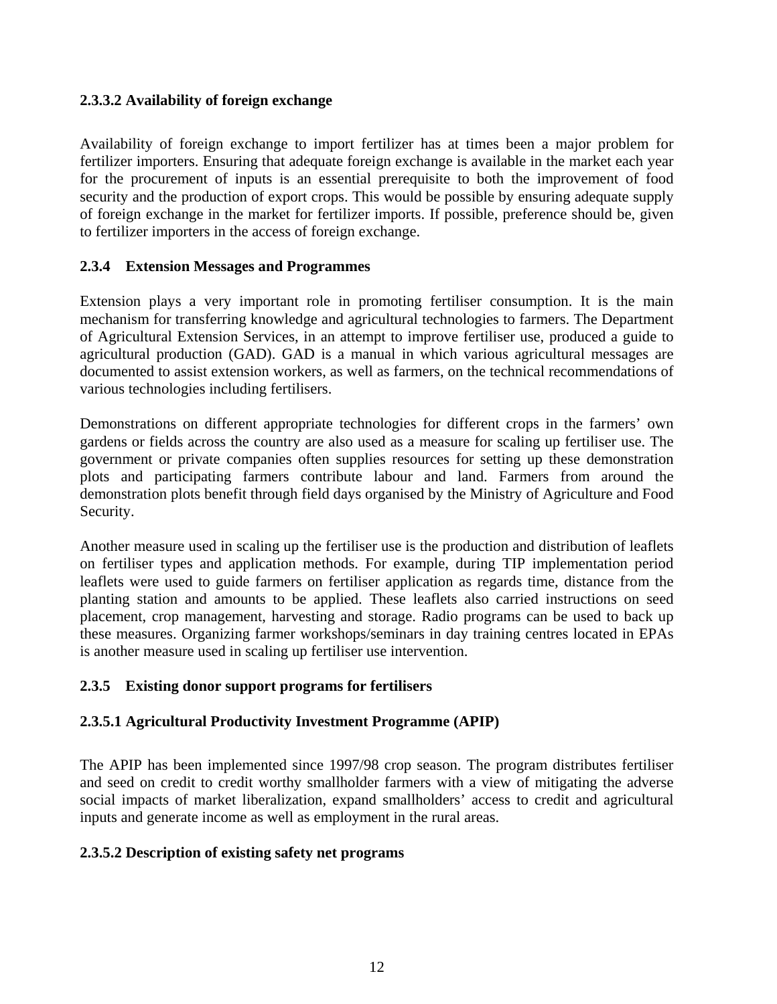### **2.3.3.2 Availability of foreign exchange**

Availability of foreign exchange to import fertilizer has at times been a major problem for fertilizer importers. Ensuring that adequate foreign exchange is available in the market each year for the procurement of inputs is an essential prerequisite to both the improvement of food security and the production of export crops. This would be possible by ensuring adequate supply of foreign exchange in the market for fertilizer imports. If possible, preference should be, given to fertilizer importers in the access of foreign exchange.

#### **2.3.4 Extension Messages and Programmes**

Extension plays a very important role in promoting fertiliser consumption. It is the main mechanism for transferring knowledge and agricultural technologies to farmers. The Department of Agricultural Extension Services, in an attempt to improve fertiliser use, produced a guide to agricultural production (GAD). GAD is a manual in which various agricultural messages are documented to assist extension workers, as well as farmers, on the technical recommendations of various technologies including fertilisers.

Demonstrations on different appropriate technologies for different crops in the farmers' own gardens or fields across the country are also used as a measure for scaling up fertiliser use. The government or private companies often supplies resources for setting up these demonstration plots and participating farmers contribute labour and land. Farmers from around the demonstration plots benefit through field days organised by the Ministry of Agriculture and Food Security.

Another measure used in scaling up the fertiliser use is the production and distribution of leaflets on fertiliser types and application methods. For example, during TIP implementation period leaflets were used to guide farmers on fertiliser application as regards time, distance from the planting station and amounts to be applied. These leaflets also carried instructions on seed placement, crop management, harvesting and storage. Radio programs can be used to back up these measures. Organizing farmer workshops/seminars in day training centres located in EPAs is another measure used in scaling up fertiliser use intervention.

### **2.3.5 Existing donor support programs for fertilisers**

### **2.3.5.1 Agricultural Productivity Investment Programme (APIP)**

The APIP has been implemented since 1997/98 crop season. The program distributes fertiliser and seed on credit to credit worthy smallholder farmers with a view of mitigating the adverse social impacts of market liberalization, expand smallholders' access to credit and agricultural inputs and generate income as well as employment in the rural areas.

#### **2.3.5.2 Description of existing safety net programs**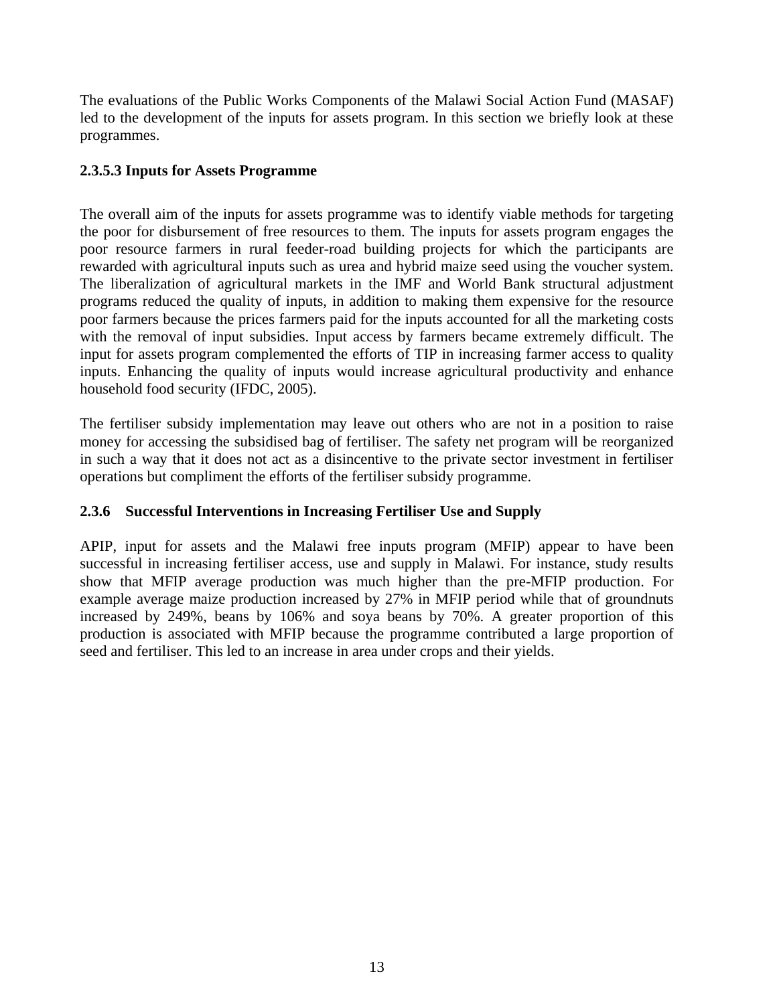The evaluations of the Public Works Components of the Malawi Social Action Fund (MASAF) led to the development of the inputs for assets program. In this section we briefly look at these programmes.

### **2.3.5.3 Inputs for Assets Programme**

The overall aim of the inputs for assets programme was to identify viable methods for targeting the poor for disbursement of free resources to them. The inputs for assets program engages the poor resource farmers in rural feeder-road building projects for which the participants are rewarded with agricultural inputs such as urea and hybrid maize seed using the voucher system. The liberalization of agricultural markets in the IMF and World Bank structural adjustment programs reduced the quality of inputs, in addition to making them expensive for the resource poor farmers because the prices farmers paid for the inputs accounted for all the marketing costs with the removal of input subsidies. Input access by farmers became extremely difficult. The input for assets program complemented the efforts of TIP in increasing farmer access to quality inputs. Enhancing the quality of inputs would increase agricultural productivity and enhance household food security (IFDC, 2005).

The fertiliser subsidy implementation may leave out others who are not in a position to raise money for accessing the subsidised bag of fertiliser. The safety net program will be reorganized in such a way that it does not act as a disincentive to the private sector investment in fertiliser operations but compliment the efforts of the fertiliser subsidy programme.

### **2.3.6 Successful Interventions in Increasing Fertiliser Use and Supply**

APIP, input for assets and the Malawi free inputs program (MFIP) appear to have been successful in increasing fertiliser access, use and supply in Malawi. For instance, study results show that MFIP average production was much higher than the pre-MFIP production. For example average maize production increased by 27% in MFIP period while that of groundnuts increased by 249%, beans by 106% and soya beans by 70%. A greater proportion of this production is associated with MFIP because the programme contributed a large proportion of seed and fertiliser. This led to an increase in area under crops and their yields.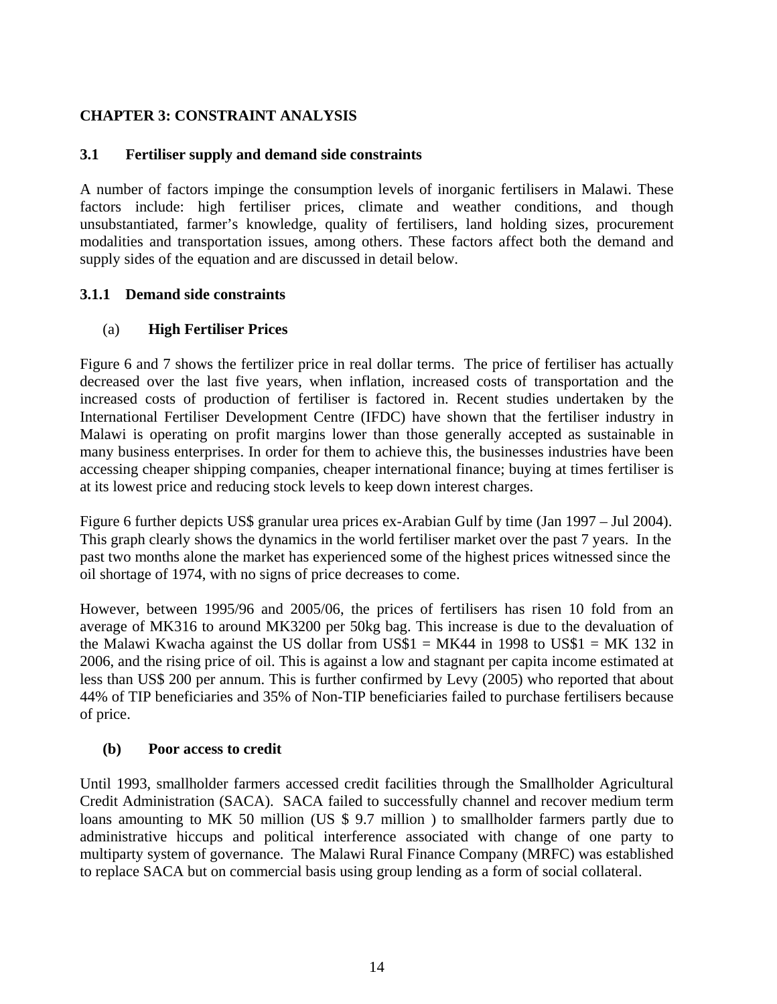### **CHAPTER 3: CONSTRAINT ANALYSIS**

#### **3.1 Fertiliser supply and demand side constraints**

A number of factors impinge the consumption levels of inorganic fertilisers in Malawi. These factors include: high fertiliser prices, climate and weather conditions, and though unsubstantiated, farmer's knowledge, quality of fertilisers, land holding sizes, procurement modalities and transportation issues, among others. These factors affect both the demand and supply sides of the equation and are discussed in detail below.

#### **3.1.1 Demand side constraints**

#### (a) **High Fertiliser Prices**

Figure 6 and 7 shows the fertilizer price in real dollar terms. The price of fertiliser has actually decreased over the last five years, when inflation, increased costs of transportation and the increased costs of production of fertiliser is factored in. Recent studies undertaken by the International Fertiliser Development Centre (IFDC) have shown that the fertiliser industry in Malawi is operating on profit margins lower than those generally accepted as sustainable in many business enterprises. In order for them to achieve this, the businesses industries have been accessing cheaper shipping companies, cheaper international finance; buying at times fertiliser is at its lowest price and reducing stock levels to keep down interest charges.

Figure 6 further depicts US\$ granular urea prices ex-Arabian Gulf by time (Jan 1997 – Jul 2004). This graph clearly shows the dynamics in the world fertiliser market over the past 7 years. In the past two months alone the market has experienced some of the highest prices witnessed since the oil shortage of 1974, with no signs of price decreases to come.

However, between 1995/96 and 2005/06, the prices of fertilisers has risen 10 fold from an average of MK316 to around MK3200 per 50kg bag. This increase is due to the devaluation of the Malawi Kwacha against the US dollar from US\$1 = MK44 in 1998 to US\$1 = MK 132 in 2006, and the rising price of oil. This is against a low and stagnant per capita income estimated at less than US\$ 200 per annum. This is further confirmed by Levy (2005) who reported that about 44% of TIP beneficiaries and 35% of Non-TIP beneficiaries failed to purchase fertilisers because of price.

#### **(b) Poor access to credit**

Until 1993, smallholder farmers accessed credit facilities through the Smallholder Agricultural Credit Administration (SACA). SACA failed to successfully channel and recover medium term loans amounting to MK 50 million (US \$ 9.7 million) to smallholder farmers partly due to administrative hiccups and political interference associated with change of one party to multiparty system of governance. The Malawi Rural Finance Company (MRFC) was established to replace SACA but on commercial basis using group lending as a form of social collateral.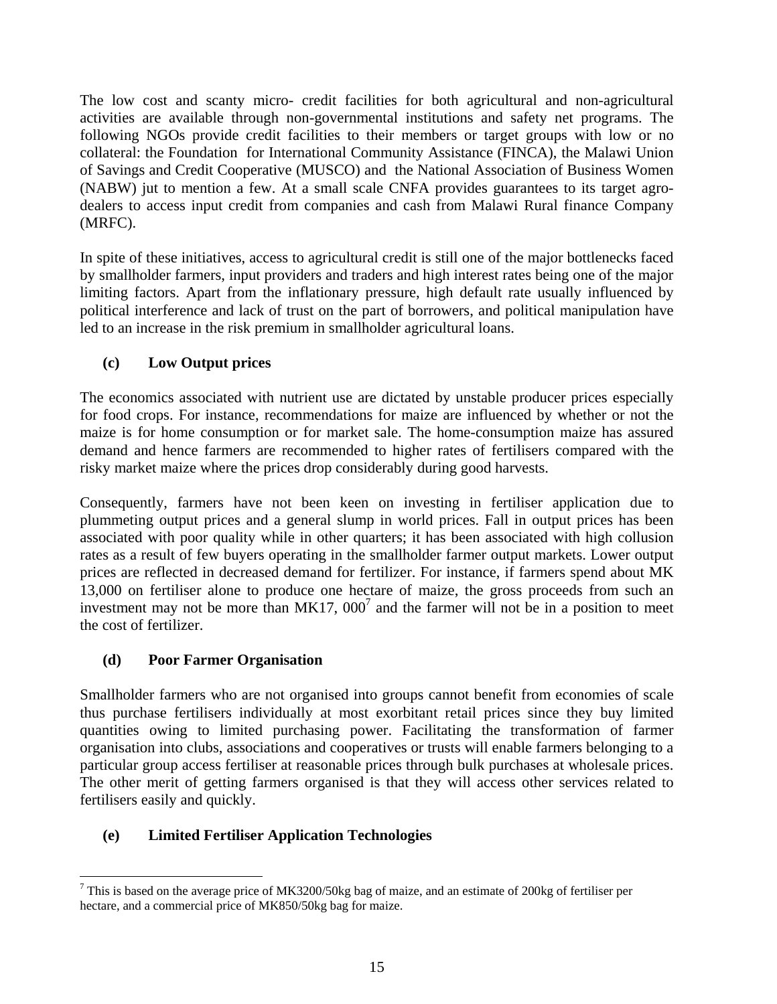The low cost and scanty micro- credit facilities for both agricultural and non-agricultural activities are available through non-governmental institutions and safety net programs. The following NGOs provide credit facilities to their members or target groups with low or no collateral: the Foundation for International Community Assistance (FINCA), the Malawi Union of Savings and Credit Cooperative (MUSCO) and the National Association of Business Women (NABW) jut to mention a few. At a small scale CNFA provides guarantees to its target agrodealers to access input credit from companies and cash from Malawi Rural finance Company (MRFC).

In spite of these initiatives, access to agricultural credit is still one of the major bottlenecks faced by smallholder farmers, input providers and traders and high interest rates being one of the major limiting factors. Apart from the inflationary pressure, high default rate usually influenced by political interference and lack of trust on the part of borrowers, and political manipulation have led to an increase in the risk premium in smallholder agricultural loans.

## **(c) Low Output prices**

The economics associated with nutrient use are dictated by unstable producer prices especially for food crops. For instance, recommendations for maize are influenced by whether or not the maize is for home consumption or for market sale. The home-consumption maize has assured demand and hence farmers are recommended to higher rates of fertilisers compared with the risky market maize where the prices drop considerably during good harvests.

Consequently, farmers have not been keen on investing in fertiliser application due to plummeting output prices and a general slump in world prices. Fall in output prices has been associated with poor quality while in other quarters; it has been associated with high collusion rates as a result of few buyers operating in the smallholder farmer output markets. Lower output prices are reflected in decreased demand for fertilizer. For instance, if farmers spend about MK 13,000 on fertiliser alone to produce one hectare of maize, the gross proceeds from such an investment may not be more than  $MK17, 000^7$  and the farmer will not be in a position to meet the cost of fertilizer.

### **(d) Poor Farmer Organisation**

 $\overline{a}$ 

Smallholder farmers who are not organised into groups cannot benefit from economies of scale thus purchase fertilisers individually at most exorbitant retail prices since they buy limited quantities owing to limited purchasing power. Facilitating the transformation of farmer organisation into clubs, associations and cooperatives or trusts will enable farmers belonging to a particular group access fertiliser at reasonable prices through bulk purchases at wholesale prices. The other merit of getting farmers organised is that they will access other services related to fertilisers easily and quickly.

## **(e) Limited Fertiliser Application Technologies**

<sup>&</sup>lt;sup>7</sup> This is based on the average price of MK3200/50kg bag of maize, and an estimate of 200kg of fertiliser per hectare, and a commercial price of MK850/50kg bag for maize.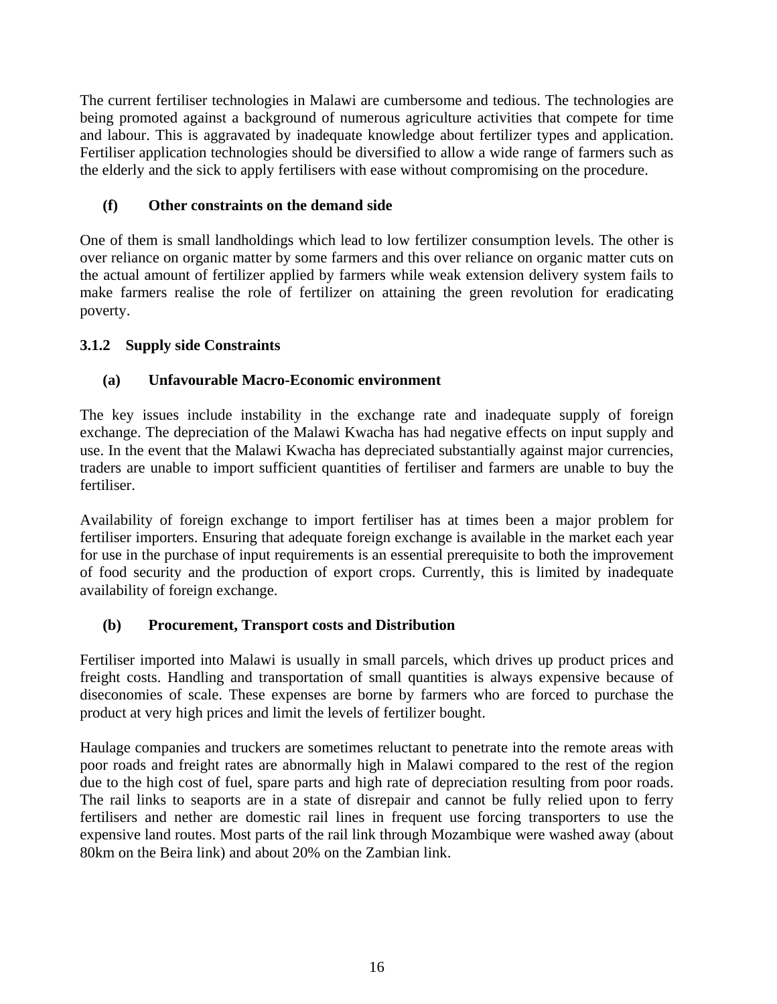The current fertiliser technologies in Malawi are cumbersome and tedious. The technologies are being promoted against a background of numerous agriculture activities that compete for time and labour. This is aggravated by inadequate knowledge about fertilizer types and application. Fertiliser application technologies should be diversified to allow a wide range of farmers such as the elderly and the sick to apply fertilisers with ease without compromising on the procedure.

### **(f) Other constraints on the demand side**

One of them is small landholdings which lead to low fertilizer consumption levels. The other is over reliance on organic matter by some farmers and this over reliance on organic matter cuts on the actual amount of fertilizer applied by farmers while weak extension delivery system fails to make farmers realise the role of fertilizer on attaining the green revolution for eradicating poverty.

## **3.1.2 Supply side Constraints**

### **(a) Unfavourable Macro-Economic environment**

The key issues include instability in the exchange rate and inadequate supply of foreign exchange. The depreciation of the Malawi Kwacha has had negative effects on input supply and use. In the event that the Malawi Kwacha has depreciated substantially against major currencies, traders are unable to import sufficient quantities of fertiliser and farmers are unable to buy the fertiliser.

Availability of foreign exchange to import fertiliser has at times been a major problem for fertiliser importers. Ensuring that adequate foreign exchange is available in the market each year for use in the purchase of input requirements is an essential prerequisite to both the improvement of food security and the production of export crops. Currently, this is limited by inadequate availability of foreign exchange.

### **(b) Procurement, Transport costs and Distribution**

Fertiliser imported into Malawi is usually in small parcels, which drives up product prices and freight costs. Handling and transportation of small quantities is always expensive because of diseconomies of scale. These expenses are borne by farmers who are forced to purchase the product at very high prices and limit the levels of fertilizer bought.

Haulage companies and truckers are sometimes reluctant to penetrate into the remote areas with poor roads and freight rates are abnormally high in Malawi compared to the rest of the region due to the high cost of fuel, spare parts and high rate of depreciation resulting from poor roads. The rail links to seaports are in a state of disrepair and cannot be fully relied upon to ferry fertilisers and nether are domestic rail lines in frequent use forcing transporters to use the expensive land routes. Most parts of the rail link through Mozambique were washed away (about 80km on the Beira link) and about 20% on the Zambian link.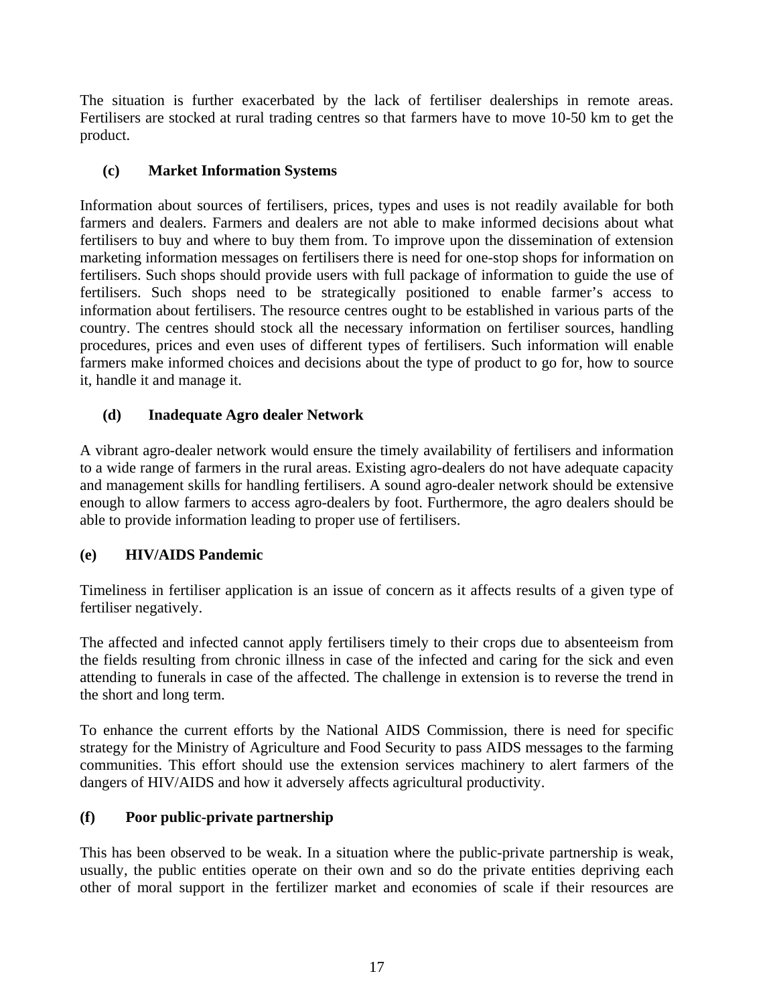The situation is further exacerbated by the lack of fertiliser dealerships in remote areas. Fertilisers are stocked at rural trading centres so that farmers have to move 10-50 km to get the product.

### **(c) Market Information Systems**

Information about sources of fertilisers, prices, types and uses is not readily available for both farmers and dealers. Farmers and dealers are not able to make informed decisions about what fertilisers to buy and where to buy them from. To improve upon the dissemination of extension marketing information messages on fertilisers there is need for one-stop shops for information on fertilisers. Such shops should provide users with full package of information to guide the use of fertilisers. Such shops need to be strategically positioned to enable farmer's access to information about fertilisers. The resource centres ought to be established in various parts of the country. The centres should stock all the necessary information on fertiliser sources, handling procedures, prices and even uses of different types of fertilisers. Such information will enable farmers make informed choices and decisions about the type of product to go for, how to source it, handle it and manage it.

### **(d) Inadequate Agro dealer Network**

A vibrant agro-dealer network would ensure the timely availability of fertilisers and information to a wide range of farmers in the rural areas. Existing agro-dealers do not have adequate capacity and management skills for handling fertilisers. A sound agro-dealer network should be extensive enough to allow farmers to access agro-dealers by foot. Furthermore, the agro dealers should be able to provide information leading to proper use of fertilisers.

### **(e) HIV/AIDS Pandemic**

Timeliness in fertiliser application is an issue of concern as it affects results of a given type of fertiliser negatively.

The affected and infected cannot apply fertilisers timely to their crops due to absenteeism from the fields resulting from chronic illness in case of the infected and caring for the sick and even attending to funerals in case of the affected. The challenge in extension is to reverse the trend in the short and long term.

To enhance the current efforts by the National AIDS Commission, there is need for specific strategy for the Ministry of Agriculture and Food Security to pass AIDS messages to the farming communities. This effort should use the extension services machinery to alert farmers of the dangers of HIV/AIDS and how it adversely affects agricultural productivity.

### **(f) Poor public-private partnership**

This has been observed to be weak. In a situation where the public-private partnership is weak, usually, the public entities operate on their own and so do the private entities depriving each other of moral support in the fertilizer market and economies of scale if their resources are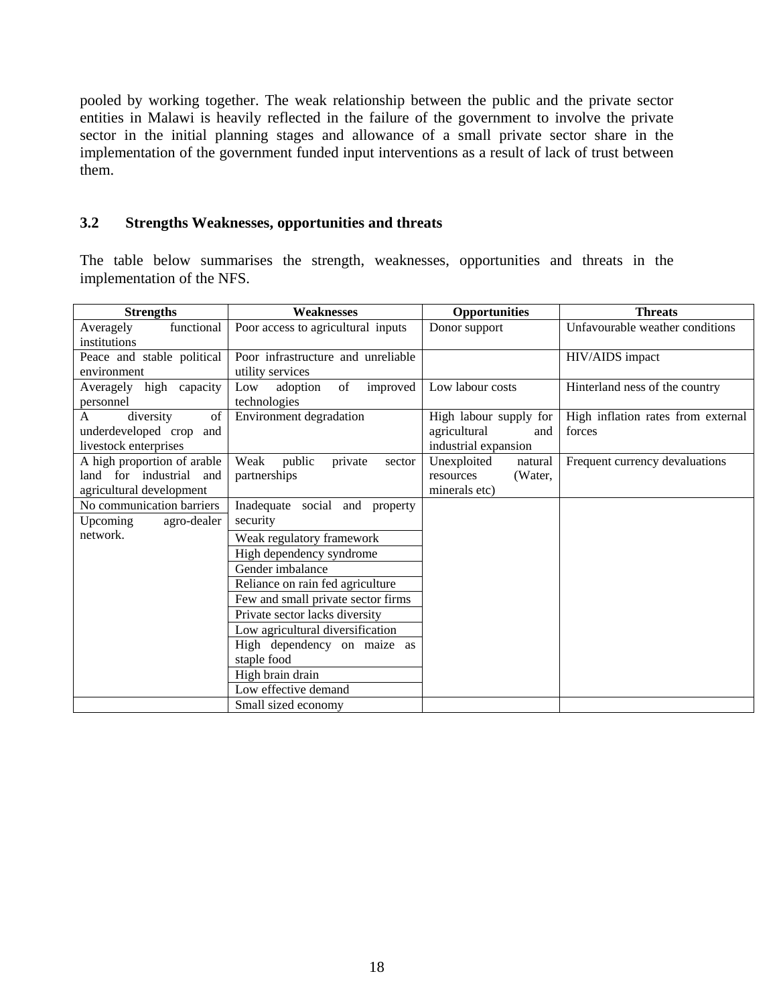pooled by working together. The weak relationship between the public and the private sector entities in Malawi is heavily reflected in the failure of the government to involve the private sector in the initial planning stages and allowance of a small private sector share in the implementation of the government funded input interventions as a result of lack of trust between them.

#### **3.2 Strengths Weaknesses, opportunities and threats**

The table below summarises the strength, weaknesses, opportunities and threats in the implementation of the NFS.

| <b>Strengths</b>                                                                      | <b>Weaknesses</b>                                      | <b>Opportunities</b>                                                  | <b>Threats</b>                               |  |  |
|---------------------------------------------------------------------------------------|--------------------------------------------------------|-----------------------------------------------------------------------|----------------------------------------------|--|--|
| functional<br>Averagely<br>institutions                                               | Poor access to agricultural inputs                     | Donor support                                                         | Unfavourable weather conditions              |  |  |
| Peace and stable political<br>environment                                             | Poor infrastructure and unreliable<br>utility services |                                                                       | HIV/AIDS impact                              |  |  |
| Averagely high capacity<br>personnel                                                  | of<br>adoption<br>improved<br>Low<br>technologies      | Low labour costs                                                      | Hinterland ness of the country               |  |  |
| of<br>diversity<br>A<br>underdeveloped crop<br>and<br>livestock enterprises           | Environment degradation                                | High labour supply for<br>agricultural<br>and<br>industrial expansion | High inflation rates from external<br>forces |  |  |
| A high proportion of arable<br>land for industrial<br>and<br>agricultural development | Weak<br>public<br>private<br>sector<br>partnerships    | Unexploited<br>natural<br>(Water,<br>resources<br>minerals etc)       | Frequent currency devaluations               |  |  |
| No communication barriers<br>Upcoming<br>agro-dealer                                  | Inadequate social and property<br>security             |                                                                       |                                              |  |  |
| network.                                                                              | Weak regulatory framework                              |                                                                       |                                              |  |  |
|                                                                                       | High dependency syndrome                               |                                                                       |                                              |  |  |
|                                                                                       | Gender imbalance                                       |                                                                       |                                              |  |  |
|                                                                                       | Reliance on rain fed agriculture                       |                                                                       |                                              |  |  |
|                                                                                       | Few and small private sector firms                     |                                                                       |                                              |  |  |
|                                                                                       | Private sector lacks diversity                         |                                                                       |                                              |  |  |
|                                                                                       | Low agricultural diversification                       |                                                                       |                                              |  |  |
|                                                                                       | High dependency on maize as                            |                                                                       |                                              |  |  |
|                                                                                       | staple food                                            |                                                                       |                                              |  |  |
|                                                                                       | High brain drain                                       |                                                                       |                                              |  |  |
|                                                                                       | Low effective demand                                   |                                                                       |                                              |  |  |
|                                                                                       | Small sized economy                                    |                                                                       |                                              |  |  |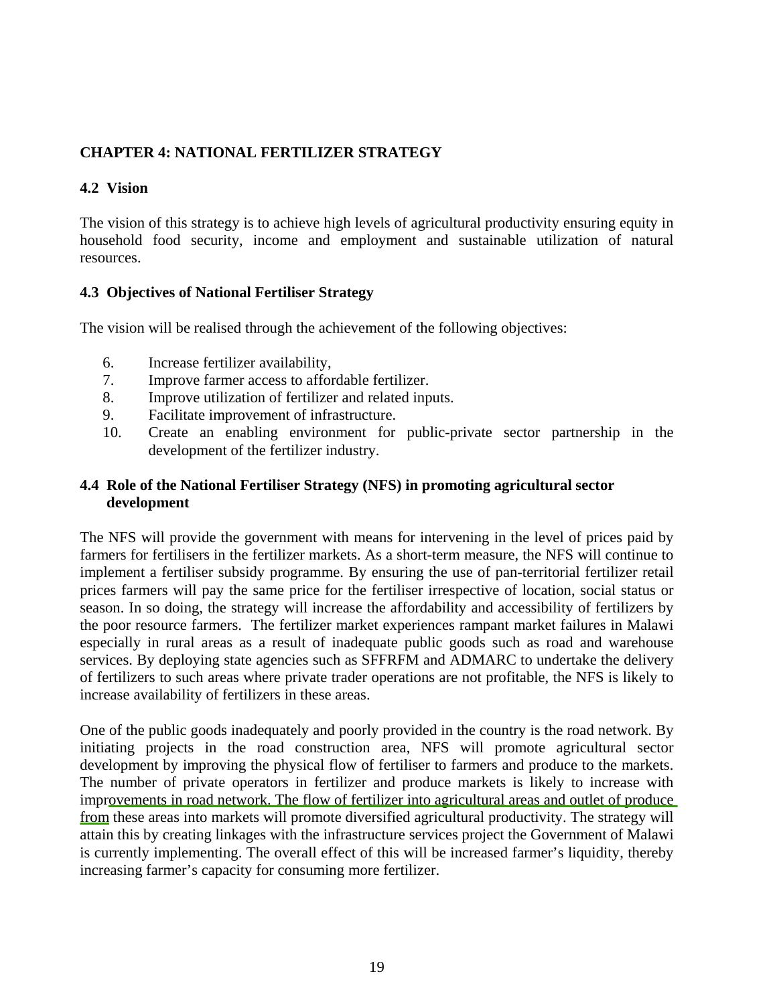### **CHAPTER 4: NATIONAL FERTILIZER STRATEGY**

### **4.2 Vision**

The vision of this strategy is to achieve high levels of agricultural productivity ensuring equity in household food security, income and employment and sustainable utilization of natural resources.

### **4.3 Objectives of National Fertiliser Strategy**

The vision will be realised through the achievement of the following objectives:

- 6. Increase fertilizer availability,
- 7. Improve farmer access to affordable fertilizer.
- 8. Improve utilization of fertilizer and related inputs.
- 9. Facilitate improvement of infrastructure.
- 10. Create an enabling environment for public-private sector partnership in the development of the fertilizer industry.

### **4.4 Role of the National Fertiliser Strategy (NFS) in promoting agricultural sector development**

The NFS will provide the government with means for intervening in the level of prices paid by farmers for fertilisers in the fertilizer markets. As a short-term measure, the NFS will continue to implement a fertiliser subsidy programme. By ensuring the use of pan-territorial fertilizer retail prices farmers will pay the same price for the fertiliser irrespective of location, social status or season. In so doing, the strategy will increase the affordability and accessibility of fertilizers by the poor resource farmers. The fertilizer market experiences rampant market failures in Malawi especially in rural areas as a result of inadequate public goods such as road and warehouse services. By deploying state agencies such as SFFRFM and ADMARC to undertake the delivery of fertilizers to such areas where private trader operations are not profitable, the NFS is likely to increase availability of fertilizers in these areas.

One of the public goods inadequately and poorly provided in the country is the road network. By initiating projects in the road construction area, NFS will promote agricultural sector development by improving the physical flow of fertiliser to farmers and produce to the markets. The number of private operators in fertilizer and produce markets is likely to increase with improvements in road network. The flow of fertilizer into agricultural areas and outlet of produce from these areas into markets will promote diversified agricultural productivity. The strategy will attain this by creating linkages with the infrastructure services project the Government of Malawi is currently implementing. The overall effect of this will be increased farmer's liquidity, thereby increasing farmer's capacity for consuming more fertilizer.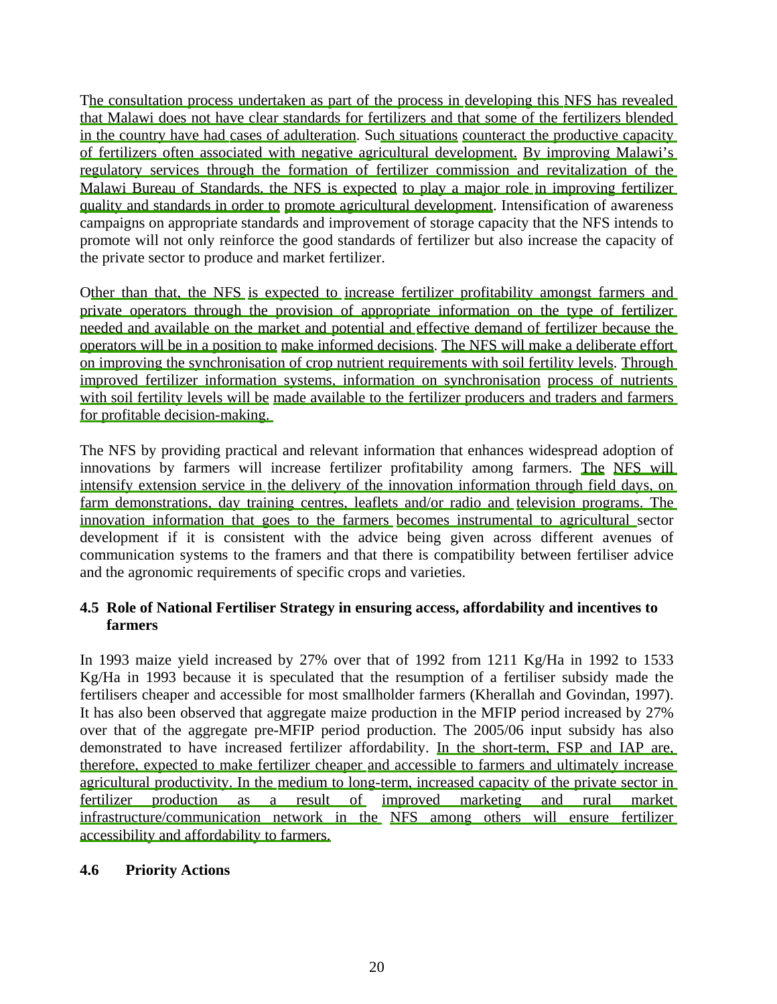The consultation process undertaken as part of the process in developing this NFS has revealed that Malawi does not have clear standards for fertilizers and that some of the fertilizers blended in the country have had cases of adulteration. Such situations counteract the productive capacity of fertilizers often associated with negative agricultural development. By improving Malawi's regulatory services through the formation of fertilizer commission and revitalization of the Malawi Bureau of Standards, the NFS is expected to play a major role in improving fertilizer quality and standards in order to promote agricultural development. Intensification of awareness campaigns on appropriate standards and improvement of storage capacity that the NFS intends to promote will not only reinforce the good standards of fertilizer but also increase the capacity of the private sector to produce and market fertilizer.

Other than that, the NFS is expected to increase fertilizer profitability amongst farmers and private operators through the provision of appropriate information on the type of fertilizer needed and available on the market and potential and effective demand of fertilizer because the operators will be in a position to make informed decisions. The NFS will make a deliberate effort on improving the synchronisation of crop nutrient requirements with soil fertility levels. Through improved fertilizer information systems, information on synchronisation process of nutrients with soil fertility levels will be made available to the fertilizer producers and traders and farmers for profitable decision-making.

The NFS by providing practical and relevant information that enhances widespread adoption of innovations by farmers will increase fertilizer profitability among farmers. The NFS will intensify extension service in the delivery of the innovation information through field days, on farm demonstrations, day training centres, leaflets and/or radio and television programs. The innovation information that goes to the farmers becomes instrumental to agricultural sector development if it is consistent with the advice being given across different avenues of communication systems to the framers and that there is compatibility between fertiliser advice and the agronomic requirements of specific crops and varieties.

### **4.5 Role of National Fertiliser Strategy in ensuring access, affordability and incentives to farmers**

In 1993 maize yield increased by 27% over that of 1992 from 1211 Kg/Ha in 1992 to 1533 Kg/Ha in 1993 because it is speculated that the resumption of a fertiliser subsidy made the fertilisers cheaper and accessible for most smallholder farmers (Kherallah and Govindan, 1997). It has also been observed that aggregate maize production in the MFIP period increased by 27% over that of the aggregate pre-MFIP period production. The 2005/06 input subsidy has also demonstrated to have increased fertilizer affordability. In the short-term, FSP and IAP are, therefore, expected to make fertilizer cheaper and accessible to farmers and ultimately increase agricultural productivity. In the medium to long-term, increased capacity of the private sector in fertilizer production as a result of improved marketing and rural market infrastructure/communication network in the NFS among others will ensure fertilizer accessibility and affordability to farmers.

### **4.6 Priority Actions**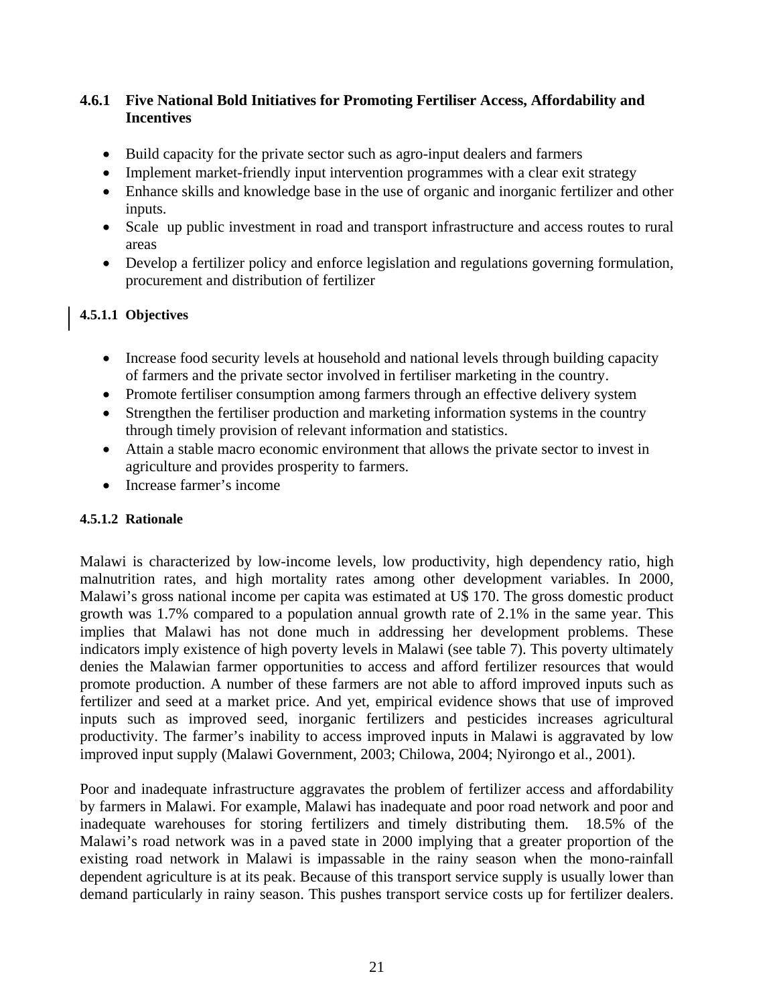### **4.6.1 Five National Bold Initiatives for Promoting Fertiliser Access, Affordability and Incentives**

- Build capacity for the private sector such as agro-input dealers and farmers
- Implement market-friendly input intervention programmes with a clear exit strategy
- Enhance skills and knowledge base in the use of organic and inorganic fertilizer and other inputs.
- Scale up public investment in road and transport infrastructure and access routes to rural areas
- Develop a fertilizer policy and enforce legislation and regulations governing formulation, procurement and distribution of fertilizer

### **4.5.1.1 Objectives**

- Increase food security levels at household and national levels through building capacity of farmers and the private sector involved in fertiliser marketing in the country.
- Promote fertiliser consumption among farmers through an effective delivery system
- Strengthen the fertiliser production and marketing information systems in the country through timely provision of relevant information and statistics.
- Attain a stable macro economic environment that allows the private sector to invest in agriculture and provides prosperity to farmers.
- Increase farmer's income

### **4.5.1.2 Rationale**

Malawi is characterized by low-income levels, low productivity, high dependency ratio, high malnutrition rates, and high mortality rates among other development variables. In 2000, Malawi's gross national income per capita was estimated at U\$ 170. The gross domestic product growth was 1.7% compared to a population annual growth rate of 2.1% in the same year. This implies that Malawi has not done much in addressing her development problems. These indicators imply existence of high poverty levels in Malawi (see table 7). This poverty ultimately denies the Malawian farmer opportunities to access and afford fertilizer resources that would promote production. A number of these farmers are not able to afford improved inputs such as fertilizer and seed at a market price. And yet, empirical evidence shows that use of improved inputs such as improved seed, inorganic fertilizers and pesticides increases agricultural productivity. The farmer's inability to access improved inputs in Malawi is aggravated by low improved input supply (Malawi Government, 2003; Chilowa, 2004; Nyirongo et al., 2001).

Poor and inadequate infrastructure aggravates the problem of fertilizer access and affordability by farmers in Malawi. For example, Malawi has inadequate and poor road network and poor and inadequate warehouses for storing fertilizers and timely distributing them. 18.5% of the Malawi's road network was in a paved state in 2000 implying that a greater proportion of the existing road network in Malawi is impassable in the rainy season when the mono-rainfall dependent agriculture is at its peak. Because of this transport service supply is usually lower than demand particularly in rainy season. This pushes transport service costs up for fertilizer dealers.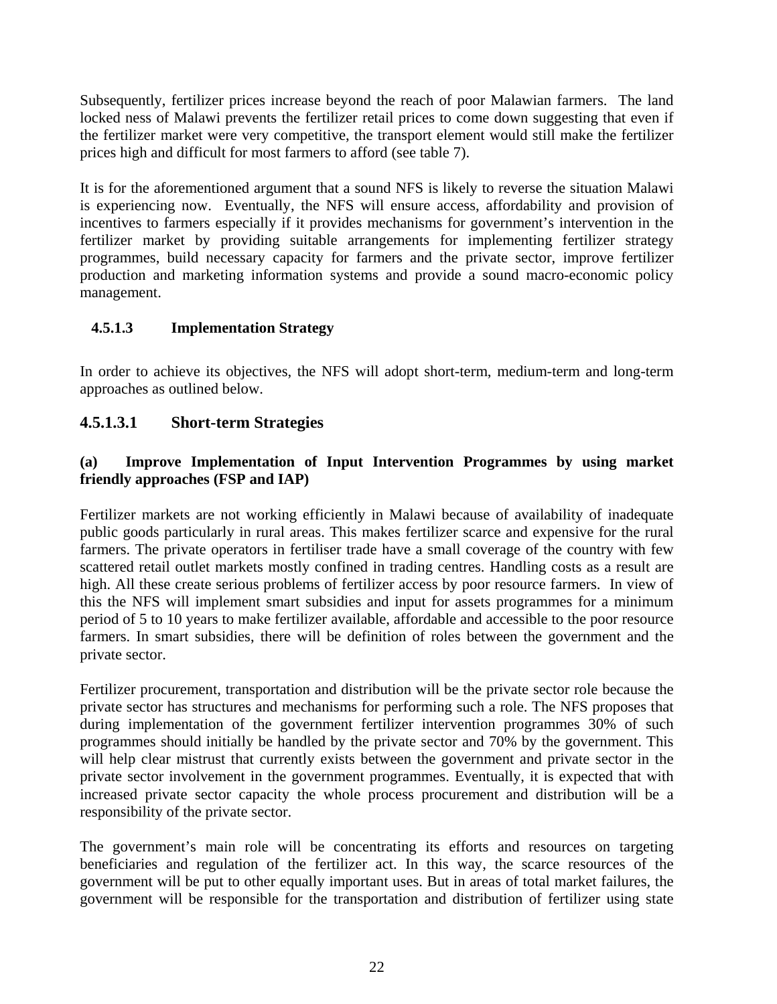Subsequently, fertilizer prices increase beyond the reach of poor Malawian farmers. The land locked ness of Malawi prevents the fertilizer retail prices to come down suggesting that even if the fertilizer market were very competitive, the transport element would still make the fertilizer prices high and difficult for most farmers to afford (see table 7).

It is for the aforementioned argument that a sound NFS is likely to reverse the situation Malawi is experiencing now. Eventually, the NFS will ensure access, affordability and provision of incentives to farmers especially if it provides mechanisms for government's intervention in the fertilizer market by providing suitable arrangements for implementing fertilizer strategy programmes, build necessary capacity for farmers and the private sector, improve fertilizer production and marketing information systems and provide a sound macro-economic policy management.

### **4.5.1.3 Implementation Strategy**

In order to achieve its objectives, the NFS will adopt short-term, medium-term and long-term approaches as outlined below.

## **4.5.1.3.1 Short-term Strategies**

### **(a) Improve Implementation of Input Intervention Programmes by using market friendly approaches (FSP and IAP)**

Fertilizer markets are not working efficiently in Malawi because of availability of inadequate public goods particularly in rural areas. This makes fertilizer scarce and expensive for the rural farmers. The private operators in fertiliser trade have a small coverage of the country with few scattered retail outlet markets mostly confined in trading centres. Handling costs as a result are high. All these create serious problems of fertilizer access by poor resource farmers. In view of this the NFS will implement smart subsidies and input for assets programmes for a minimum period of 5 to 10 years to make fertilizer available, affordable and accessible to the poor resource farmers. In smart subsidies, there will be definition of roles between the government and the private sector.

Fertilizer procurement, transportation and distribution will be the private sector role because the private sector has structures and mechanisms for performing such a role. The NFS proposes that during implementation of the government fertilizer intervention programmes 30% of such programmes should initially be handled by the private sector and 70% by the government. This will help clear mistrust that currently exists between the government and private sector in the private sector involvement in the government programmes. Eventually, it is expected that with increased private sector capacity the whole process procurement and distribution will be a responsibility of the private sector.

The government's main role will be concentrating its efforts and resources on targeting beneficiaries and regulation of the fertilizer act. In this way, the scarce resources of the government will be put to other equally important uses. But in areas of total market failures, the government will be responsible for the transportation and distribution of fertilizer using state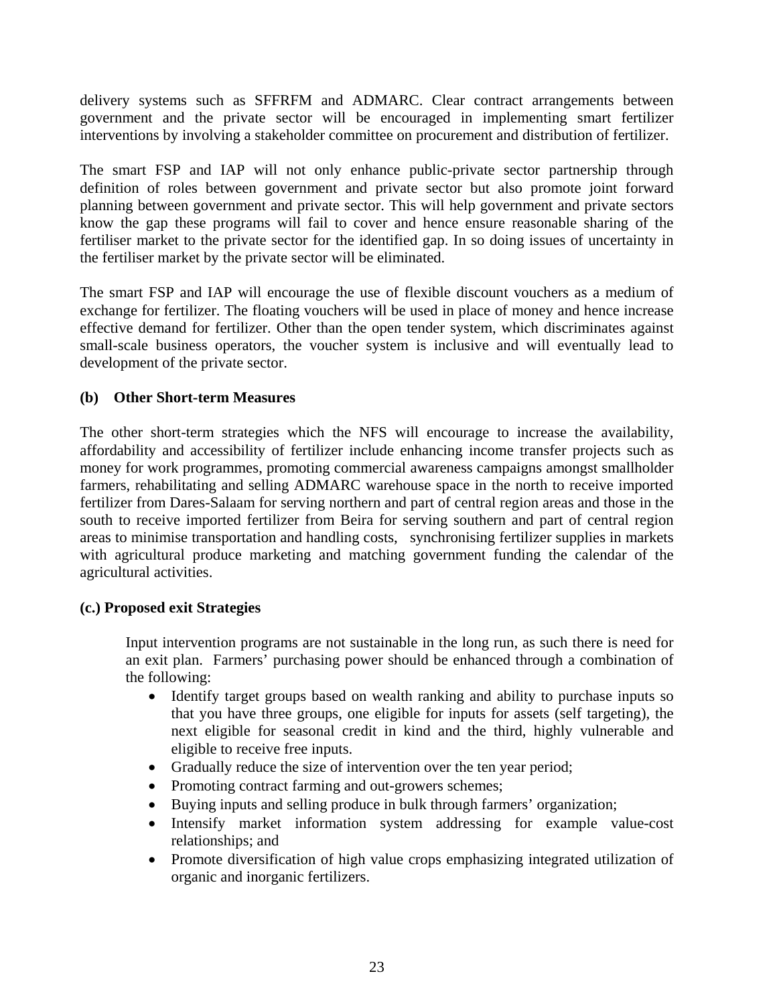delivery systems such as SFFRFM and ADMARC. Clear contract arrangements between government and the private sector will be encouraged in implementing smart fertilizer interventions by involving a stakeholder committee on procurement and distribution of fertilizer.

The smart FSP and IAP will not only enhance public-private sector partnership through definition of roles between government and private sector but also promote joint forward planning between government and private sector. This will help government and private sectors know the gap these programs will fail to cover and hence ensure reasonable sharing of the fertiliser market to the private sector for the identified gap. In so doing issues of uncertainty in the fertiliser market by the private sector will be eliminated.

The smart FSP and IAP will encourage the use of flexible discount vouchers as a medium of exchange for fertilizer. The floating vouchers will be used in place of money and hence increase effective demand for fertilizer. Other than the open tender system, which discriminates against small-scale business operators, the voucher system is inclusive and will eventually lead to development of the private sector.

### **(b) Other Short-term Measures**

The other short-term strategies which the NFS will encourage to increase the availability, affordability and accessibility of fertilizer include enhancing income transfer projects such as money for work programmes, promoting commercial awareness campaigns amongst smallholder farmers, rehabilitating and selling ADMARC warehouse space in the north to receive imported fertilizer from Dares-Salaam for serving northern and part of central region areas and those in the south to receive imported fertilizer from Beira for serving southern and part of central region areas to minimise transportation and handling costs, synchronising fertilizer supplies in markets with agricultural produce marketing and matching government funding the calendar of the agricultural activities.

### **(c.) Proposed exit Strategies**

Input intervention programs are not sustainable in the long run, as such there is need for an exit plan. Farmers' purchasing power should be enhanced through a combination of the following:

- Identify target groups based on wealth ranking and ability to purchase inputs so that you have three groups, one eligible for inputs for assets (self targeting), the next eligible for seasonal credit in kind and the third, highly vulnerable and eligible to receive free inputs.
- Gradually reduce the size of intervention over the ten year period;
- Promoting contract farming and out-growers schemes;
- Buying inputs and selling produce in bulk through farmers' organization;
- Intensify market information system addressing for example value-cost relationships; and
- Promote diversification of high value crops emphasizing integrated utilization of organic and inorganic fertilizers.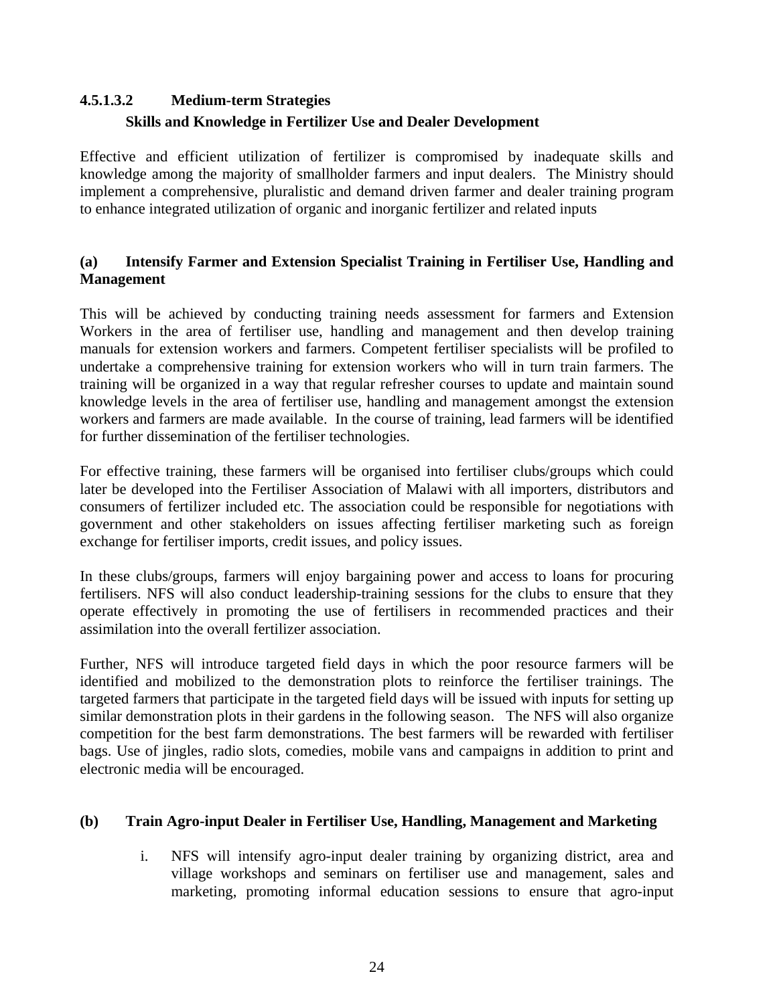# **4.5.1.3.2 Medium-term Strategies Skills and Knowledge in Fertilizer Use and Dealer Development**

Effective and efficient utilization of fertilizer is compromised by inadequate skills and knowledge among the majority of smallholder farmers and input dealers. The Ministry should implement a comprehensive, pluralistic and demand driven farmer and dealer training program to enhance integrated utilization of organic and inorganic fertilizer and related inputs

### **(a) Intensify Farmer and Extension Specialist Training in Fertiliser Use, Handling and Management**

This will be achieved by conducting training needs assessment for farmers and Extension Workers in the area of fertiliser use, handling and management and then develop training manuals for extension workers and farmers. Competent fertiliser specialists will be profiled to undertake a comprehensive training for extension workers who will in turn train farmers. The training will be organized in a way that regular refresher courses to update and maintain sound knowledge levels in the area of fertiliser use, handling and management amongst the extension workers and farmers are made available. In the course of training, lead farmers will be identified for further dissemination of the fertiliser technologies.

For effective training, these farmers will be organised into fertiliser clubs/groups which could later be developed into the Fertiliser Association of Malawi with all importers, distributors and consumers of fertilizer included etc. The association could be responsible for negotiations with government and other stakeholders on issues affecting fertiliser marketing such as foreign exchange for fertiliser imports, credit issues, and policy issues.

In these clubs/groups, farmers will enjoy bargaining power and access to loans for procuring fertilisers. NFS will also conduct leadership-training sessions for the clubs to ensure that they operate effectively in promoting the use of fertilisers in recommended practices and their assimilation into the overall fertilizer association.

Further, NFS will introduce targeted field days in which the poor resource farmers will be identified and mobilized to the demonstration plots to reinforce the fertiliser trainings. The targeted farmers that participate in the targeted field days will be issued with inputs for setting up similar demonstration plots in their gardens in the following season. The NFS will also organize competition for the best farm demonstrations. The best farmers will be rewarded with fertiliser bags. Use of jingles, radio slots, comedies, mobile vans and campaigns in addition to print and electronic media will be encouraged.

### **(b) Train Agro-input Dealer in Fertiliser Use, Handling, Management and Marketing**

i. NFS will intensify agro-input dealer training by organizing district, area and village workshops and seminars on fertiliser use and management, sales and marketing, promoting informal education sessions to ensure that agro-input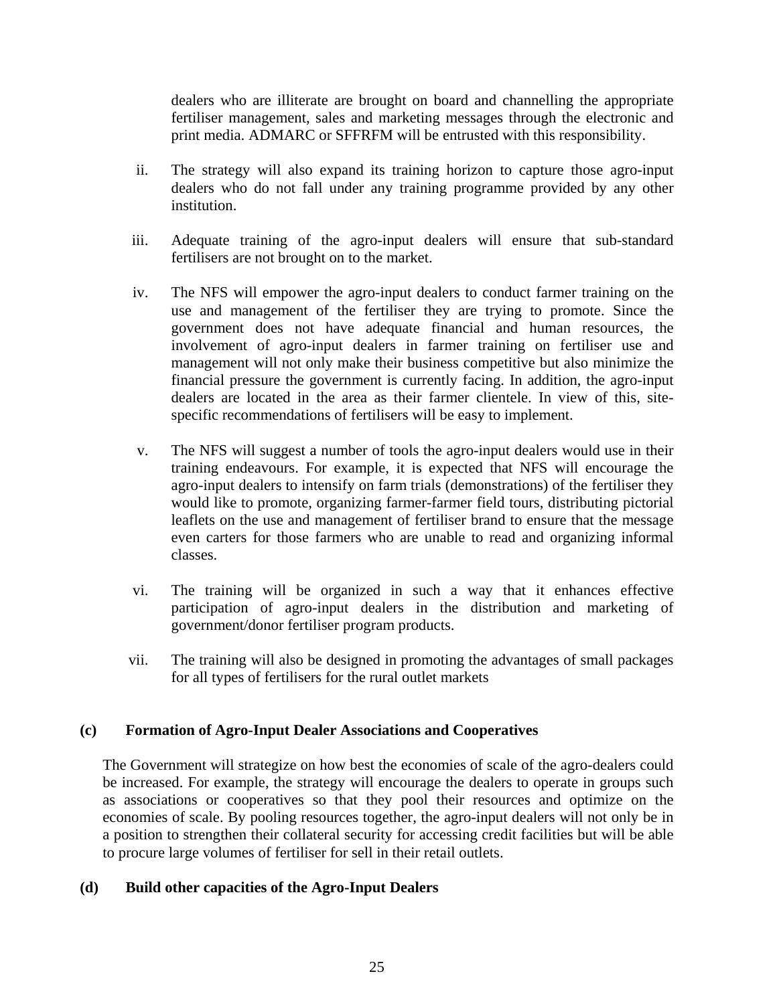dealers who are illiterate are brought on board and channelling the appropriate fertiliser management, sales and marketing messages through the electronic and print media. ADMARC or SFFRFM will be entrusted with this responsibility.

- ii. The strategy will also expand its training horizon to capture those agro-input dealers who do not fall under any training programme provided by any other institution.
- iii. Adequate training of the agro-input dealers will ensure that sub-standard fertilisers are not brought on to the market.
- iv. The NFS will empower the agro-input dealers to conduct farmer training on the use and management of the fertiliser they are trying to promote. Since the government does not have adequate financial and human resources, the involvement of agro-input dealers in farmer training on fertiliser use and management will not only make their business competitive but also minimize the financial pressure the government is currently facing. In addition, the agro-input dealers are located in the area as their farmer clientele. In view of this, sitespecific recommendations of fertilisers will be easy to implement.
- v. The NFS will suggest a number of tools the agro-input dealers would use in their training endeavours. For example, it is expected that NFS will encourage the agro-input dealers to intensify on farm trials (demonstrations) of the fertiliser they would like to promote, organizing farmer-farmer field tours, distributing pictorial leaflets on the use and management of fertiliser brand to ensure that the message even carters for those farmers who are unable to read and organizing informal classes.
- vi. The training will be organized in such a way that it enhances effective participation of agro-input dealers in the distribution and marketing of government/donor fertiliser program products.
- vii. The training will also be designed in promoting the advantages of small packages for all types of fertilisers for the rural outlet markets

#### **(c) Formation of Agro-Input Dealer Associations and Cooperatives**

The Government will strategize on how best the economies of scale of the agro-dealers could be increased. For example, the strategy will encourage the dealers to operate in groups such as associations or cooperatives so that they pool their resources and optimize on the economies of scale. By pooling resources together, the agro-input dealers will not only be in a position to strengthen their collateral security for accessing credit facilities but will be able to procure large volumes of fertiliser for sell in their retail outlets.

#### **(d) Build other capacities of the Agro-Input Dealers**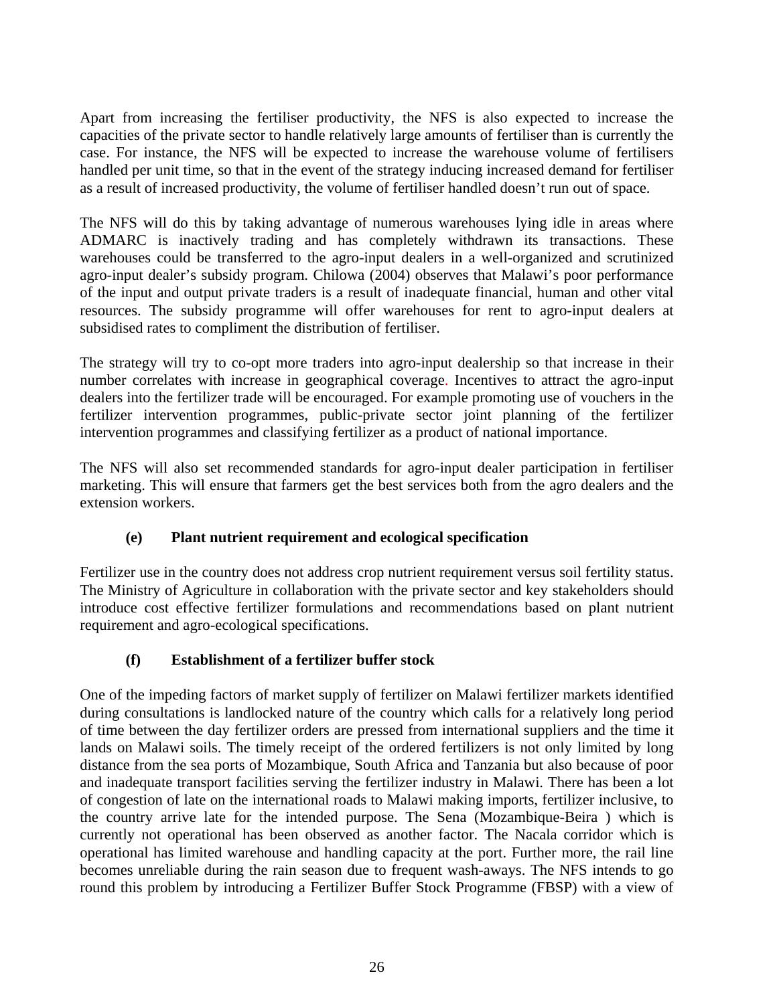Apart from increasing the fertiliser productivity, the NFS is also expected to increase the capacities of the private sector to handle relatively large amounts of fertiliser than is currently the case. For instance, the NFS will be expected to increase the warehouse volume of fertilisers handled per unit time, so that in the event of the strategy inducing increased demand for fertiliser as a result of increased productivity, the volume of fertiliser handled doesn't run out of space.

The NFS will do this by taking advantage of numerous warehouses lying idle in areas where ADMARC is inactively trading and has completely withdrawn its transactions. These warehouses could be transferred to the agro-input dealers in a well-organized and scrutinized agro-input dealer's subsidy program. Chilowa (2004) observes that Malawi's poor performance of the input and output private traders is a result of inadequate financial, human and other vital resources. The subsidy programme will offer warehouses for rent to agro-input dealers at subsidised rates to compliment the distribution of fertiliser.

The strategy will try to co-opt more traders into agro-input dealership so that increase in their number correlates with increase in geographical coverage. Incentives to attract the agro-input dealers into the fertilizer trade will be encouraged. For example promoting use of vouchers in the fertilizer intervention programmes, public-private sector joint planning of the fertilizer intervention programmes and classifying fertilizer as a product of national importance.

The NFS will also set recommended standards for agro-input dealer participation in fertiliser marketing. This will ensure that farmers get the best services both from the agro dealers and the extension workers.

## **(e) Plant nutrient requirement and ecological specification**

Fertilizer use in the country does not address crop nutrient requirement versus soil fertility status. The Ministry of Agriculture in collaboration with the private sector and key stakeholders should introduce cost effective fertilizer formulations and recommendations based on plant nutrient requirement and agro-ecological specifications.

## **(f) Establishment of a fertilizer buffer stock**

One of the impeding factors of market supply of fertilizer on Malawi fertilizer markets identified during consultations is landlocked nature of the country which calls for a relatively long period of time between the day fertilizer orders are pressed from international suppliers and the time it lands on Malawi soils. The timely receipt of the ordered fertilizers is not only limited by long distance from the sea ports of Mozambique, South Africa and Tanzania but also because of poor and inadequate transport facilities serving the fertilizer industry in Malawi. There has been a lot of congestion of late on the international roads to Malawi making imports, fertilizer inclusive, to the country arrive late for the intended purpose. The Sena (Mozambique-Beira ) which is currently not operational has been observed as another factor. The Nacala corridor which is operational has limited warehouse and handling capacity at the port. Further more, the rail line becomes unreliable during the rain season due to frequent wash-aways. The NFS intends to go round this problem by introducing a Fertilizer Buffer Stock Programme (FBSP) with a view of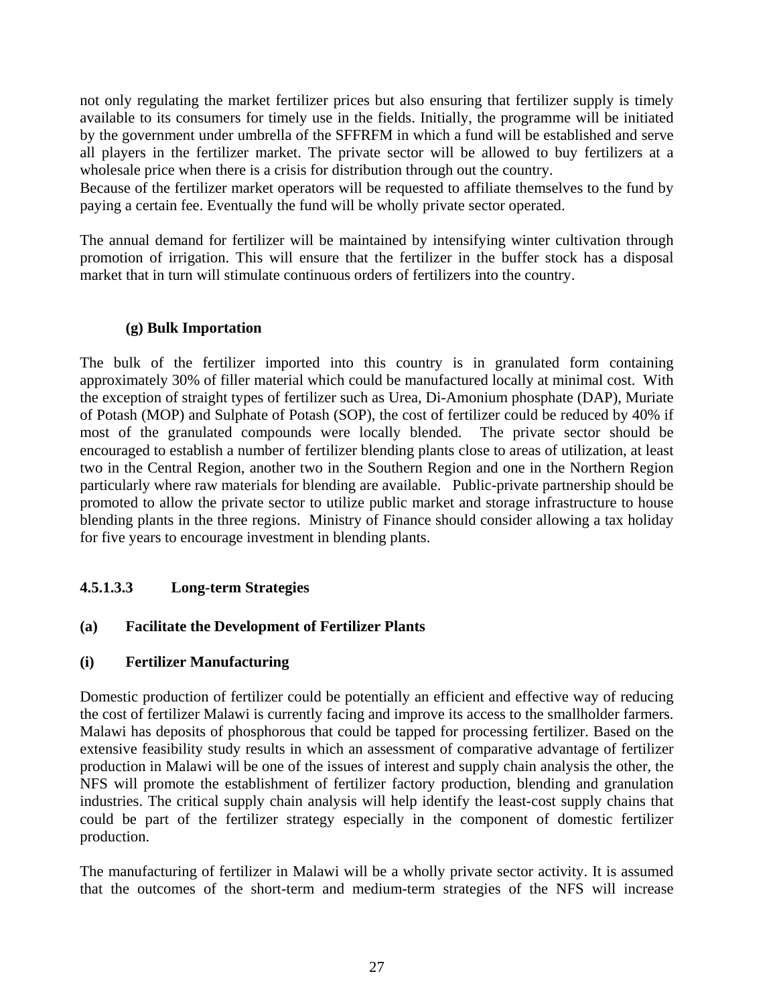not only regulating the market fertilizer prices but also ensuring that fertilizer supply is timely available to its consumers for timely use in the fields. Initially, the programme will be initiated by the government under umbrella of the SFFRFM in which a fund will be established and serve all players in the fertilizer market. The private sector will be allowed to buy fertilizers at a wholesale price when there is a crisis for distribution through out the country.

Because of the fertilizer market operators will be requested to affiliate themselves to the fund by paying a certain fee. Eventually the fund will be wholly private sector operated.

The annual demand for fertilizer will be maintained by intensifying winter cultivation through promotion of irrigation. This will ensure that the fertilizer in the buffer stock has a disposal market that in turn will stimulate continuous orders of fertilizers into the country.

### **(g) Bulk Importation**

The bulk of the fertilizer imported into this country is in granulated form containing approximately 30% of filler material which could be manufactured locally at minimal cost. With the exception of straight types of fertilizer such as Urea, Di-Amonium phosphate (DAP), Muriate of Potash (MOP) and Sulphate of Potash (SOP), the cost of fertilizer could be reduced by 40% if most of the granulated compounds were locally blended. The private sector should be encouraged to establish a number of fertilizer blending plants close to areas of utilization, at least two in the Central Region, another two in the Southern Region and one in the Northern Region particularly where raw materials for blending are available. Public-private partnership should be promoted to allow the private sector to utilize public market and storage infrastructure to house blending plants in the three regions. Ministry of Finance should consider allowing a tax holiday for five years to encourage investment in blending plants.

## **4.5.1.3.3 Long-term Strategies**

### **(a) Facilitate the Development of Fertilizer Plants**

### **(i) Fertilizer Manufacturing**

Domestic production of fertilizer could be potentially an efficient and effective way of reducing the cost of fertilizer Malawi is currently facing and improve its access to the smallholder farmers. Malawi has deposits of phosphorous that could be tapped for processing fertilizer. Based on the extensive feasibility study results in which an assessment of comparative advantage of fertilizer production in Malawi will be one of the issues of interest and supply chain analysis the other, the NFS will promote the establishment of fertilizer factory production, blending and granulation industries. The critical supply chain analysis will help identify the least-cost supply chains that could be part of the fertilizer strategy especially in the component of domestic fertilizer production.

The manufacturing of fertilizer in Malawi will be a wholly private sector activity. It is assumed that the outcomes of the short-term and medium-term strategies of the NFS will increase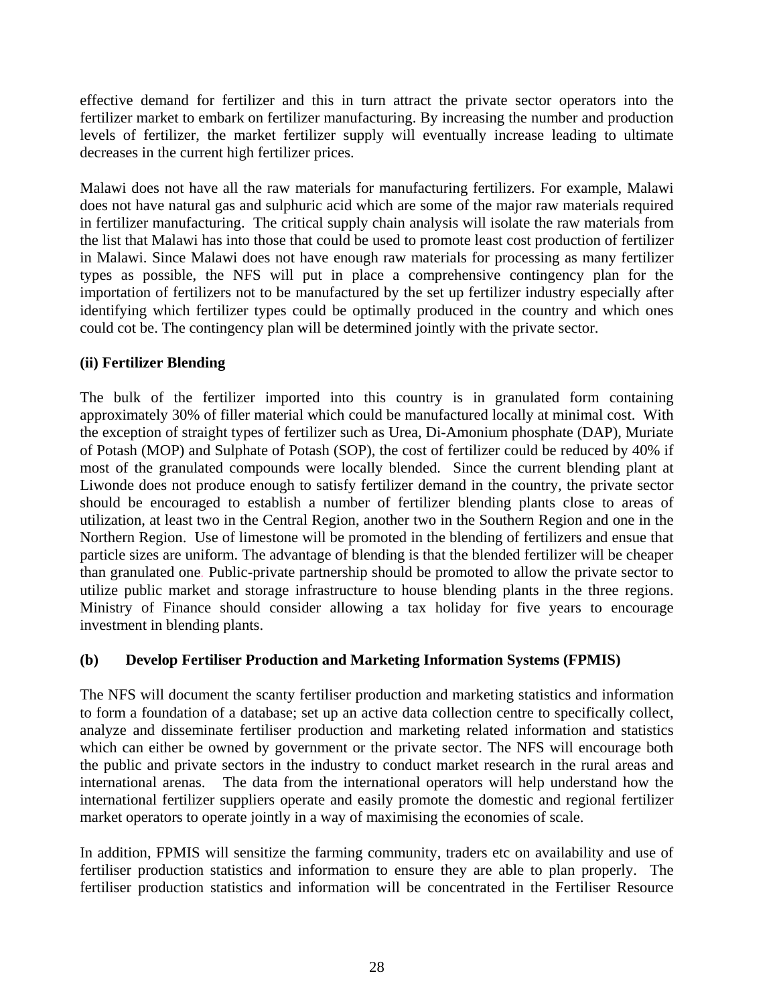effective demand for fertilizer and this in turn attract the private sector operators into the fertilizer market to embark on fertilizer manufacturing. By increasing the number and production levels of fertilizer, the market fertilizer supply will eventually increase leading to ultimate decreases in the current high fertilizer prices.

Malawi does not have all the raw materials for manufacturing fertilizers. For example, Malawi does not have natural gas and sulphuric acid which are some of the major raw materials required in fertilizer manufacturing. The critical supply chain analysis will isolate the raw materials from the list that Malawi has into those that could be used to promote least cost production of fertilizer in Malawi. Since Malawi does not have enough raw materials for processing as many fertilizer types as possible, the NFS will put in place a comprehensive contingency plan for the importation of fertilizers not to be manufactured by the set up fertilizer industry especially after identifying which fertilizer types could be optimally produced in the country and which ones could cot be. The contingency plan will be determined jointly with the private sector.

#### **(ii) Fertilizer Blending**

The bulk of the fertilizer imported into this country is in granulated form containing approximately 30% of filler material which could be manufactured locally at minimal cost. With the exception of straight types of fertilizer such as Urea, Di-Amonium phosphate (DAP), Muriate of Potash (MOP) and Sulphate of Potash (SOP), the cost of fertilizer could be reduced by 40% if most of the granulated compounds were locally blended. Since the current blending plant at Liwonde does not produce enough to satisfy fertilizer demand in the country, the private sector should be encouraged to establish a number of fertilizer blending plants close to areas of utilization, at least two in the Central Region, another two in the Southern Region and one in the Northern Region. Use of limestone will be promoted in the blending of fertilizers and ensue that particle sizes are uniform. The advantage of blending is that the blended fertilizer will be cheaper than granulated one*.* Public-private partnership should be promoted to allow the private sector to utilize public market and storage infrastructure to house blending plants in the three regions. Ministry of Finance should consider allowing a tax holiday for five years to encourage investment in blending plants.

### **(b) Develop Fertiliser Production and Marketing Information Systems (FPMIS)**

The NFS will document the scanty fertiliser production and marketing statistics and information to form a foundation of a database; set up an active data collection centre to specifically collect, analyze and disseminate fertiliser production and marketing related information and statistics which can either be owned by government or the private sector. The NFS will encourage both the public and private sectors in the industry to conduct market research in the rural areas and international arenas. The data from the international operators will help understand how the international fertilizer suppliers operate and easily promote the domestic and regional fertilizer market operators to operate jointly in a way of maximising the economies of scale.

In addition, FPMIS will sensitize the farming community, traders etc on availability and use of fertiliser production statistics and information to ensure they are able to plan properly. The fertiliser production statistics and information will be concentrated in the Fertiliser Resource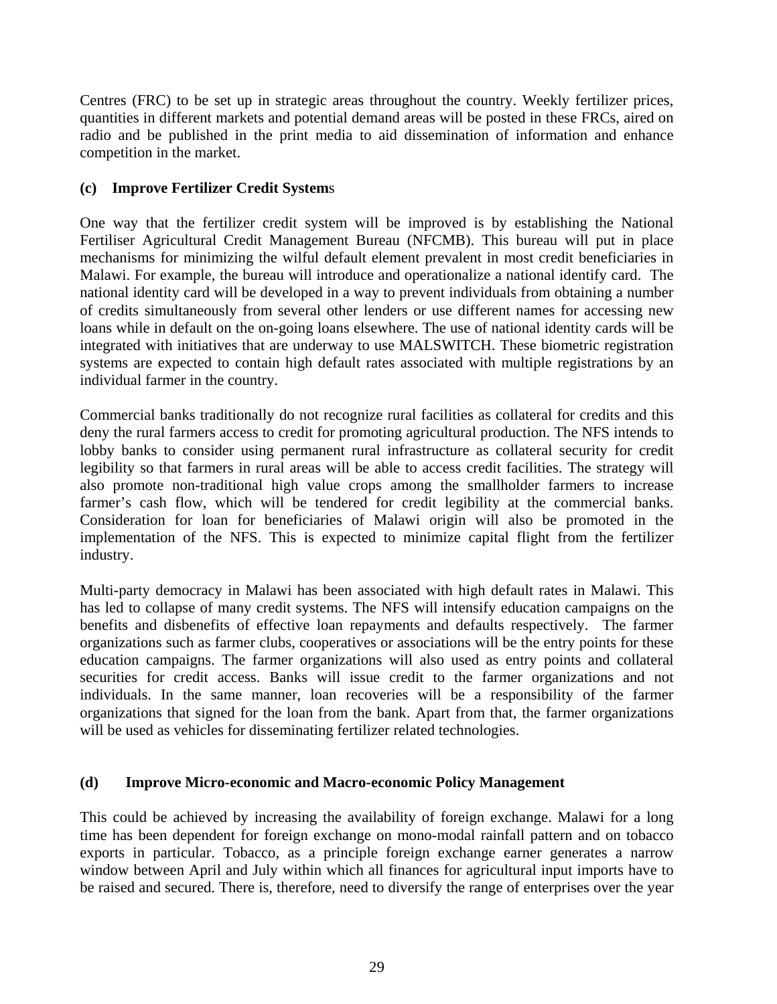Centres (FRC) to be set up in strategic areas throughout the country. Weekly fertilizer prices, quantities in different markets and potential demand areas will be posted in these FRCs, aired on radio and be published in the print media to aid dissemination of information and enhance competition in the market.

### **(c) Improve Fertilizer Credit System**s

One way that the fertilizer credit system will be improved is by establishing the National Fertiliser Agricultural Credit Management Bureau (NFCMB). This bureau will put in place mechanisms for minimizing the wilful default element prevalent in most credit beneficiaries in Malawi. For example, the bureau will introduce and operationalize a national identify card. The national identity card will be developed in a way to prevent individuals from obtaining a number of credits simultaneously from several other lenders or use different names for accessing new loans while in default on the on-going loans elsewhere. The use of national identity cards will be integrated with initiatives that are underway to use MALSWITCH. These biometric registration systems are expected to contain high default rates associated with multiple registrations by an individual farmer in the country.

Commercial banks traditionally do not recognize rural facilities as collateral for credits and this deny the rural farmers access to credit for promoting agricultural production. The NFS intends to lobby banks to consider using permanent rural infrastructure as collateral security for credit legibility so that farmers in rural areas will be able to access credit facilities. The strategy will also promote non-traditional high value crops among the smallholder farmers to increase farmer's cash flow, which will be tendered for credit legibility at the commercial banks. Consideration for loan for beneficiaries of Malawi origin will also be promoted in the implementation of the NFS. This is expected to minimize capital flight from the fertilizer industry.

Multi-party democracy in Malawi has been associated with high default rates in Malawi. This has led to collapse of many credit systems. The NFS will intensify education campaigns on the benefits and disbenefits of effective loan repayments and defaults respectively. The farmer organizations such as farmer clubs, cooperatives or associations will be the entry points for these education campaigns. The farmer organizations will also used as entry points and collateral securities for credit access. Banks will issue credit to the farmer organizations and not individuals. In the same manner, loan recoveries will be a responsibility of the farmer organizations that signed for the loan from the bank. Apart from that, the farmer organizations will be used as vehicles for disseminating fertilizer related technologies.

#### **(d) Improve Micro-economic and Macro-economic Policy Management**

This could be achieved by increasing the availability of foreign exchange. Malawi for a long time has been dependent for foreign exchange on mono-modal rainfall pattern and on tobacco exports in particular. Tobacco, as a principle foreign exchange earner generates a narrow window between April and July within which all finances for agricultural input imports have to be raised and secured. There is, therefore, need to diversify the range of enterprises over the year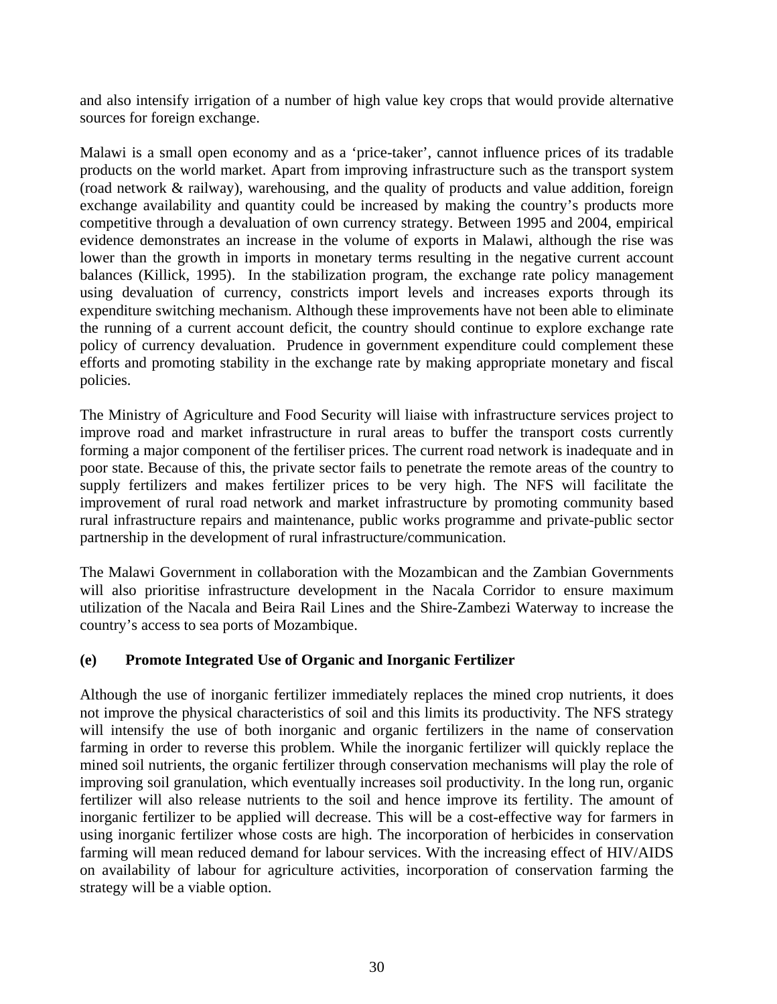and also intensify irrigation of a number of high value key crops that would provide alternative sources for foreign exchange.

Malawi is a small open economy and as a 'price-taker', cannot influence prices of its tradable products on the world market. Apart from improving infrastructure such as the transport system (road network & railway), warehousing, and the quality of products and value addition, foreign exchange availability and quantity could be increased by making the country's products more competitive through a devaluation of own currency strategy. Between 1995 and 2004, empirical evidence demonstrates an increase in the volume of exports in Malawi, although the rise was lower than the growth in imports in monetary terms resulting in the negative current account balances (Killick, 1995). In the stabilization program, the exchange rate policy management using devaluation of currency, constricts import levels and increases exports through its expenditure switching mechanism. Although these improvements have not been able to eliminate the running of a current account deficit, the country should continue to explore exchange rate policy of currency devaluation. Prudence in government expenditure could complement these efforts and promoting stability in the exchange rate by making appropriate monetary and fiscal policies.

The Ministry of Agriculture and Food Security will liaise with infrastructure services project to improve road and market infrastructure in rural areas to buffer the transport costs currently forming a major component of the fertiliser prices. The current road network is inadequate and in poor state. Because of this, the private sector fails to penetrate the remote areas of the country to supply fertilizers and makes fertilizer prices to be very high. The NFS will facilitate the improvement of rural road network and market infrastructure by promoting community based rural infrastructure repairs and maintenance, public works programme and private-public sector partnership in the development of rural infrastructure/communication.

The Malawi Government in collaboration with the Mozambican and the Zambian Governments will also prioritise infrastructure development in the Nacala Corridor to ensure maximum utilization of the Nacala and Beira Rail Lines and the Shire-Zambezi Waterway to increase the country's access to sea ports of Mozambique.

### **(e) Promote Integrated Use of Organic and Inorganic Fertilizer**

Although the use of inorganic fertilizer immediately replaces the mined crop nutrients, it does not improve the physical characteristics of soil and this limits its productivity. The NFS strategy will intensify the use of both inorganic and organic fertilizers in the name of conservation farming in order to reverse this problem. While the inorganic fertilizer will quickly replace the mined soil nutrients, the organic fertilizer through conservation mechanisms will play the role of improving soil granulation, which eventually increases soil productivity. In the long run, organic fertilizer will also release nutrients to the soil and hence improve its fertility. The amount of inorganic fertilizer to be applied will decrease. This will be a cost-effective way for farmers in using inorganic fertilizer whose costs are high. The incorporation of herbicides in conservation farming will mean reduced demand for labour services. With the increasing effect of HIV/AIDS on availability of labour for agriculture activities, incorporation of conservation farming the strategy will be a viable option.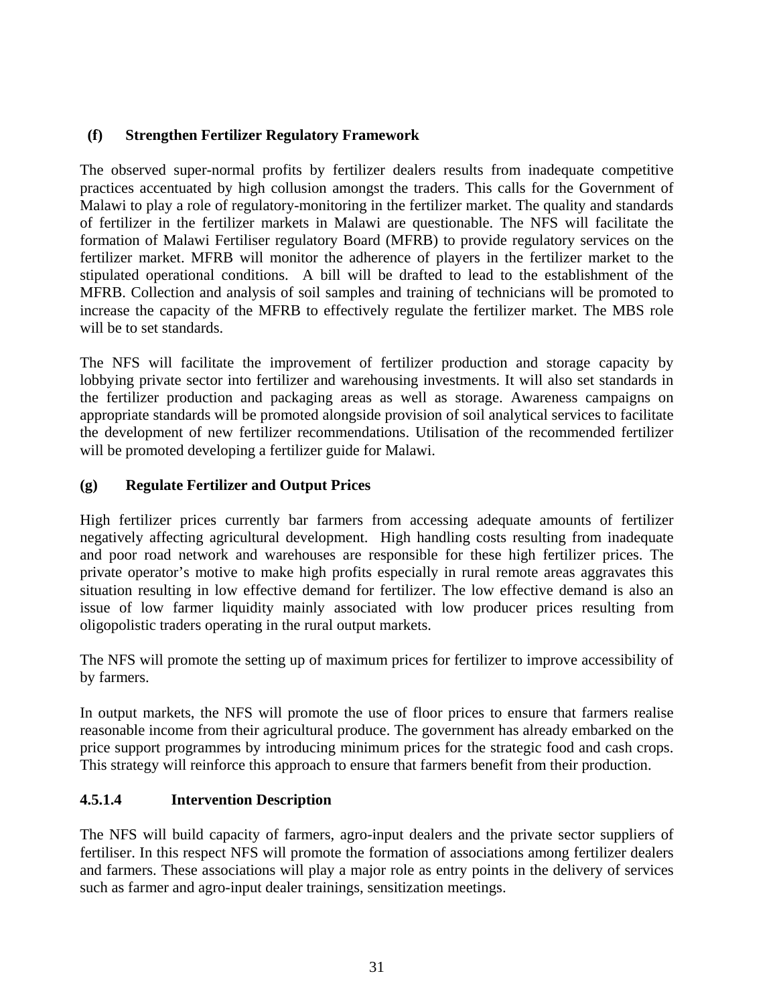### **(f) Strengthen Fertilizer Regulatory Framework**

The observed super-normal profits by fertilizer dealers results from inadequate competitive practices accentuated by high collusion amongst the traders. This calls for the Government of Malawi to play a role of regulatory-monitoring in the fertilizer market. The quality and standards of fertilizer in the fertilizer markets in Malawi are questionable. The NFS will facilitate the formation of Malawi Fertiliser regulatory Board (MFRB) to provide regulatory services on the fertilizer market. MFRB will monitor the adherence of players in the fertilizer market to the stipulated operational conditions. A bill will be drafted to lead to the establishment of the MFRB. Collection and analysis of soil samples and training of technicians will be promoted to increase the capacity of the MFRB to effectively regulate the fertilizer market. The MBS role will be to set standards.

The NFS will facilitate the improvement of fertilizer production and storage capacity by lobbying private sector into fertilizer and warehousing investments. It will also set standards in the fertilizer production and packaging areas as well as storage. Awareness campaigns on appropriate standards will be promoted alongside provision of soil analytical services to facilitate the development of new fertilizer recommendations. Utilisation of the recommended fertilizer will be promoted developing a fertilizer guide for Malawi.

### **(g) Regulate Fertilizer and Output Prices**

High fertilizer prices currently bar farmers from accessing adequate amounts of fertilizer negatively affecting agricultural development. High handling costs resulting from inadequate and poor road network and warehouses are responsible for these high fertilizer prices. The private operator's motive to make high profits especially in rural remote areas aggravates this situation resulting in low effective demand for fertilizer. The low effective demand is also an issue of low farmer liquidity mainly associated with low producer prices resulting from oligopolistic traders operating in the rural output markets.

The NFS will promote the setting up of maximum prices for fertilizer to improve accessibility of by farmers.

In output markets, the NFS will promote the use of floor prices to ensure that farmers realise reasonable income from their agricultural produce. The government has already embarked on the price support programmes by introducing minimum prices for the strategic food and cash crops. This strategy will reinforce this approach to ensure that farmers benefit from their production.

### **4.5.1.4 Intervention Description**

The NFS will build capacity of farmers, agro-input dealers and the private sector suppliers of fertiliser. In this respect NFS will promote the formation of associations among fertilizer dealers and farmers. These associations will play a major role as entry points in the delivery of services such as farmer and agro-input dealer trainings, sensitization meetings.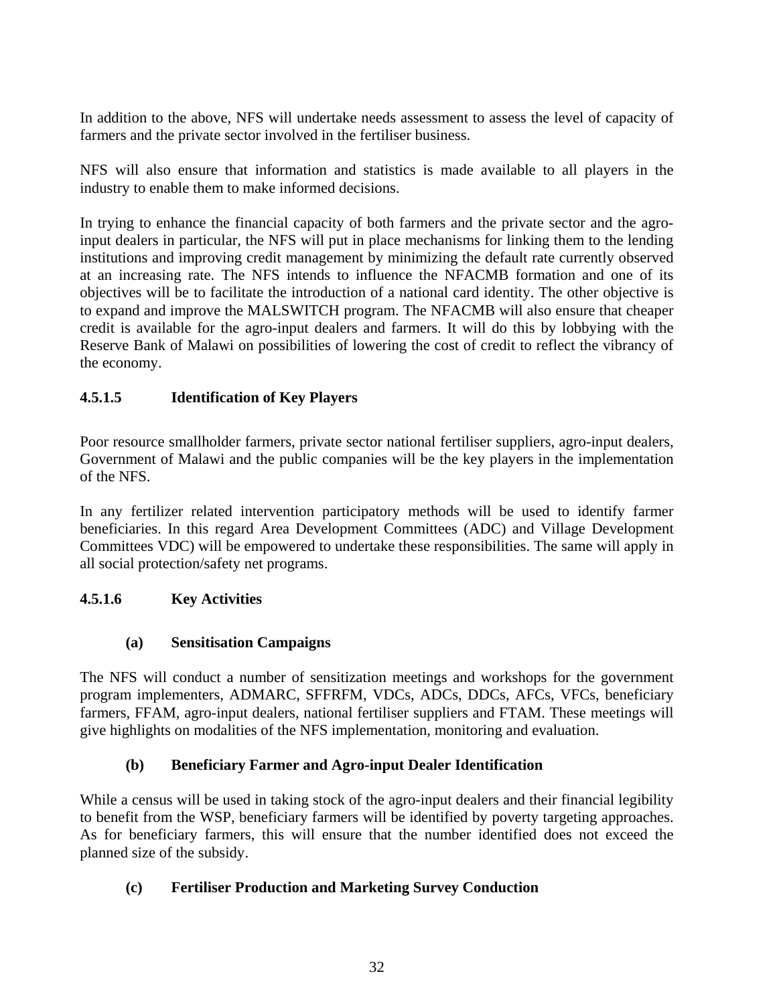In addition to the above, NFS will undertake needs assessment to assess the level of capacity of farmers and the private sector involved in the fertiliser business.

NFS will also ensure that information and statistics is made available to all players in the industry to enable them to make informed decisions.

In trying to enhance the financial capacity of both farmers and the private sector and the agroinput dealers in particular, the NFS will put in place mechanisms for linking them to the lending institutions and improving credit management by minimizing the default rate currently observed at an increasing rate. The NFS intends to influence the NFACMB formation and one of its objectives will be to facilitate the introduction of a national card identity. The other objective is to expand and improve the MALSWITCH program. The NFACMB will also ensure that cheaper credit is available for the agro-input dealers and farmers. It will do this by lobbying with the Reserve Bank of Malawi on possibilities of lowering the cost of credit to reflect the vibrancy of the economy.

### **4.5.1.5 Identification of Key Players**

Poor resource smallholder farmers, private sector national fertiliser suppliers, agro-input dealers, Government of Malawi and the public companies will be the key players in the implementation of the NFS.

In any fertilizer related intervention participatory methods will be used to identify farmer beneficiaries. In this regard Area Development Committees (ADC) and Village Development Committees VDC) will be empowered to undertake these responsibilities. The same will apply in all social protection/safety net programs.

### **4.5.1.6 Key Activities**

### **(a) Sensitisation Campaigns**

The NFS will conduct a number of sensitization meetings and workshops for the government program implementers, ADMARC, SFFRFM, VDCs, ADCs, DDCs, AFCs, VFCs, beneficiary farmers, FFAM, agro-input dealers, national fertiliser suppliers and FTAM. These meetings will give highlights on modalities of the NFS implementation, monitoring and evaluation.

### **(b) Beneficiary Farmer and Agro-input Dealer Identification**

While a census will be used in taking stock of the agro-input dealers and their financial legibility to benefit from the WSP, beneficiary farmers will be identified by poverty targeting approaches. As for beneficiary farmers, this will ensure that the number identified does not exceed the planned size of the subsidy.

#### **(c) Fertiliser Production and Marketing Survey Conduction**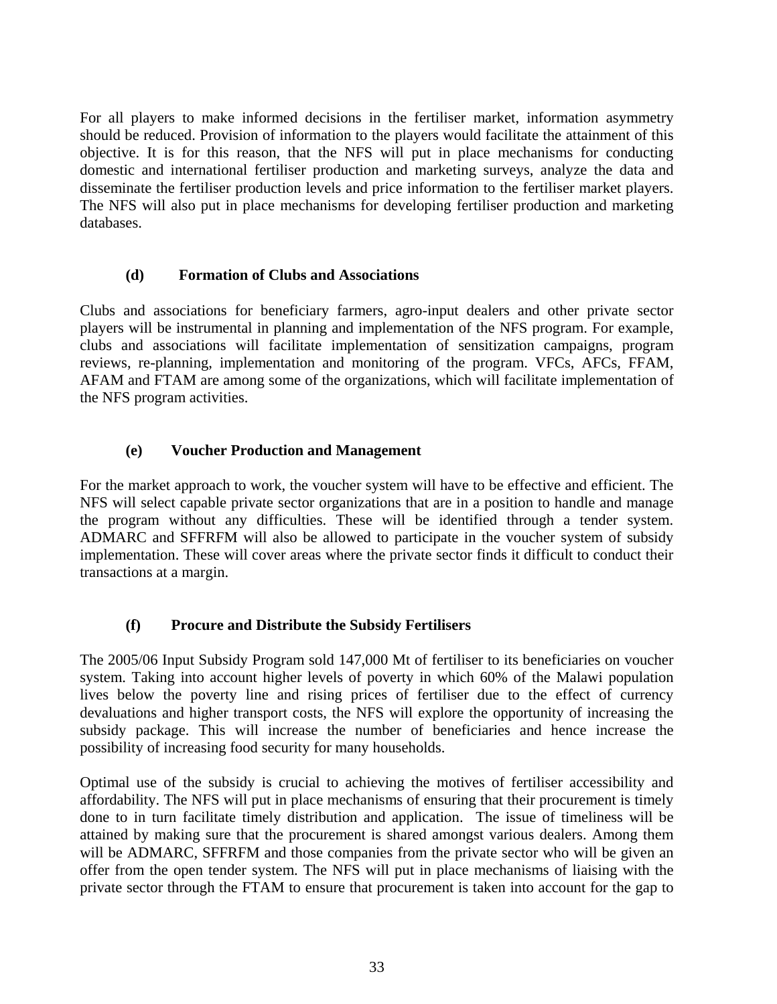For all players to make informed decisions in the fertiliser market, information asymmetry should be reduced. Provision of information to the players would facilitate the attainment of this objective. It is for this reason, that the NFS will put in place mechanisms for conducting domestic and international fertiliser production and marketing surveys, analyze the data and disseminate the fertiliser production levels and price information to the fertiliser market players. The NFS will also put in place mechanisms for developing fertiliser production and marketing databases.

#### **(d) Formation of Clubs and Associations**

Clubs and associations for beneficiary farmers, agro-input dealers and other private sector players will be instrumental in planning and implementation of the NFS program. For example, clubs and associations will facilitate implementation of sensitization campaigns, program reviews, re-planning, implementation and monitoring of the program. VFCs, AFCs, FFAM, AFAM and FTAM are among some of the organizations, which will facilitate implementation of the NFS program activities.

#### **(e) Voucher Production and Management**

For the market approach to work, the voucher system will have to be effective and efficient. The NFS will select capable private sector organizations that are in a position to handle and manage the program without any difficulties. These will be identified through a tender system. ADMARC and SFFRFM will also be allowed to participate in the voucher system of subsidy implementation. These will cover areas where the private sector finds it difficult to conduct their transactions at a margin.

### **(f) Procure and Distribute the Subsidy Fertilisers**

The 2005/06 Input Subsidy Program sold 147,000 Mt of fertiliser to its beneficiaries on voucher system. Taking into account higher levels of poverty in which 60% of the Malawi population lives below the poverty line and rising prices of fertiliser due to the effect of currency devaluations and higher transport costs, the NFS will explore the opportunity of increasing the subsidy package. This will increase the number of beneficiaries and hence increase the possibility of increasing food security for many households.

Optimal use of the subsidy is crucial to achieving the motives of fertiliser accessibility and affordability. The NFS will put in place mechanisms of ensuring that their procurement is timely done to in turn facilitate timely distribution and application. The issue of timeliness will be attained by making sure that the procurement is shared amongst various dealers. Among them will be ADMARC, SFFRFM and those companies from the private sector who will be given an offer from the open tender system. The NFS will put in place mechanisms of liaising with the private sector through the FTAM to ensure that procurement is taken into account for the gap to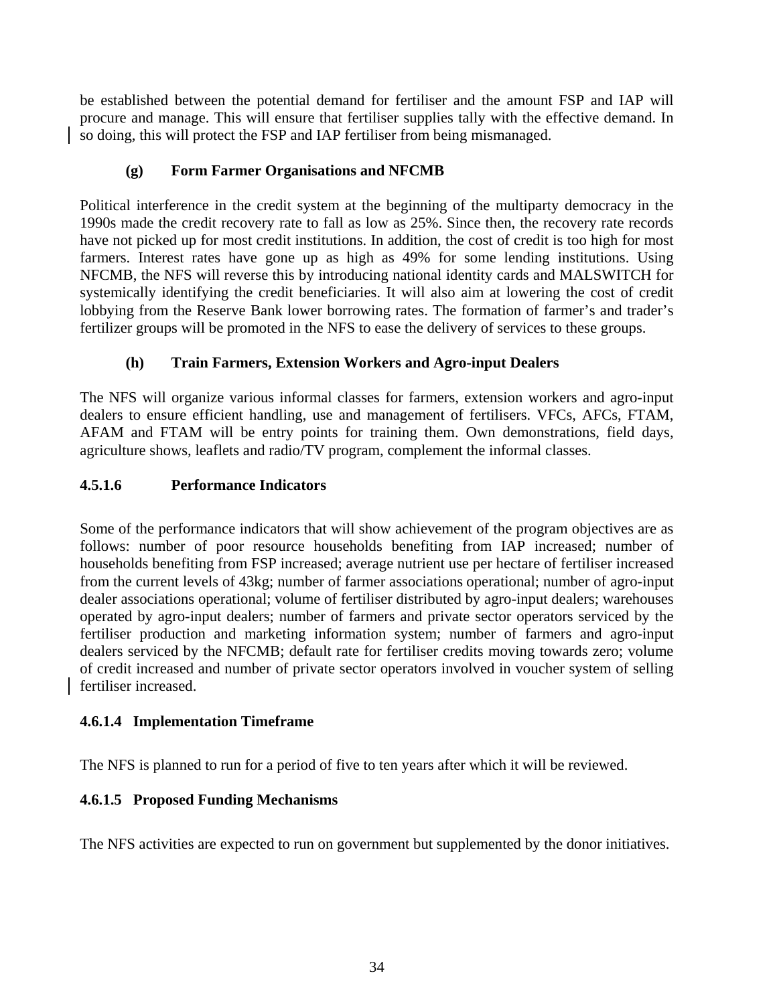be established between the potential demand for fertiliser and the amount FSP and IAP will procure and manage. This will ensure that fertiliser supplies tally with the effective demand. In so doing, this will protect the FSP and IAP fertiliser from being mismanaged.

### **(g) Form Farmer Organisations and NFCMB**

Political interference in the credit system at the beginning of the multiparty democracy in the 1990s made the credit recovery rate to fall as low as 25%. Since then, the recovery rate records have not picked up for most credit institutions. In addition, the cost of credit is too high for most farmers. Interest rates have gone up as high as 49% for some lending institutions. Using NFCMB, the NFS will reverse this by introducing national identity cards and MALSWITCH for systemically identifying the credit beneficiaries. It will also aim at lowering the cost of credit lobbying from the Reserve Bank lower borrowing rates. The formation of farmer's and trader's fertilizer groups will be promoted in the NFS to ease the delivery of services to these groups.

### **(h) Train Farmers, Extension Workers and Agro-input Dealers**

The NFS will organize various informal classes for farmers, extension workers and agro-input dealers to ensure efficient handling, use and management of fertilisers. VFCs, AFCs, FTAM, AFAM and FTAM will be entry points for training them. Own demonstrations, field days, agriculture shows, leaflets and radio/TV program, complement the informal classes.

### **4.5.1.6 Performance Indicators**

Some of the performance indicators that will show achievement of the program objectives are as follows: number of poor resource households benefiting from IAP increased; number of households benefiting from FSP increased; average nutrient use per hectare of fertiliser increased from the current levels of 43kg; number of farmer associations operational; number of agro-input dealer associations operational; volume of fertiliser distributed by agro-input dealers; warehouses operated by agro-input dealers; number of farmers and private sector operators serviced by the fertiliser production and marketing information system; number of farmers and agro-input dealers serviced by the NFCMB; default rate for fertiliser credits moving towards zero; volume of credit increased and number of private sector operators involved in voucher system of selling fertiliser increased.

### **4.6.1.4 Implementation Timeframe**

The NFS is planned to run for a period of five to ten years after which it will be reviewed.

## **4.6.1.5 Proposed Funding Mechanisms**

The NFS activities are expected to run on government but supplemented by the donor initiatives.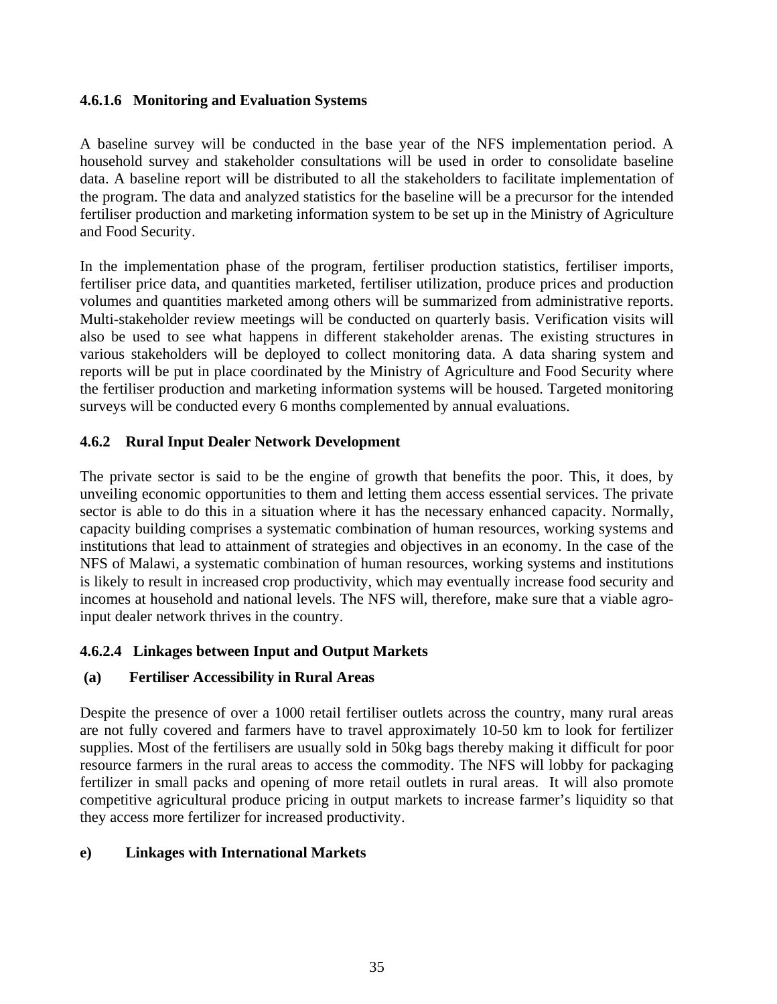### **4.6.1.6 Monitoring and Evaluation Systems**

A baseline survey will be conducted in the base year of the NFS implementation period. A household survey and stakeholder consultations will be used in order to consolidate baseline data. A baseline report will be distributed to all the stakeholders to facilitate implementation of the program. The data and analyzed statistics for the baseline will be a precursor for the intended fertiliser production and marketing information system to be set up in the Ministry of Agriculture and Food Security.

In the implementation phase of the program, fertiliser production statistics, fertiliser imports, fertiliser price data, and quantities marketed, fertiliser utilization, produce prices and production volumes and quantities marketed among others will be summarized from administrative reports. Multi-stakeholder review meetings will be conducted on quarterly basis. Verification visits will also be used to see what happens in different stakeholder arenas. The existing structures in various stakeholders will be deployed to collect monitoring data. A data sharing system and reports will be put in place coordinated by the Ministry of Agriculture and Food Security where the fertiliser production and marketing information systems will be housed. Targeted monitoring surveys will be conducted every 6 months complemented by annual evaluations.

### **4.6.2 Rural Input Dealer Network Development**

The private sector is said to be the engine of growth that benefits the poor. This, it does, by unveiling economic opportunities to them and letting them access essential services. The private sector is able to do this in a situation where it has the necessary enhanced capacity. Normally, capacity building comprises a systematic combination of human resources, working systems and institutions that lead to attainment of strategies and objectives in an economy. In the case of the NFS of Malawi, a systematic combination of human resources, working systems and institutions is likely to result in increased crop productivity, which may eventually increase food security and incomes at household and national levels. The NFS will, therefore, make sure that a viable agroinput dealer network thrives in the country.

### **4.6.2.4 Linkages between Input and Output Markets**

### **(a) Fertiliser Accessibility in Rural Areas**

Despite the presence of over a 1000 retail fertiliser outlets across the country, many rural areas are not fully covered and farmers have to travel approximately 10-50 km to look for fertilizer supplies. Most of the fertilisers are usually sold in 50kg bags thereby making it difficult for poor resource farmers in the rural areas to access the commodity. The NFS will lobby for packaging fertilizer in small packs and opening of more retail outlets in rural areas. It will also promote competitive agricultural produce pricing in output markets to increase farmer's liquidity so that they access more fertilizer for increased productivity.

### **e) Linkages with International Markets**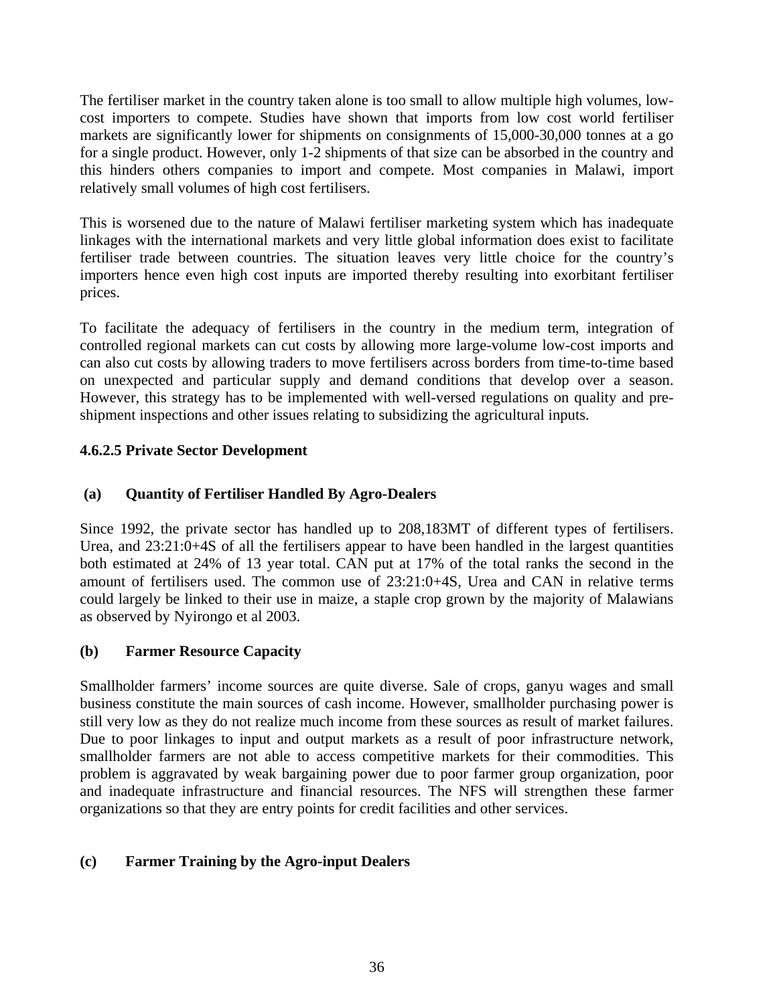The fertiliser market in the country taken alone is too small to allow multiple high volumes, lowcost importers to compete. Studies have shown that imports from low cost world fertiliser markets are significantly lower for shipments on consignments of 15,000-30,000 tonnes at a go for a single product. However, only 1-2 shipments of that size can be absorbed in the country and this hinders others companies to import and compete. Most companies in Malawi, import relatively small volumes of high cost fertilisers.

This is worsened due to the nature of Malawi fertiliser marketing system which has inadequate linkages with the international markets and very little global information does exist to facilitate fertiliser trade between countries. The situation leaves very little choice for the country's importers hence even high cost inputs are imported thereby resulting into exorbitant fertiliser prices.

To facilitate the adequacy of fertilisers in the country in the medium term, integration of controlled regional markets can cut costs by allowing more large-volume low-cost imports and can also cut costs by allowing traders to move fertilisers across borders from time-to-time based on unexpected and particular supply and demand conditions that develop over a season. However, this strategy has to be implemented with well-versed regulations on quality and preshipment inspections and other issues relating to subsidizing the agricultural inputs.

### **4.6.2.5 Private Sector Development**

### **(a) Quantity of Fertiliser Handled By Agro-Dealers**

Since 1992, the private sector has handled up to 208,183MT of different types of fertilisers. Urea, and 23:21:0+4S of all the fertilisers appear to have been handled in the largest quantities both estimated at 24% of 13 year total. CAN put at 17% of the total ranks the second in the amount of fertilisers used. The common use of 23:21:0+4S, Urea and CAN in relative terms could largely be linked to their use in maize, a staple crop grown by the majority of Malawians as observed by Nyirongo et al 2003.

### **(b) Farmer Resource Capacity**

Smallholder farmers' income sources are quite diverse. Sale of crops, ganyu wages and small business constitute the main sources of cash income. However, smallholder purchasing power is still very low as they do not realize much income from these sources as result of market failures. Due to poor linkages to input and output markets as a result of poor infrastructure network, smallholder farmers are not able to access competitive markets for their commodities. This problem is aggravated by weak bargaining power due to poor farmer group organization, poor and inadequate infrastructure and financial resources. The NFS will strengthen these farmer organizations so that they are entry points for credit facilities and other services.

### **(c) Farmer Training by the Agro-input Dealers**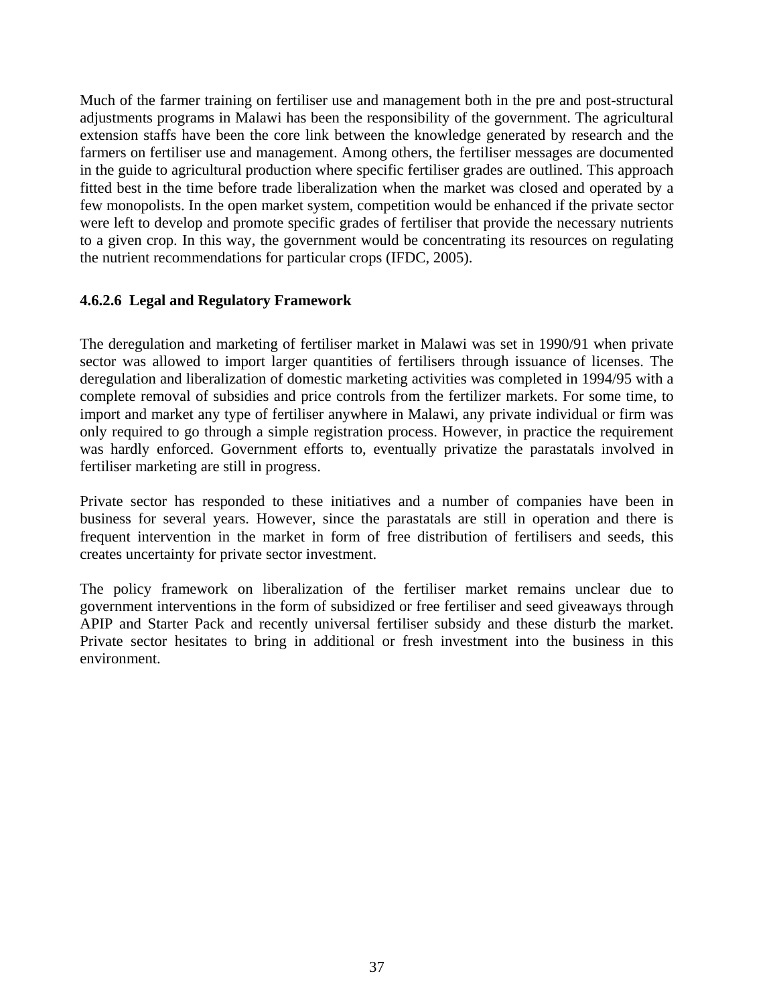Much of the farmer training on fertiliser use and management both in the pre and post-structural adjustments programs in Malawi has been the responsibility of the government. The agricultural extension staffs have been the core link between the knowledge generated by research and the farmers on fertiliser use and management. Among others, the fertiliser messages are documented in the guide to agricultural production where specific fertiliser grades are outlined. This approach fitted best in the time before trade liberalization when the market was closed and operated by a few monopolists. In the open market system, competition would be enhanced if the private sector were left to develop and promote specific grades of fertiliser that provide the necessary nutrients to a given crop. In this way, the government would be concentrating its resources on regulating the nutrient recommendations for particular crops (IFDC, 2005).

#### **4.6.2.6 Legal and Regulatory Framework**

The deregulation and marketing of fertiliser market in Malawi was set in 1990/91 when private sector was allowed to import larger quantities of fertilisers through issuance of licenses. The deregulation and liberalization of domestic marketing activities was completed in 1994/95 with a complete removal of subsidies and price controls from the fertilizer markets. For some time, to import and market any type of fertiliser anywhere in Malawi, any private individual or firm was only required to go through a simple registration process. However, in practice the requirement was hardly enforced. Government efforts to, eventually privatize the parastatals involved in fertiliser marketing are still in progress.

Private sector has responded to these initiatives and a number of companies have been in business for several years. However, since the parastatals are still in operation and there is frequent intervention in the market in form of free distribution of fertilisers and seeds, this creates uncertainty for private sector investment.

The policy framework on liberalization of the fertiliser market remains unclear due to government interventions in the form of subsidized or free fertiliser and seed giveaways through APIP and Starter Pack and recently universal fertiliser subsidy and these disturb the market. Private sector hesitates to bring in additional or fresh investment into the business in this environment.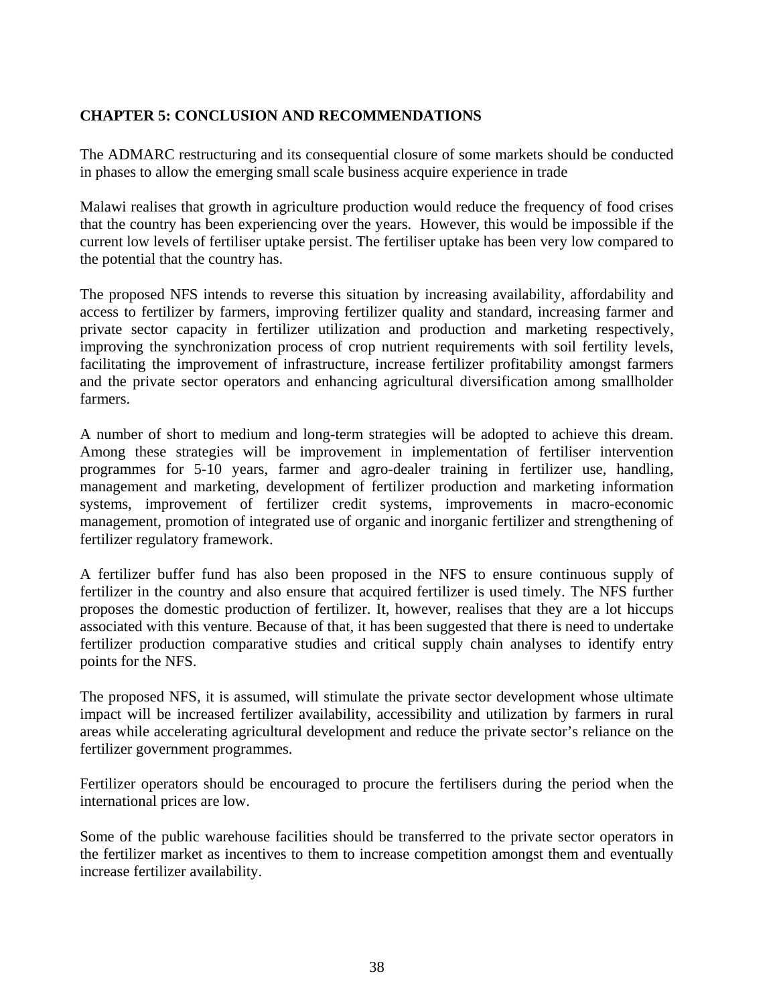### **CHAPTER 5: CONCLUSION AND RECOMMENDATIONS**

The ADMARC restructuring and its consequential closure of some markets should be conducted in phases to allow the emerging small scale business acquire experience in trade

Malawi realises that growth in agriculture production would reduce the frequency of food crises that the country has been experiencing over the years. However, this would be impossible if the current low levels of fertiliser uptake persist. The fertiliser uptake has been very low compared to the potential that the country has.

The proposed NFS intends to reverse this situation by increasing availability, affordability and access to fertilizer by farmers, improving fertilizer quality and standard, increasing farmer and private sector capacity in fertilizer utilization and production and marketing respectively, improving the synchronization process of crop nutrient requirements with soil fertility levels, facilitating the improvement of infrastructure, increase fertilizer profitability amongst farmers and the private sector operators and enhancing agricultural diversification among smallholder farmers.

A number of short to medium and long-term strategies will be adopted to achieve this dream. Among these strategies will be improvement in implementation of fertiliser intervention programmes for 5-10 years, farmer and agro-dealer training in fertilizer use, handling, management and marketing, development of fertilizer production and marketing information systems, improvement of fertilizer credit systems, improvements in macro-economic management, promotion of integrated use of organic and inorganic fertilizer and strengthening of fertilizer regulatory framework.

A fertilizer buffer fund has also been proposed in the NFS to ensure continuous supply of fertilizer in the country and also ensure that acquired fertilizer is used timely. The NFS further proposes the domestic production of fertilizer. It, however, realises that they are a lot hiccups associated with this venture. Because of that, it has been suggested that there is need to undertake fertilizer production comparative studies and critical supply chain analyses to identify entry points for the NFS.

The proposed NFS, it is assumed, will stimulate the private sector development whose ultimate impact will be increased fertilizer availability, accessibility and utilization by farmers in rural areas while accelerating agricultural development and reduce the private sector's reliance on the fertilizer government programmes.

Fertilizer operators should be encouraged to procure the fertilisers during the period when the international prices are low.

Some of the public warehouse facilities should be transferred to the private sector operators in the fertilizer market as incentives to them to increase competition amongst them and eventually increase fertilizer availability.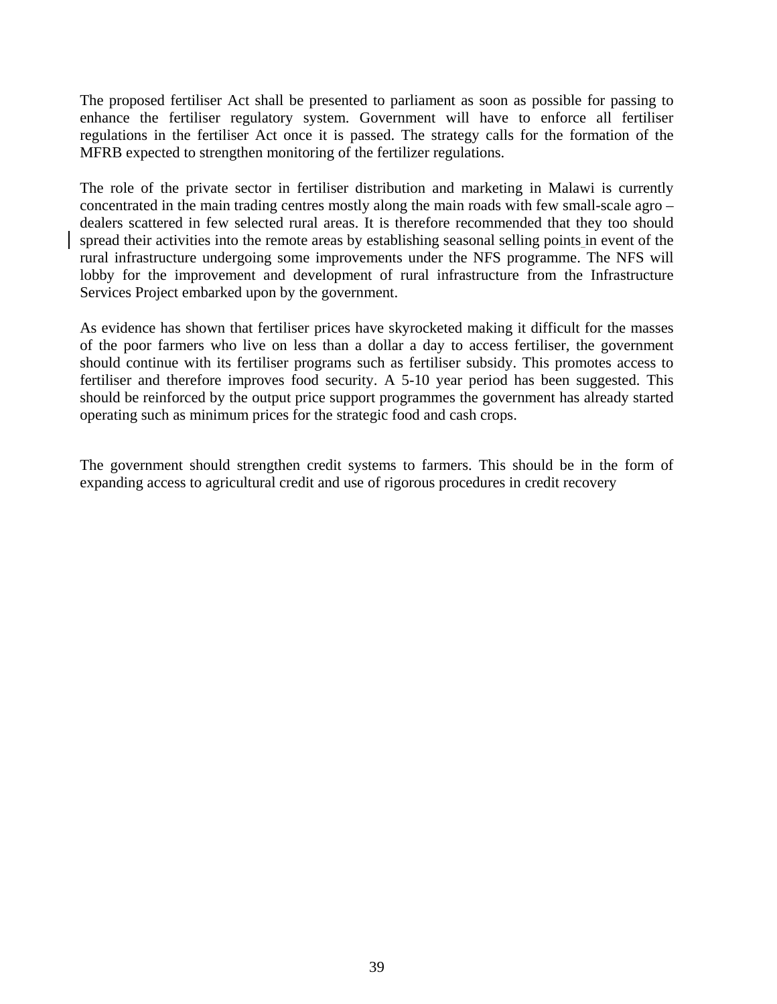The proposed fertiliser Act shall be presented to parliament as soon as possible for passing to enhance the fertiliser regulatory system. Government will have to enforce all fertiliser regulations in the fertiliser Act once it is passed. The strategy calls for the formation of the MFRB expected to strengthen monitoring of the fertilizer regulations.

The role of the private sector in fertiliser distribution and marketing in Malawi is currently concentrated in the main trading centres mostly along the main roads with few small-scale agro – dealers scattered in few selected rural areas. It is therefore recommended that they too should spread their activities into the remote areas by establishing seasonal selling points in event of the rural infrastructure undergoing some improvements under the NFS programme. The NFS will lobby for the improvement and development of rural infrastructure from the Infrastructure Services Project embarked upon by the government.

As evidence has shown that fertiliser prices have skyrocketed making it difficult for the masses of the poor farmers who live on less than a dollar a day to access fertiliser, the government should continue with its fertiliser programs such as fertiliser subsidy. This promotes access to fertiliser and therefore improves food security. A 5-10 year period has been suggested. This should be reinforced by the output price support programmes the government has already started operating such as minimum prices for the strategic food and cash crops.

The government should strengthen credit systems to farmers. This should be in the form of expanding access to agricultural credit and use of rigorous procedures in credit recovery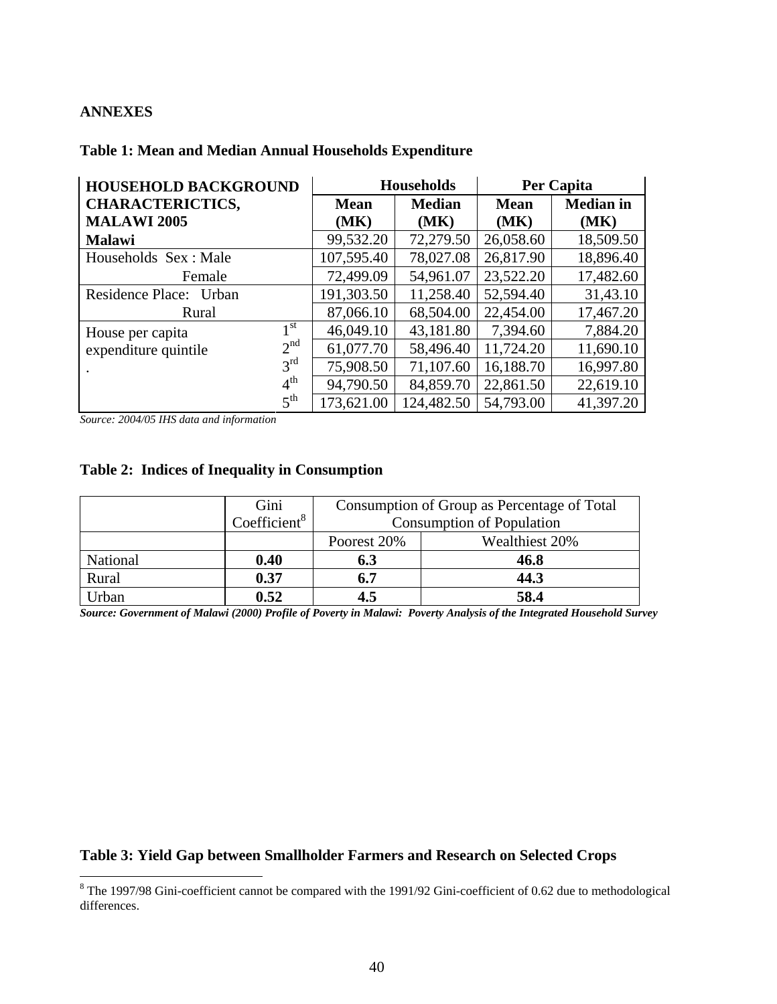#### **ANNEXES**

| <b>HOUSEHOLD BACKGROUND</b>             |             | <b>Households</b> | <b>Per Capita</b> |                  |  |
|-----------------------------------------|-------------|-------------------|-------------------|------------------|--|
| <b>CHARACTERICTICS,</b>                 | <b>Mean</b> | <b>Median</b>     | <b>Mean</b>       | <b>Median</b> in |  |
| <b>MALAWI 2005</b>                      | (MK)        | (MK)              | (MK)              | (MK)             |  |
| <b>Malawi</b>                           | 99,532.20   | 72,279.50         | 26,058.60         | 18,509.50        |  |
| Households Sex: Male                    | 107,595.40  | 78,027.08         | 26,817.90         | 18,896.40        |  |
| Female                                  | 72,499.09   | 54,961.07         | 23,522.20         | 17,482.60        |  |
| <b>Residence Place:</b><br>Urban        | 191,303.50  | 11,258.40         | 52,594.40         | 31,43.10         |  |
| Rural                                   | 87,066.10   | 68,504.00         | 22,454.00         | 17,467.20        |  |
| 1 <sup>st</sup><br>House per capita     | 46,049.10   | 43,181.80         | 7,394.60          | 7,884.20         |  |
| 2 <sup>nd</sup><br>expenditure quintile | 61,077.70   | 58,496.40         | 11,724.20         | 11,690.10        |  |
| $3^{rd}$                                | 75,908.50   | 71,107.60         | 16,188.70         | 16,997.80        |  |
| 4 <sup>th</sup>                         | 94,790.50   | 84,859.70         | 22,861.50         | 22,619.10        |  |
| 5 <sup>th</sup>                         | 173,621.00  | 124,482.50        | 54,793.00         | 41,397.20        |  |

#### **Table 1: Mean and Median Annual Households Expenditure**

*Source: 2004/05 IHS data and information* 

# **Table 2: Indices of Inequality in Consumption**

|          | Gini            | Consumption of Group as Percentage of Total |      |  |  |  |
|----------|-----------------|---------------------------------------------|------|--|--|--|
|          | Coefficient $8$ | <b>Consumption of Population</b>            |      |  |  |  |
|          |                 | Wealthiest 20%<br>Poorest 20%               |      |  |  |  |
| National | 0.40            | 6.3                                         | 46.8 |  |  |  |
| Rural    | 0.37            | 6.7                                         | 44.3 |  |  |  |
| Jrban    | 0.52            | 4.5<br>58.4                                 |      |  |  |  |

*Source: Government of Malawi (2000) Profile of Poverty in Malawi: Poverty Analysis of the Integrated Household Survey* 

#### **Table 3: Yield Gap between Smallholder Farmers and Research on Selected Crops**

<sup>&</sup>lt;sup>8</sup> The 1997/98 Gini-coefficient cannot be compared with the 1991/92 Gini-coefficient of 0.62 due to methodological differences.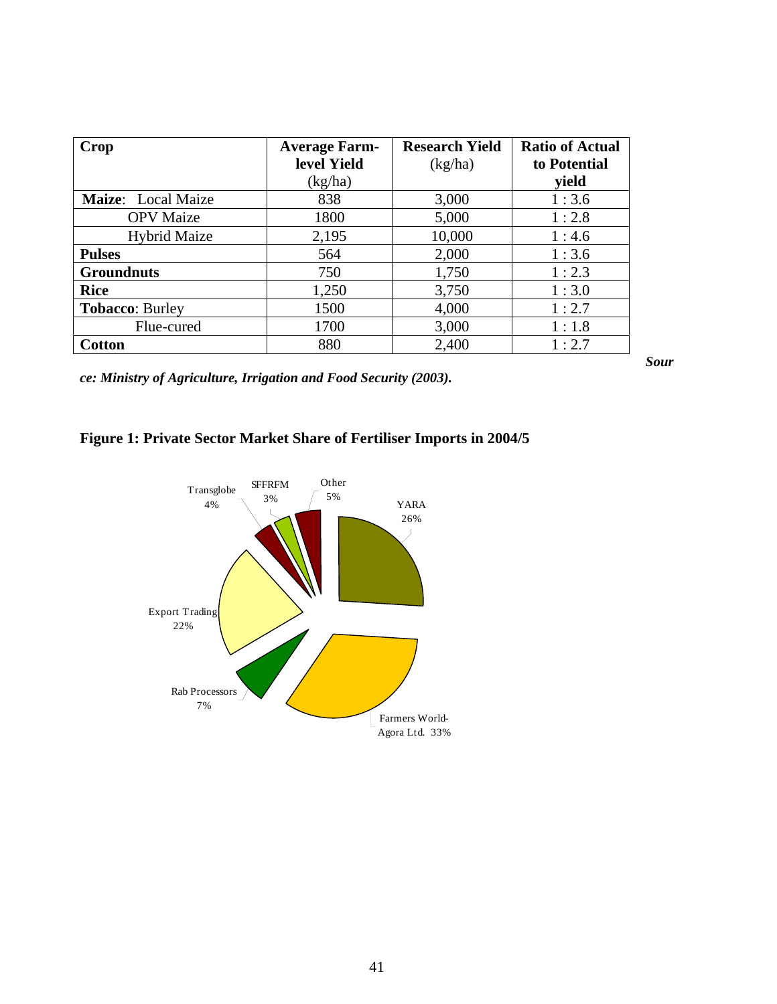| Crop                   | <b>Average Farm-</b> | <b>Research Yield</b> | <b>Ratio of Actual</b> |
|------------------------|----------------------|-----------------------|------------------------|
|                        | level Yield          | (kg/ha)               | to Potential           |
|                        | (kg/ha)              |                       | vield                  |
| Maize: Local Maize     | 838                  | 3,000                 | 1:3.6                  |
| <b>OPV</b> Maize       | 1800                 | 5,000                 | 1:2.8                  |
| <b>Hybrid Maize</b>    | 2,195                | 10,000                | 1:4.6                  |
| <b>Pulses</b>          | 564                  | 2,000                 | 1:3.6                  |
| <b>Groundnuts</b>      | 750                  | 1,750                 | 1:2.3                  |
| <b>Rice</b>            | 1,250                | 3,750                 | 1:3.0                  |
| <b>Tobacco: Burley</b> | 1500                 | 4,000                 | 1:2.7                  |
| Flue-cured             | 1700                 | 3,000                 | 1:1.8                  |
| <b>Cotton</b>          | 880                  | 2,400                 | 1:2.7                  |

*Sour*

*ce: Ministry of Agriculture, Irrigation and Food Security (2003).* 

# **Figure 1: Private Sector Market Share of Fertiliser Imports in 2004/5**

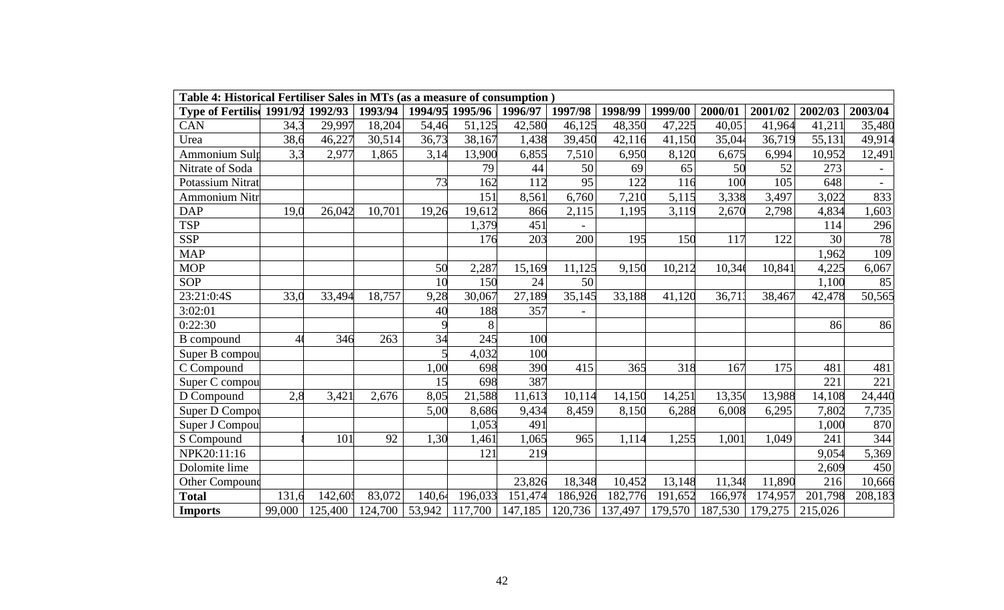| Table 4: Historical Fertiliser Sales in MTs (as a measure of consumption) |        |         |         |        |                 |                     |                          |         |         |         |         |         |         |
|---------------------------------------------------------------------------|--------|---------|---------|--------|-----------------|---------------------|--------------------------|---------|---------|---------|---------|---------|---------|
| <b>Type of Fertilise 1991/92 1992/93</b>                                  |        |         | 1993/94 |        | 1994/95 1995/96 | 1996/97             | 1997/98                  | 1998/99 | 1999/00 | 2000/01 | 2001/02 | 2002/03 | 2003/04 |
| CAN                                                                       | 34,3   | 29,997  | 18,204  | 54,46  | 51,125          | 42,580              | 46,125                   | 48,350  | 47,225  | 40,05   | 41,964  | 41,21   | 35,480  |
| Urea                                                                      | 38,6   | 46,227  | 30,514  | 36,73  | 38,167          | 1,438               | 39,450                   | 42,116  | 41,150  | 35,044  | 36,719  | 55,131  | 49,914  |
| Ammonium Sulp                                                             | 3,3    | 2,977   | 1,865   | 3,14   | 13,900          | 6,855               | 7,510                    | 6,950   | 8,120   | 6,675   | 6,994   | 10,952  | 12,491  |
| Nitrate of Soda                                                           |        |         |         |        | 79              | 44                  | 50                       | 69      | 65      | 50      | 52      | 273     |         |
| <b>Potassium Nitrat</b>                                                   |        |         |         | 73     | 162             | 112                 | 95                       | 122     | 116     | 100     | 105     | 648     | $\sim$  |
| <b>Ammonium Nitr</b>                                                      |        |         |         |        | 151             | 8,561               | 6,760                    | 7,210   | 5,115   | 3,338   | 3,497   | 3,022   | 833     |
| <b>DAP</b>                                                                | 19,0   | 26,042  | 10,701  | 19,26  | 19,612          | 866                 | 2,115                    | 1,195   | 3,119   | 2,670   | 2,798   | 4,834   | 1,603   |
| <b>TSP</b>                                                                |        |         |         |        | 1,379           | 451                 |                          |         |         |         |         | 114     | 296     |
| <b>SSP</b>                                                                |        |         |         |        | 176             | 203                 | 200                      | 195     | 150     | 117     | 122     | 30      | 78      |
| <b>MAP</b>                                                                |        |         |         |        |                 |                     |                          |         |         |         |         | 1,962   | 109     |
| <b>MOP</b>                                                                |        |         |         | 50     | 2,287           | 15,169              | 11,125                   | 9,150   | 10,212  | 10,34   | 10,841  | 4,225   | 6,067   |
| SOP                                                                       |        |         |         | 10     | 150             | 24                  | 50                       |         |         |         |         | 1,100   | 85      |
| 23:21:0:4S                                                                | 33,0   | 33,494  | 18,757  | 9,28   | 30,067          | $\overline{27,189}$ | 35,145                   | 33,188  | 41,120  | 36,713  | 38,467  | 42,478  | 50,565  |
| 3:02:01                                                                   |        |         |         | 40     | 188             | 357                 | $\overline{\phantom{a}}$ |         |         |         |         |         |         |
| 0:22:30                                                                   |        |         |         |        | 8               |                     |                          |         |         |         |         | 86      | 86      |
| <b>B</b> compound                                                         | 40     | 346     | 263     | 34     | 245             | 100                 |                          |         |         |         |         |         |         |
| Super B compou                                                            |        |         |         |        | 4,032           | 100                 |                          |         |         |         |         |         |         |
| C Compound                                                                |        |         |         | 1,00   | 698             | 390                 | 415                      | 365     | 318     | 167     | 175     | 481     | 481     |
| Super C compou                                                            |        |         |         | 15     | 698             | 387                 |                          |         |         |         |         | 221     | 221     |
| D Compound                                                                | 2,8    | 3,421   | 2,676   | 8,05   | 21,588          | 11,613              | 10,114                   | 14,150  | 14,251  | 13,350  | 13,988  | 14,108  | 24,440  |
| Super D Compot                                                            |        |         |         | 5,00   | 8,686           | 9,434               | 8,459                    | 8,150   | 6,288   | 6,008   | 6,295   | 7,802   | 7,735   |
| Super J Compou                                                            |        |         |         |        | 1,053           | 491                 |                          |         |         |         |         | 1,000   | 870     |
| S Compound                                                                |        | 101     | 92      | 1,30   | 1,461           | 1,065               | 965                      | 1,114   | 1,255   | 1,001   | 1,049   | 241     | 344     |
| NPK20:11:16                                                               |        |         |         |        | 121             | 219                 |                          |         |         |         |         | 9,054   | 5,369   |
| Dolomite lime                                                             |        |         |         |        |                 |                     |                          |         |         |         |         | 2,609   | 450     |
| Other Compound                                                            |        |         |         |        |                 | 23,826              | 18,348                   | 10,452  | 13,148  | 11,348  | 11,890  | 216     | 10,666  |
| <b>Total</b>                                                              | 131,6  | 142,605 | 83,072  | 140,64 | 196,033         | 151,474             | 186,926                  | 182,776 | 191,652 | 166,978 | 174,957 | 201,798 | 208,183 |
| <b>Imports</b>                                                            | 99,000 | 125,400 | 124,700 | 53,942 | 117,700         | 147,185             | 120,736                  | 137,497 | 179,570 | 187,530 | 179,275 | 215,026 |         |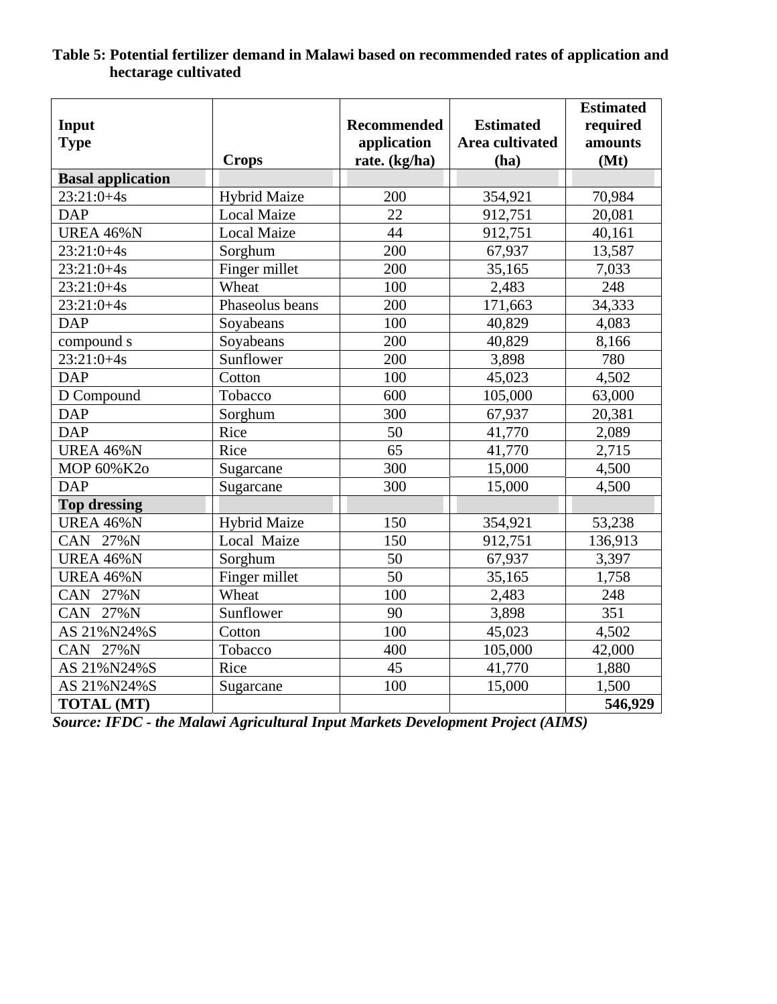|                          |                     |                    |                  | <b>Estimated</b> |
|--------------------------|---------------------|--------------------|------------------|------------------|
| Input                    |                     | <b>Recommended</b> | <b>Estimated</b> | required         |
| <b>Type</b>              |                     | application        | Area cultivated  | amounts          |
|                          | <b>Crops</b>        | rate. (kg/ha)      | (ha)             | (Mt)             |
| <b>Basal application</b> |                     |                    |                  |                  |
| $23:21:0+4s$             | <b>Hybrid Maize</b> | 200                | 354,921          | 70,984           |
| <b>DAP</b>               | <b>Local Maize</b>  | 22                 | 912,751          | 20,081           |
| <b>UREA 46%N</b>         | <b>Local Maize</b>  | 44                 | 912,751          | 40,161           |
| $23:21:0+4s$             | Sorghum             | 200                | 67,937           | 13,587           |
| $23:21:0+4s$             | Finger millet       | 200                | 35,165           | 7,033            |
| $23:21:0+4s$             | Wheat               | 100                | 2,483            | 248              |
| $23:21:0+4s$             | Phaseolus beans     | 200                | 171,663          | 34,333           |
| <b>DAP</b>               | Soyabeans           | 100                | 40,829           | 4,083            |
| compound s               | Soyabeans           | 200                | 40,829           | 8,166            |
| $23:21:0+4s$             | Sunflower           | 200                | 3,898            | 780              |
| <b>DAP</b>               | Cotton              | 100                | 45,023           | 4,502            |
| D Compound               | Tobacco             | 600                | 105,000          | 63,000           |
| <b>DAP</b>               | Sorghum             | 300                | 67,937           | 20,381           |
| <b>DAP</b>               | Rice                | 50                 | 41,770           | 2,089            |
| <b>UREA 46%N</b>         | Rice                | 65                 | 41,770           | 2,715            |
| MOP 60%K2o               | Sugarcane           | 300                | 15,000           | 4,500            |
| <b>DAP</b>               | Sugarcane           | 300                | 15,000           | 4,500            |
| <b>Top dressing</b>      |                     |                    |                  |                  |
| <b>UREA 46%N</b>         | <b>Hybrid Maize</b> | 150                | 354,921          | 53,238           |
| CAN 27%N                 | Local Maize         | 150                | 912,751          | 136,913          |
| <b>UREA 46%N</b>         | Sorghum             | 50                 | 67,937           | 3,397            |
| <b>UREA 46%N</b>         | Finger millet       | 50                 | 35,165           | 1,758            |
| CAN 27%N                 | Wheat               | 100                | 2,483            | 248              |
| CAN 27%N                 | Sunflower           | 90                 | 3,898            | 351              |
| AS 21%N24%S              | Cotton              | 100                | 45,023           | 4,502            |
| CAN 27%N                 | Tobacco             | 400                | 105,000          | 42,000           |
| AS 21%N24%S              | Rice                | 45                 | 41,770           | 1,880            |
| AS 21%N24%S              | Sugarcane           | 100                | 15,000           | 1,500            |
| <b>TOTAL (MT)</b>        |                     |                    |                  | 546,929          |

# **Table 5: Potential fertilizer demand in Malawi based on recommended rates of application and hectarage cultivated**

*Source: IFDC - the Malawi Agricultural Input Markets Development Project (AIMS)*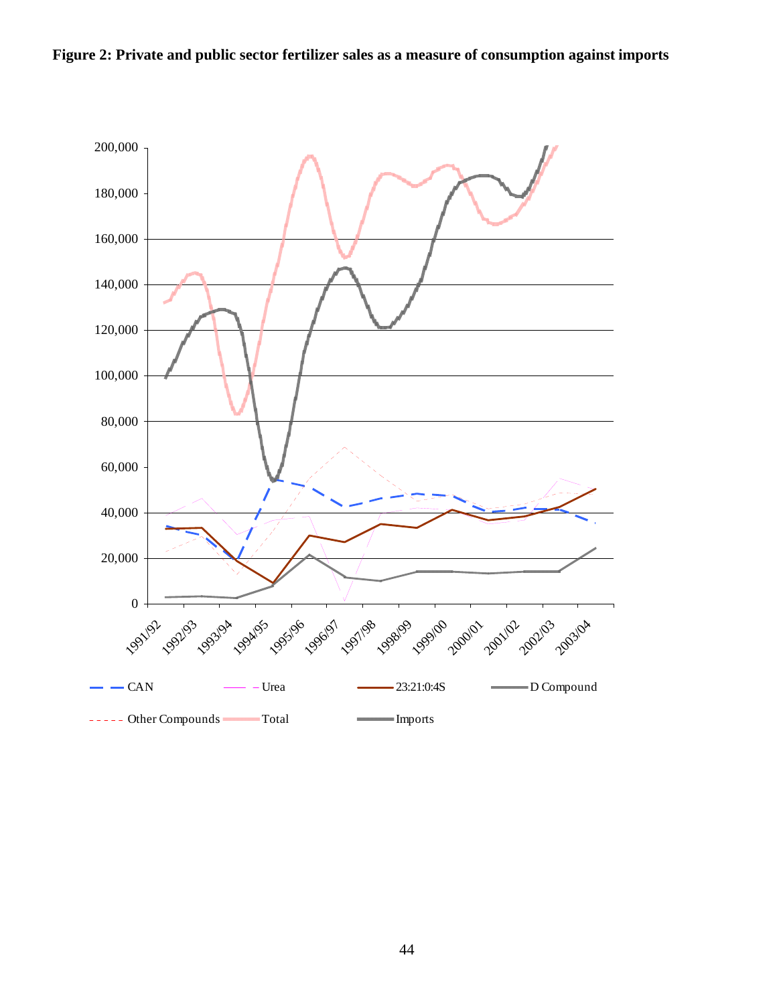

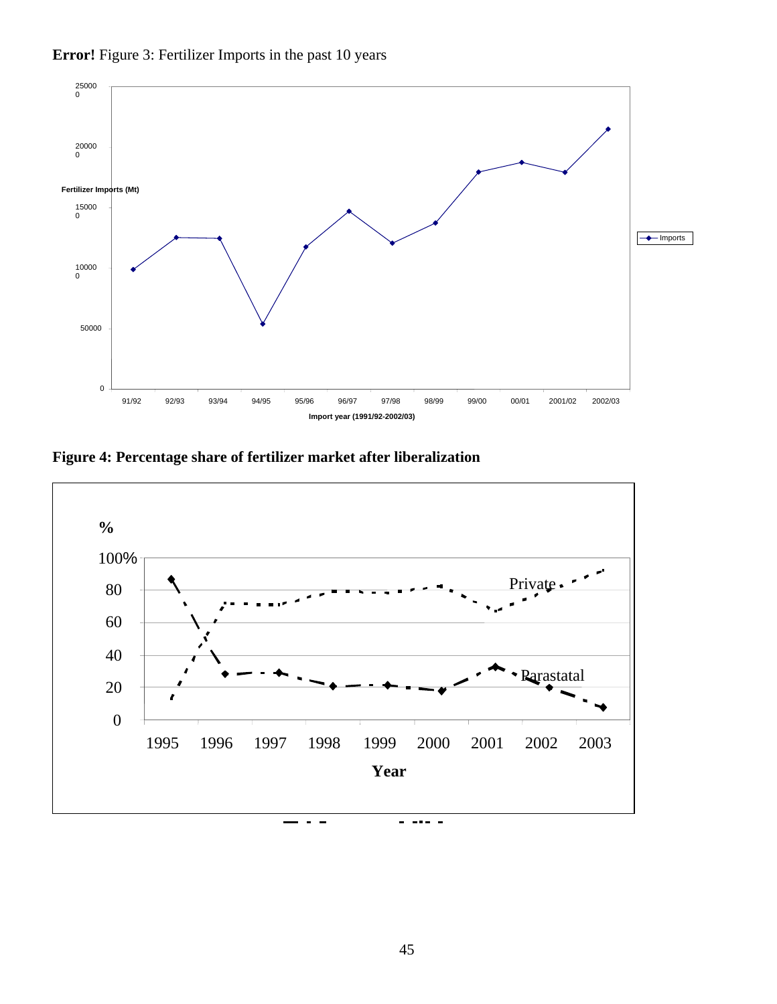

**Error!** Figure 3: Fertilizer Imports in the past 10 years

**Figure 4: Percentage share of fertilizer market after liberalization** 

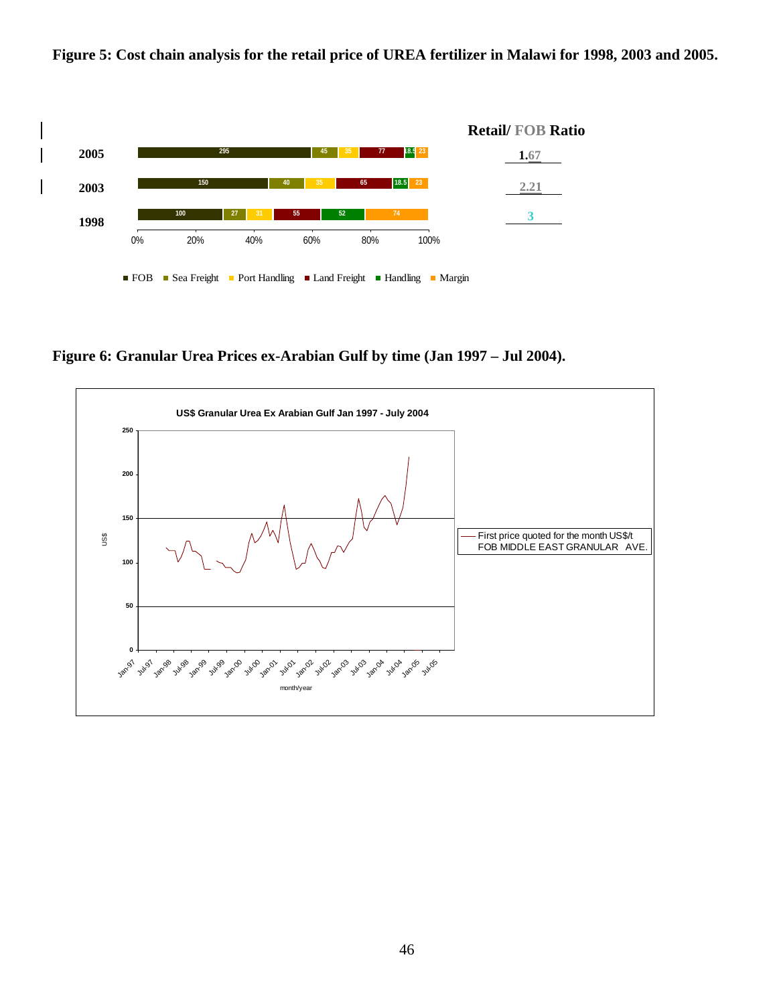



**Figure 6: Granular Urea Prices ex-Arabian Gulf by time (Jan 1997 – Jul 2004).** 

■ FOB ■ Sea Freight ■ Port Handling ■ Land Freight ■ Handling ■ Margin

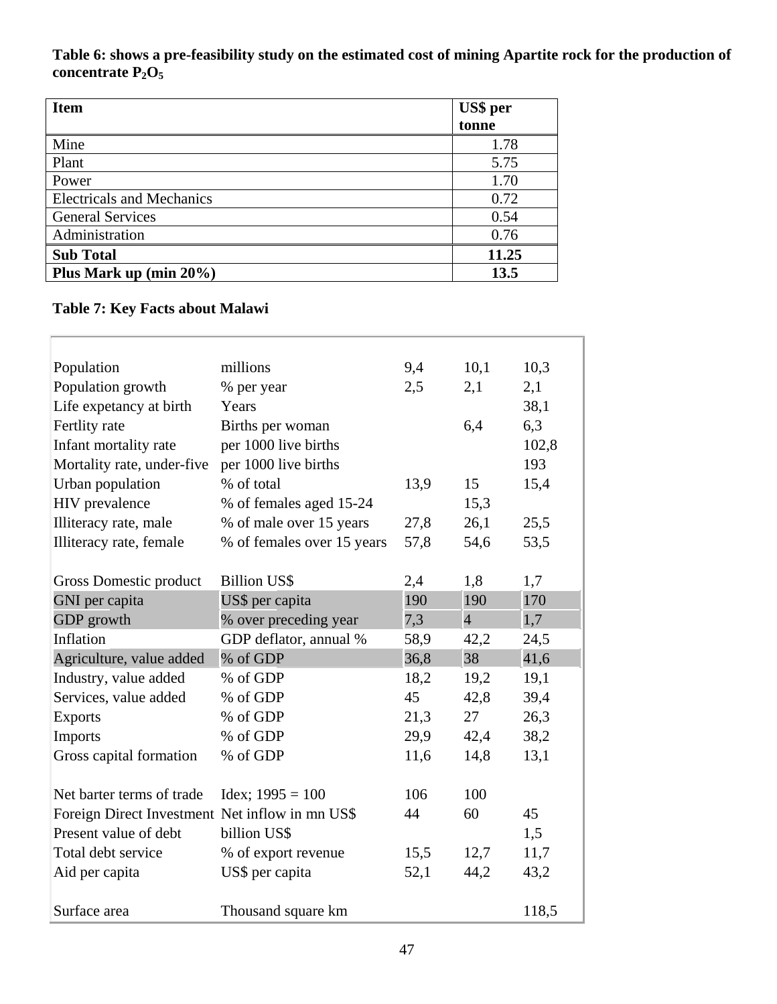**Table 6: shows a pre-feasibility study on the estimated cost of mining Apartite rock for the production of**  concentrate P<sub>2</sub>O<sub>5</sub>

| <b>Item</b>                      | US\$ per |
|----------------------------------|----------|
|                                  | tonne    |
| Mine                             | 1.78     |
| Plant                            | 5.75     |
| Power                            | 1.70     |
| <b>Electricals and Mechanics</b> | 0.72     |
| <b>General Services</b>          | 0.54     |
| Administration                   | 0.76     |
| <b>Sub Total</b>                 | 11.25    |
| Plus Mark up (min $20\%$ )       | 13.5     |

# **Table 7: Key Facts about Malawi**

| Population                                      | millions                   | 9,4  | 10,1           | 10,3  |
|-------------------------------------------------|----------------------------|------|----------------|-------|
| Population growth                               | % per year                 | 2,5  | 2,1            | 2,1   |
| Life expetancy at birth                         | Years                      |      |                | 38,1  |
| Fertlity rate                                   | Births per woman           |      | 6,4            | 6,3   |
| Infant mortality rate                           | per 1000 live births       |      |                | 102,8 |
| Mortality rate, under-five                      | per 1000 live births       |      |                | 193   |
| Urban population                                | % of total                 | 13,9 | 15             | 15,4  |
| <b>HIV</b> prevalence                           | % of females aged 15-24    |      | 15,3           |       |
| Illiteracy rate, male                           | % of male over 15 years    | 27,8 | 26,1           | 25,5  |
| Illiteracy rate, female                         | % of females over 15 years | 57,8 | 54,6           | 53,5  |
|                                                 |                            |      |                |       |
| Gross Domestic product                          | <b>Billion US\$</b>        | 2,4  | 1,8            | 1,7   |
| GNI per capita                                  | US\$ per capita            | 190  | 190            | 170   |
| GDP growth                                      | % over preceding year      | 7,3  | $\overline{4}$ | 1,7   |
| Inflation                                       | GDP deflator, annual %     | 58,9 | 42,2           | 24,5  |
| Agriculture, value added                        | % of GDP                   | 36,8 | 38             | 41,6  |
| Industry, value added                           | % of GDP                   | 18,2 | 19,2           | 19,1  |
| Services, value added                           | % of GDP                   | 45   | 42,8           | 39,4  |
| <b>Exports</b>                                  | % of GDP                   | 21,3 | 27             | 26,3  |
| <b>Imports</b>                                  | % of GDP                   | 29,9 | 42,4           | 38,2  |
| Gross capital formation                         | % of GDP                   | 11,6 | 14,8           | 13,1  |
|                                                 |                            |      |                |       |
| Net barter terms of trade                       | $ldex$ ; 1995 = 100        | 106  | 100            |       |
| Foreign Direct Investment Net inflow in mn US\$ |                            | 44   | 60             | 45    |
| Present value of debt                           | billion US\$               |      |                | 1,5   |
| Total debt service                              | % of export revenue        | 15,5 | 12,7           | 11,7  |
| Aid per capita                                  | US\$ per capita            | 44,2 | 43,2           |       |
|                                                 |                            |      |                |       |
| Surface area                                    | Thousand square km         |      |                | 118,5 |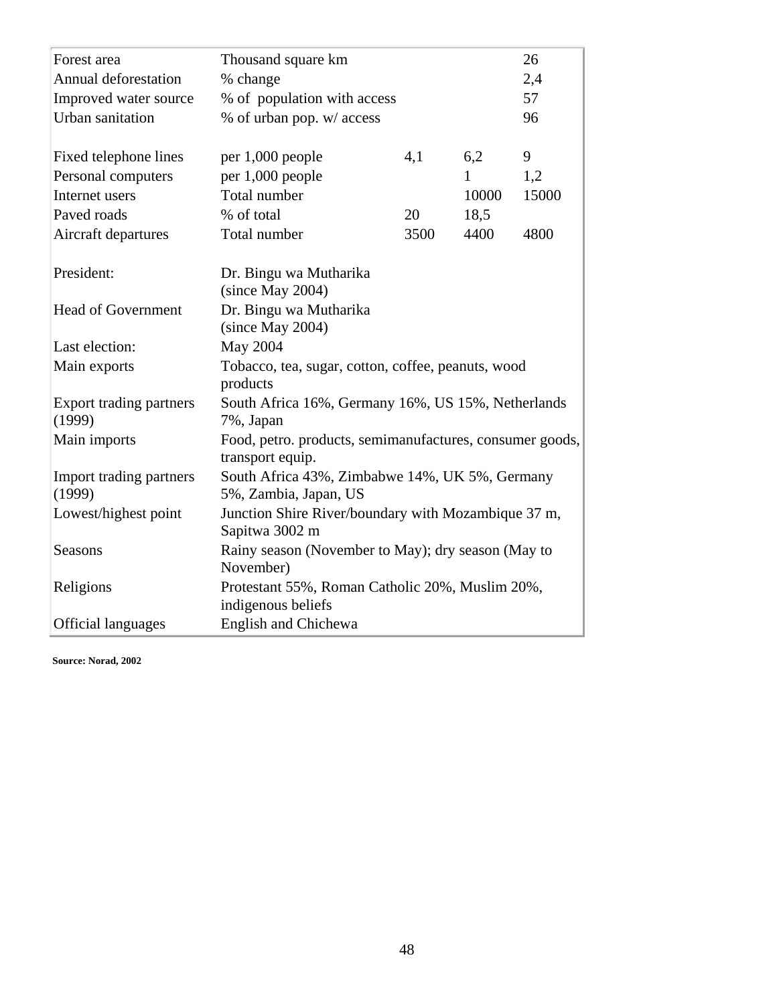| Forest area                       | Thousand square km                                                           | 26   |       |       |  |  |  |  |
|-----------------------------------|------------------------------------------------------------------------------|------|-------|-------|--|--|--|--|
| Annual deforestation              | % change                                                                     | 2,4  |       |       |  |  |  |  |
| Improved water source             | % of population with access                                                  | 57   |       |       |  |  |  |  |
| Urban sanitation                  | % of urban pop. w/ access                                                    |      |       | 96    |  |  |  |  |
|                                   |                                                                              |      |       |       |  |  |  |  |
| Fixed telephone lines             | per 1,000 people                                                             | 9    |       |       |  |  |  |  |
| Personal computers                | per 1,000 people                                                             |      | 1     | 1,2   |  |  |  |  |
| Internet users                    | Total number                                                                 |      | 10000 | 15000 |  |  |  |  |
| Paved roads                       | % of total                                                                   | 20   | 18,5  |       |  |  |  |  |
| Aircraft departures               | Total number                                                                 | 3500 | 4400  | 4800  |  |  |  |  |
|                                   |                                                                              |      |       |       |  |  |  |  |
| President:                        | Dr. Bingu wa Mutharika                                                       |      |       |       |  |  |  |  |
|                                   | (since May 2004)                                                             |      |       |       |  |  |  |  |
| <b>Head of Government</b>         | Dr. Bingu wa Mutharika                                                       |      |       |       |  |  |  |  |
|                                   | (since May 2004)                                                             |      |       |       |  |  |  |  |
| Last election:                    | May 2004                                                                     |      |       |       |  |  |  |  |
| Main exports                      | Tobacco, tea, sugar, cotton, coffee, peanuts, wood<br>products               |      |       |       |  |  |  |  |
| Export trading partners<br>(1999) | South Africa 16%, Germany 16%, US 15%, Netherlands<br>7%, Japan              |      |       |       |  |  |  |  |
| Main imports                      | Food, petro. products, semimanufactures, consumer goods,<br>transport equip. |      |       |       |  |  |  |  |
| Import trading partners           | South Africa 43%, Zimbabwe 14%, UK 5%, Germany                               |      |       |       |  |  |  |  |
| (1999)                            | 5%, Zambia, Japan, US                                                        |      |       |       |  |  |  |  |
| Lowest/highest point              | Junction Shire River/boundary with Mozambique 37 m,                          |      |       |       |  |  |  |  |
|                                   | Sapitwa 3002 m                                                               |      |       |       |  |  |  |  |
| <b>Seasons</b>                    | Rainy season (November to May); dry season (May to<br>November)              |      |       |       |  |  |  |  |
| Religions                         | Protestant 55%, Roman Catholic 20%, Muslim 20%,<br>indigenous beliefs        |      |       |       |  |  |  |  |
| <b>Official languages</b>         | <b>English and Chichewa</b>                                                  |      |       |       |  |  |  |  |

**Source: Norad, 2002**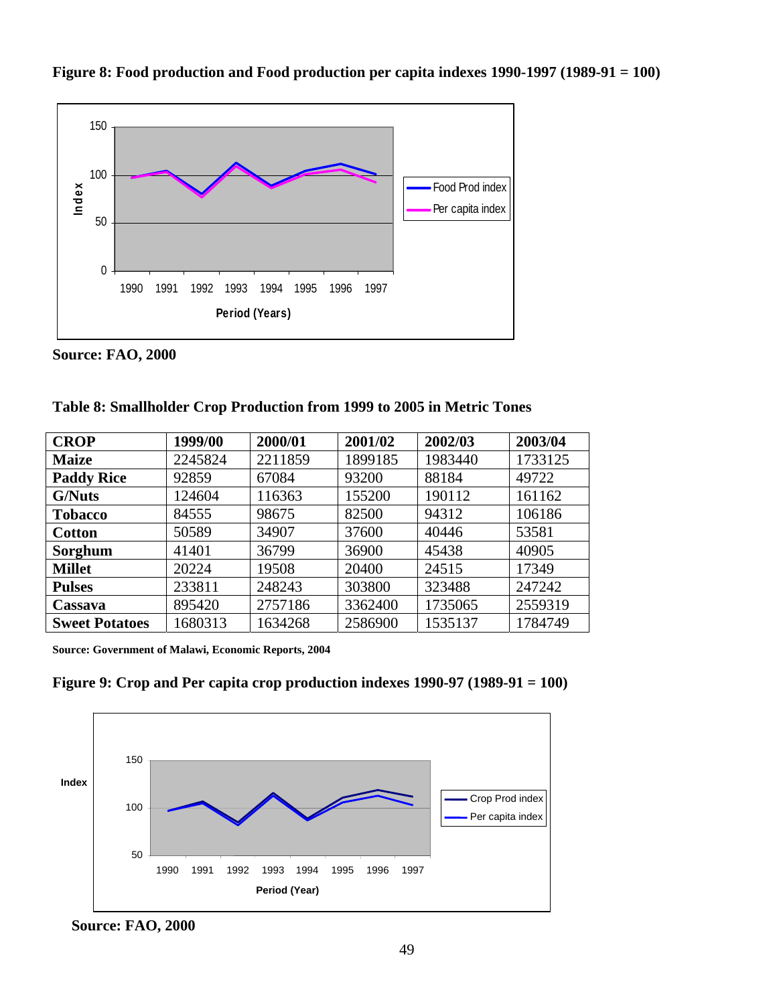

**Figure 8: Food production and Food production per capita indexes 1990-1997 (1989-91 = 100)** 

**Source: FAO, 2000** 

|  |  |  | Table 8: Smallholder Crop Production from 1999 to 2005 in Metric Tones |  |  |  |  |
|--|--|--|------------------------------------------------------------------------|--|--|--|--|
|  |  |  |                                                                        |  |  |  |  |

| <b>CROP</b>           | 1999/00 | 2000/01 | 2001/02 | 2002/03 | 2003/04 |
|-----------------------|---------|---------|---------|---------|---------|
| <b>Maize</b>          | 2245824 | 2211859 | 1899185 | 1983440 | 1733125 |
| <b>Paddy Rice</b>     | 92859   | 67084   | 93200   | 88184   | 49722   |
| <b>G/Nuts</b>         | 124604  | 116363  | 155200  | 190112  | 161162  |
| <b>Tobacco</b>        | 84555   | 98675   | 82500   | 94312   | 106186  |
| <b>Cotton</b>         | 50589   | 34907   | 37600   | 40446   | 53581   |
| Sorghum               | 41401   | 36799   | 36900   | 45438   | 40905   |
| <b>Millet</b>         | 20224   | 19508   | 20400   | 24515   | 17349   |
| <b>Pulses</b>         | 233811  | 248243  | 303800  | 323488  | 247242  |
| Cassava               | 895420  | 2757186 | 3362400 | 1735065 | 2559319 |
| <b>Sweet Potatoes</b> | 1680313 | 1634268 | 2586900 | 1535137 | 1784749 |

**Source: Government of Malawi, Economic Reports, 2004** 





 **Source: FAO, 2000**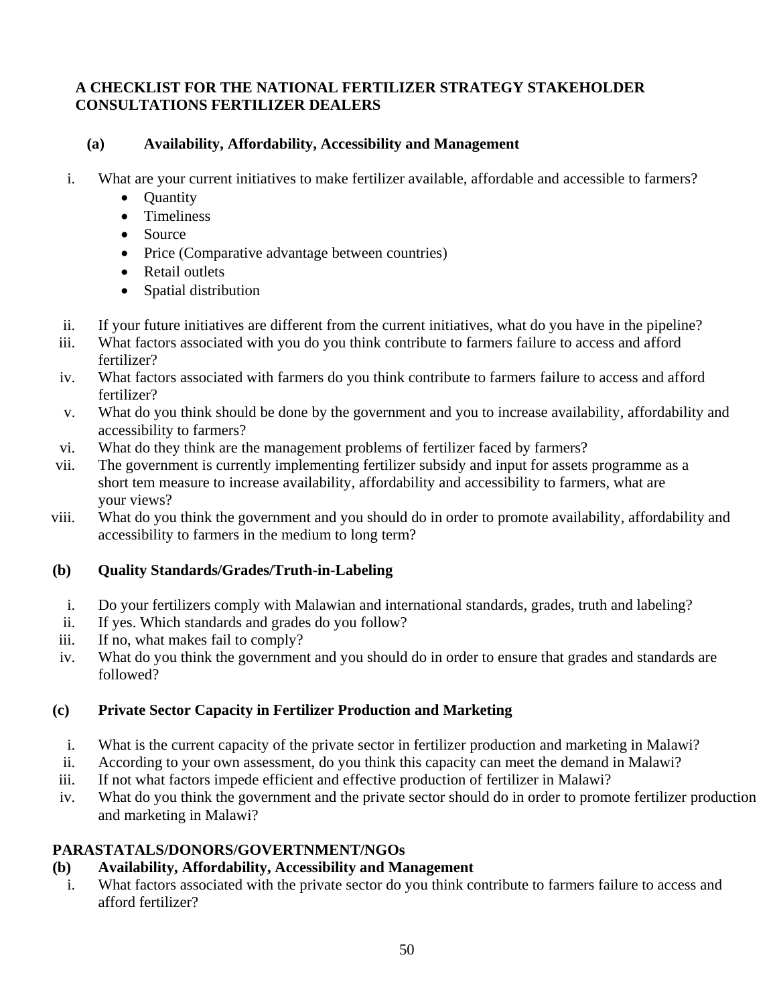## **A CHECKLIST FOR THE NATIONAL FERTILIZER STRATEGY STAKEHOLDER CONSULTATIONS FERTILIZER DEALERS**

## **(a) Availability, Affordability, Accessibility and Management**

- i. What are your current initiatives to make fertilizer available, affordable and accessible to farmers?
	- Ouantity
	- Timeliness
	- Source
	- Price (Comparative advantage between countries)
	- Retail outlets
	- Spatial distribution
- ii. If your future initiatives are different from the current initiatives, what do you have in the pipeline?
- iii. What factors associated with you do you think contribute to farmers failure to access and afford fertilizer?
- iv. What factors associated with farmers do you think contribute to farmers failure to access and afford fertilizer?
- v. What do you think should be done by the government and you to increase availability, affordability and accessibility to farmers?
- vi. What do they think are the management problems of fertilizer faced by farmers?
- vii. The government is currently implementing fertilizer subsidy and input for assets programme as a short tem measure to increase availability, affordability and accessibility to farmers, what are your views?
- viii. What do you think the government and you should do in order to promote availability, affordability and accessibility to farmers in the medium to long term?

# **(b) Quality Standards/Grades/Truth-in-Labeling**

- i. Do your fertilizers comply with Malawian and international standards, grades, truth and labeling?
- ii. If yes. Which standards and grades do you follow?
- iii. If no, what makes fail to comply?
- iv. What do you think the government and you should do in order to ensure that grades and standards are followed?

# **(c) Private Sector Capacity in Fertilizer Production and Marketing**

- i. What is the current capacity of the private sector in fertilizer production and marketing in Malawi?
- ii. According to your own assessment, do you think this capacity can meet the demand in Malawi?
- iii. If not what factors impede efficient and effective production of fertilizer in Malawi?
- iv. What do you think the government and the private sector should do in order to promote fertilizer production and marketing in Malawi?

# **PARASTATALS/DONORS/GOVERTNMENT/NGOs**

# **(b) Availability, Affordability, Accessibility and Management**

i. What factors associated with the private sector do you think contribute to farmers failure to access and afford fertilizer?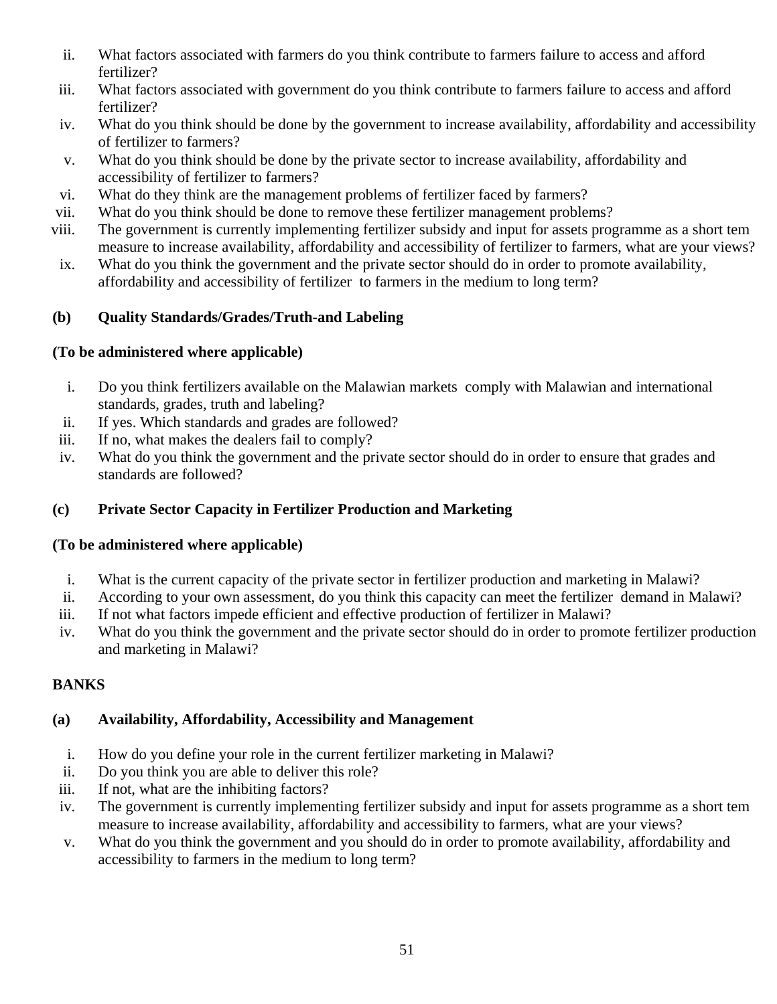- ii. What factors associated with farmers do you think contribute to farmers failure to access and afford fertilizer?
- iii. What factors associated with government do you think contribute to farmers failure to access and afford fertilizer?
- iv. What do you think should be done by the government to increase availability, affordability and accessibility of fertilizer to farmers?
- v. What do you think should be done by the private sector to increase availability, affordability and accessibility of fertilizer to farmers?
- vi. What do they think are the management problems of fertilizer faced by farmers?
- vii. What do you think should be done to remove these fertilizer management problems?
- viii. The government is currently implementing fertilizer subsidy and input for assets programme as a short tem measure to increase availability, affordability and accessibility of fertilizer to farmers, what are your views?
- ix. What do you think the government and the private sector should do in order to promote availability, affordability and accessibility of fertilizer to farmers in the medium to long term?

# **(b) Quality Standards/Grades/Truth-and Labeling**

## **(To be administered where applicable)**

- i. Do you think fertilizers available on the Malawian markets comply with Malawian and international standards, grades, truth and labeling?
- ii. If yes. Which standards and grades are followed?
- iii. If no, what makes the dealers fail to comply?
- iv. What do you think the government and the private sector should do in order to ensure that grades and standards are followed?

## **(c) Private Sector Capacity in Fertilizer Production and Marketing**

## **(To be administered where applicable)**

- i. What is the current capacity of the private sector in fertilizer production and marketing in Malawi?
- ii. According to your own assessment, do you think this capacity can meet the fertilizer demand in Malawi?
- iii. If not what factors impede efficient and effective production of fertilizer in Malawi?
- iv. What do you think the government and the private sector should do in order to promote fertilizer production and marketing in Malawi?

# **BANKS**

## **(a) Availability, Affordability, Accessibility and Management**

- i. How do you define your role in the current fertilizer marketing in Malawi?
- ii. Do you think you are able to deliver this role?
- iii. If not, what are the inhibiting factors?
- iv. The government is currently implementing fertilizer subsidy and input for assets programme as a short tem measure to increase availability, affordability and accessibility to farmers, what are your views?
- v. What do you think the government and you should do in order to promote availability, affordability and accessibility to farmers in the medium to long term?